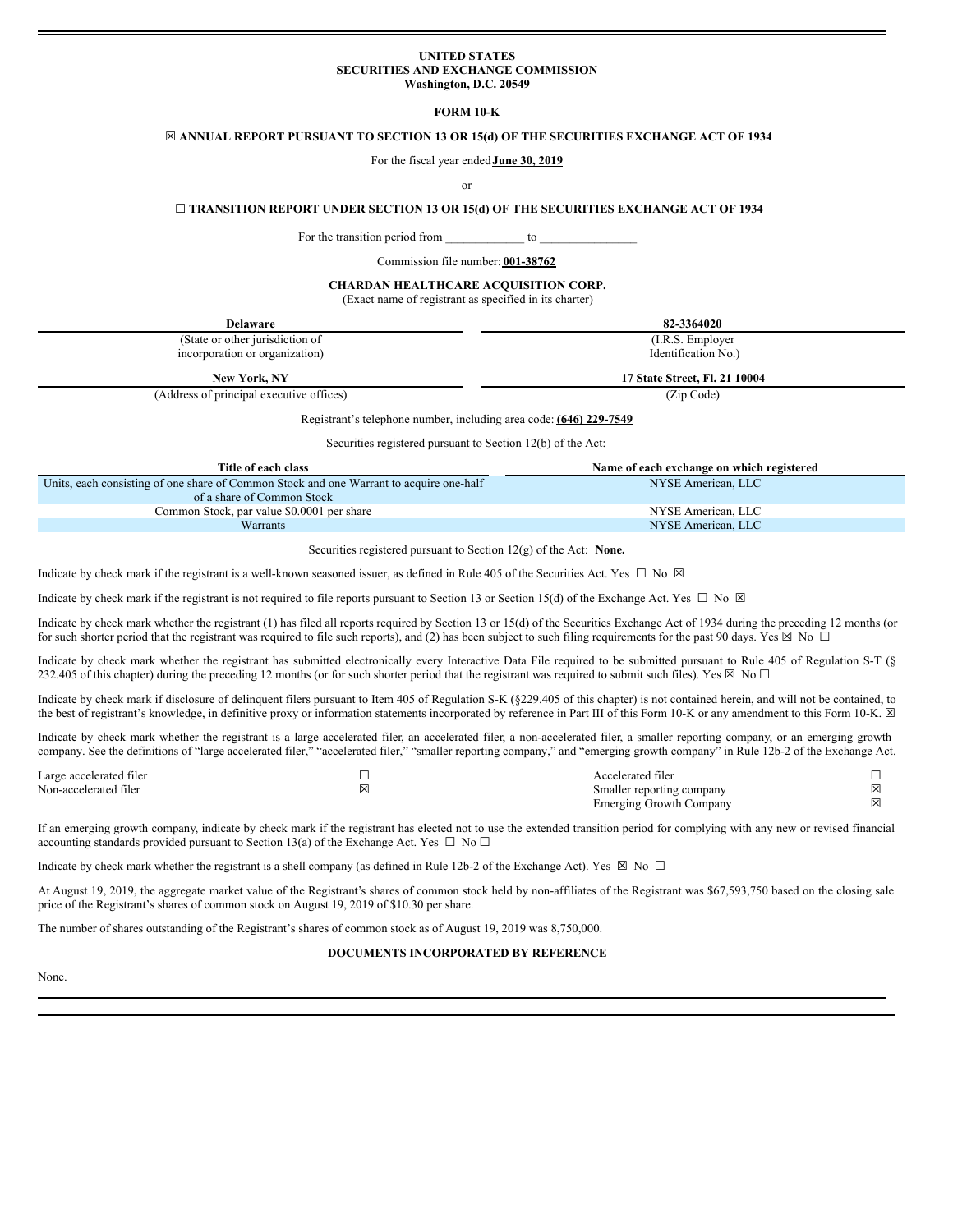### **UNITED STATES SECURITIES AND EXCHANGE COMMISSION Washington, D.C. 20549**

**FORM 10-K**

# **☒ ANNUAL REPORT PURSUANT TO SECTION 13 OR 15(d) OF THE SECURITIES EXCHANGE ACT OF 1934**

For the fiscal year ended **June 30, 2019**

or

## **☐ TRANSITION REPORT UNDER SECTION 13 OR 15(d) OF THE SECURITIES EXCHANGE ACT OF 1934**

For the transition period from \_\_\_\_\_\_\_\_\_\_\_\_\_\_ to

Commission file number: **001-38762**

# **CHARDAN HEALTHCARE ACQUISITION CORP.**

(Exact name of registrant as specified in its charter)

| <b>Delaware</b>                          | 82-3364020                    |
|------------------------------------------|-------------------------------|
| (State or other jurisdiction of          | (I.R.S. Employer)             |
| incorporation or organization)           | Identification No.)           |
| New York, NY                             | 17 State Street, Fl. 21 10004 |
| (Address of principal executive offices) | (Zip Code)                    |

Registrant's telephone number, including area code: **(646) 229-7549**

Securities registered pursuant to Section 12(b) of the Act:

| Title of each class                                                                     | Name of each exchange on which registered |
|-----------------------------------------------------------------------------------------|-------------------------------------------|
| Units, each consisting of one share of Common Stock and one Warrant to acquire one-half | NYSE American, LLC                        |
| of a share of Common Stock                                                              |                                           |
| Common Stock, par value \$0.0001 per share                                              | NYSE American, LLC                        |
| <b>Warrants</b>                                                                         | NYSE American, LLC                        |

Securities registered pursuant to Section 12(g) of the Act: **None.**

Indicate by check mark if the registrant is a well-known seasoned issuer, as defined in Rule 405 of the Securities Act. Yes  $\Box$  No  $\boxtimes$ 

Indicate by check mark if the registrant is not required to file reports pursuant to Section 13 or Section 15(d) of the Exchange Act. Yes  $\Box$  No  $\boxtimes$ 

Indicate by check mark whether the registrant (1) has filed all reports required by Section 13 or 15(d) of the Securities Exchange Act of 1934 during the preceding 12 months (or for such shorter period that the registrant was required to file such reports), and (2) has been subject to such filing requirements for the past 90 days. Yes  $\boxtimes$  No  $\Box$ 

Indicate by check mark whether the registrant has submitted electronically every Interactive Data File required to be submitted pursuant to Rule 405 of Regulation S-T (§ 232.405 of this chapter) during the preceding 12 months (or for such shorter period that the registrant was required to submit such files). Yes  $\boxtimes$  No  $\Box$ 

Indicate by check mark if disclosure of delinquent filers pursuant to Item 405 of Regulation S-K (§229.405 of this chapter) is not contained herein, and will not be contained, to the best of registrant's knowledge, in definitive proxy or information statements incorporated by reference in Part III of this Form 10-K or any amendment to this Form 10-K.  $\boxtimes$ 

Indicate by check mark whether the registrant is a large accelerated filer, an accelerated filer, a non-accelerated filer, a smaller reporting company, or an emerging growth company. See the definitions of "large accelerated filer," "accelerated filer," "smaller reporting company," and "emerging growth company" in Rule 12b-2 of the Exchange Act.

| Large accelerated filer |     | Accelerated filer         |  |
|-------------------------|-----|---------------------------|--|
| Non-accelerated filer   | ΙXΙ | Smaller reporting company |  |
|                         |     | Emerging Growth Company   |  |

If an emerging growth company, indicate by check mark if the registrant has elected not to use the extended transition period for complying with any new or revised financial accounting standards provided pursuant to Section 13(a) of the Exchange Act. Yes  $\Box$  No  $\Box$ 

Indicate by check mark whether the registrant is a shell company (as defined in Rule 12b-2 of the Exchange Act). Yes  $\boxtimes$  No  $\Box$ 

At August 19, 2019, the aggregate market value of the Registrant's shares of common stock held by non-affiliates of the Registrant was \$67,593,750 based on the closing sale price of the Registrant's shares of common stock on August 19, 2019 of \$10.30 per share.

The number of shares outstanding of the Registrant's shares of common stock as of August 19, 2019 was 8,750,000.

## **DOCUMENTS INCORPORATED BY REFERENCE**

None.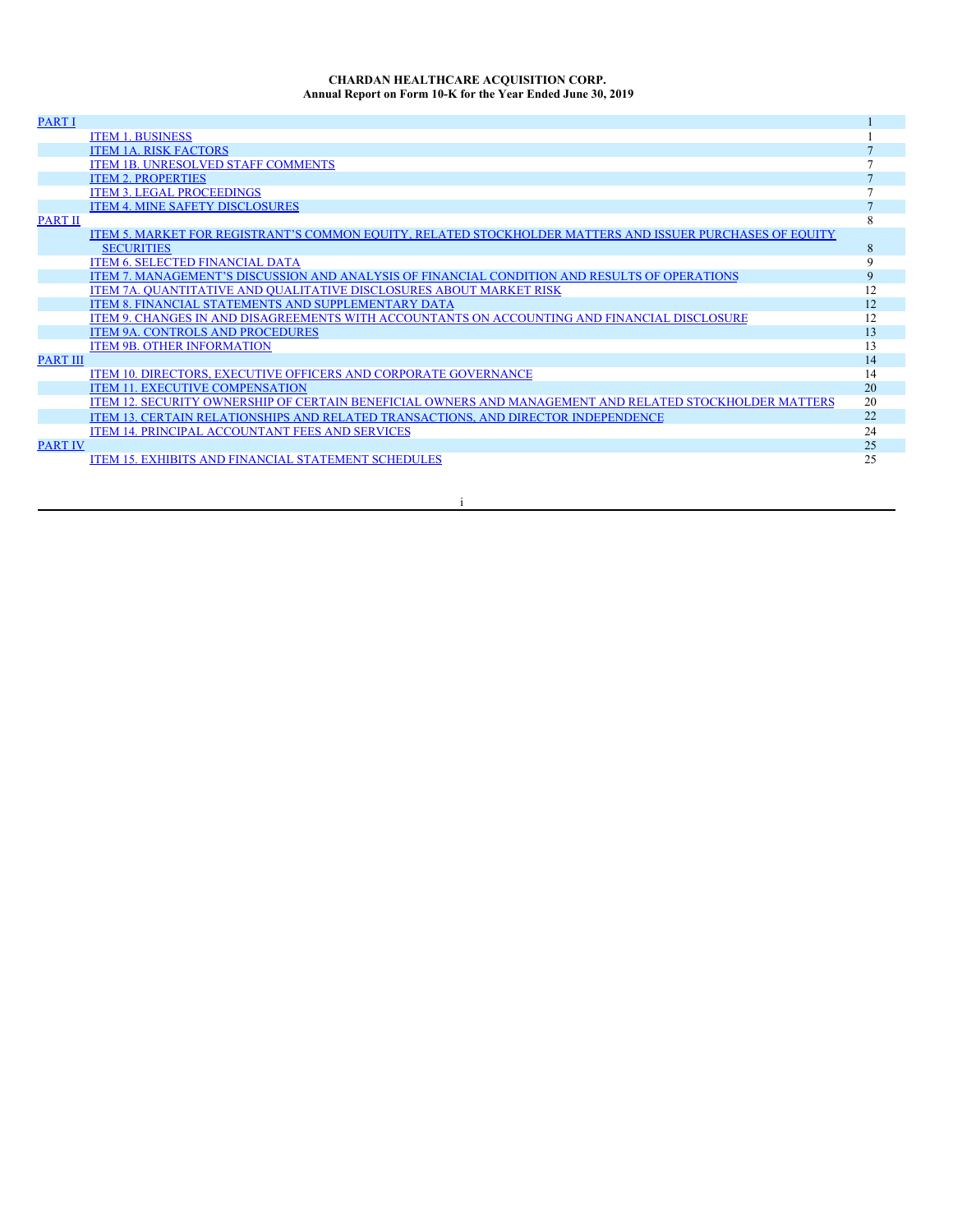## **CHARDAN HEALTHCARE ACQUISITION CORP. Annual Report on Form 10-K for the Year Ended June 30, 2019**

| <b>PART I</b>   |                                                                                                           |    |
|-----------------|-----------------------------------------------------------------------------------------------------------|----|
|                 | <b>ITEM 1. BUSINESS</b>                                                                                   |    |
|                 | <b>ITEM 1A. RISK FACTORS</b>                                                                              |    |
|                 | <b>ITEM 1B. UNRESOLVED STAFF COMMENTS</b>                                                                 |    |
|                 | <b>ITEM 2. PROPERTIES</b>                                                                                 |    |
|                 | <b>ITEM 3. LEGAL PROCEEDINGS</b>                                                                          |    |
|                 | <b>ITEM 4. MINE SAFETY DISCLOSURES</b>                                                                    |    |
| <b>PART II</b>  |                                                                                                           | 8  |
|                 | ITEM 5. MARKET FOR REGISTRANT'S COMMON EQUITY, RELATED STOCKHOLDER MATTERS AND ISSUER PURCHASES OF EQUITY |    |
|                 | <b>SECURITIES</b>                                                                                         | 8  |
|                 | <b>ITEM 6. SELECTED FINANCIAL DATA</b>                                                                    | 9  |
|                 | ITEM 7. MANAGEMENT'S DISCUSSION AND ANALYSIS OF FINANCIAL CONDITION AND RESULTS OF OPERATIONS             | 9  |
|                 | ITEM 7A. QUANTITATIVE AND QUALITATIVE DISCLOSURES ABOUT MARKET RISK                                       | 12 |
|                 | ITEM 8. FINANCIAL STATEMENTS AND SUPPLEMENTARY DATA                                                       | 12 |
|                 | ITEM 9. CHANGES IN AND DISAGREEMENTS WITH ACCOUNTANTS ON ACCOUNTING AND FINANCIAL DISCLOSURE              | 12 |
|                 | <b>ITEM 9A. CONTROLS AND PROCEDURES</b>                                                                   | 13 |
|                 | <b>ITEM 9B. OTHER INFORMATION</b>                                                                         | 13 |
| <b>PART III</b> |                                                                                                           | 14 |
|                 | ITEM 10. DIRECTORS, EXECUTIVE OFFICERS AND CORPORATE GOVERNANCE                                           | 14 |
|                 | <b>ITEM 11. EXECUTIVE COMPENSATION</b>                                                                    | 20 |
|                 | ITEM 12. SECURITY OWNERSHIP OF CERTAIN BENEFICIAL OWNERS AND MANAGEMENT AND RELATED STOCKHOLDER MATTERS   | 20 |
|                 | ITEM 13. CERTAIN RELATIONSHIPS AND RELATED TRANSACTIONS, AND DIRECTOR INDEPENDENCE                        | 22 |
|                 | <b>ITEM 14. PRINCIPAL ACCOUNTANT FEES AND SERVICES</b>                                                    | 24 |
| <b>PART IV</b>  |                                                                                                           | 25 |
|                 | <b>ITEM 15. EXHIBITS AND FINANCIAL STATEMENT SCHEDULES</b>                                                | 25 |
|                 |                                                                                                           |    |

i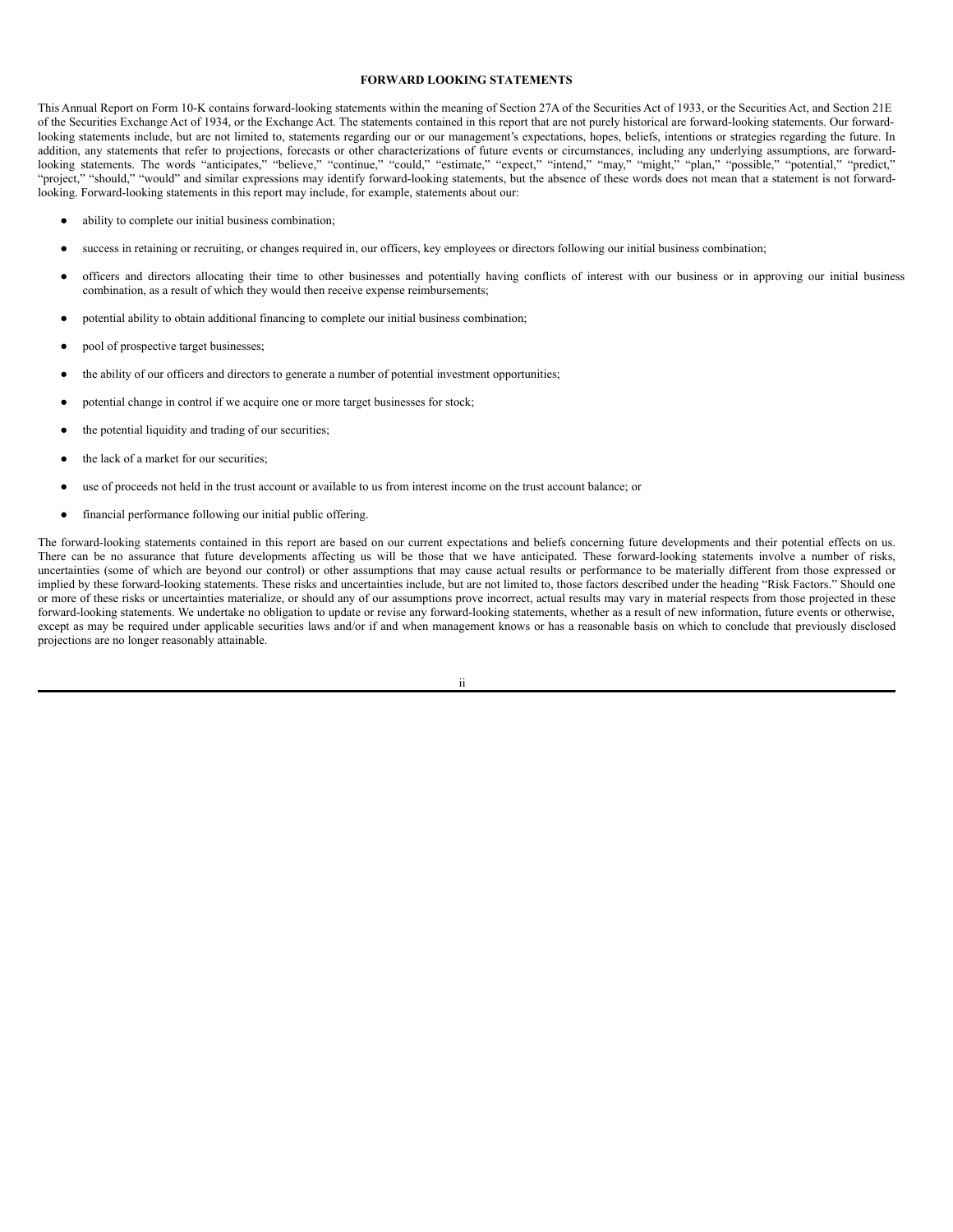## **FORWARD LOOKING STATEMENTS**

This Annual Report on Form 10-K contains forward-looking statements within the meaning of Section 27A of the Securities Act of 1933, or the Securities Act, and Section 21E of the Securities Exchange Act of 1934, or the Exchange Act. The statements contained in this report that are not purely historical are forward-looking statements. Our forwardlooking statements include, but are not limited to, statements regarding our or our management's expectations, hopes, beliefs, intentions or strategies regarding the future. In addition, any statements that refer to projections, forecasts or other characterizations of future events or circumstances, including any underlying assumptions, are forwardlooking statements. The words "anticipates," "believe," "continue," "could," "estimate," "expect," "intend," "may," "might," "plan," "possible," "potential," "predict," "project," "should," "would" and similar expressions may identify forward-looking statements, but the absence of these words does not mean that a statement is not forwardlooking. Forward-looking statements in this report may include, for example, statements about our:

- ability to complete our initial business combination;
- success in retaining or recruiting, or changes required in, our officers, key employees or directors following our initial business combination;
- officers and directors allocating their time to other businesses and potentially having conflicts of interest with our business or in approving our initial business combination, as a result of which they would then receive expense reimbursements;
- potential ability to obtain additional financing to complete our initial business combination;
- pool of prospective target businesses;
- the ability of our officers and directors to generate a number of potential investment opportunities;
- potential change in control if we acquire one or more target businesses for stock;
- the potential liquidity and trading of our securities;
- the lack of a market for our securities;
- use of proceeds not held in the trust account or available to us from interest income on the trust account balance; or
- financial performance following our initial public offering.

The forward-looking statements contained in this report are based on our current expectations and beliefs concerning future developments and their potential effects on us. There can be no assurance that future developments affecting us will be those that we have anticipated. These forward-looking statements involve a number of risks, uncertainties (some of which are beyond our control) or other assumptions that may cause actual results or performance to be materially different from those expressed or implied by these forward-looking statements. These risks and uncertainties include, but are not limited to, those factors described under the heading "Risk Factors." Should one or more of these risks or uncertainties materialize, or should any of our assumptions prove incorrect, actual results may vary in material respects from those projected in these forward-looking statements. We undertake no obligation to update or revise any forward-looking statements, whether as a result of new information, future events or otherwise, except as may be required under applicable securities laws and/or if and when management knows or has a reasonable basis on which to conclude that previously disclosed projections are no longer reasonably attainable.

| × |  |
|---|--|
|   |  |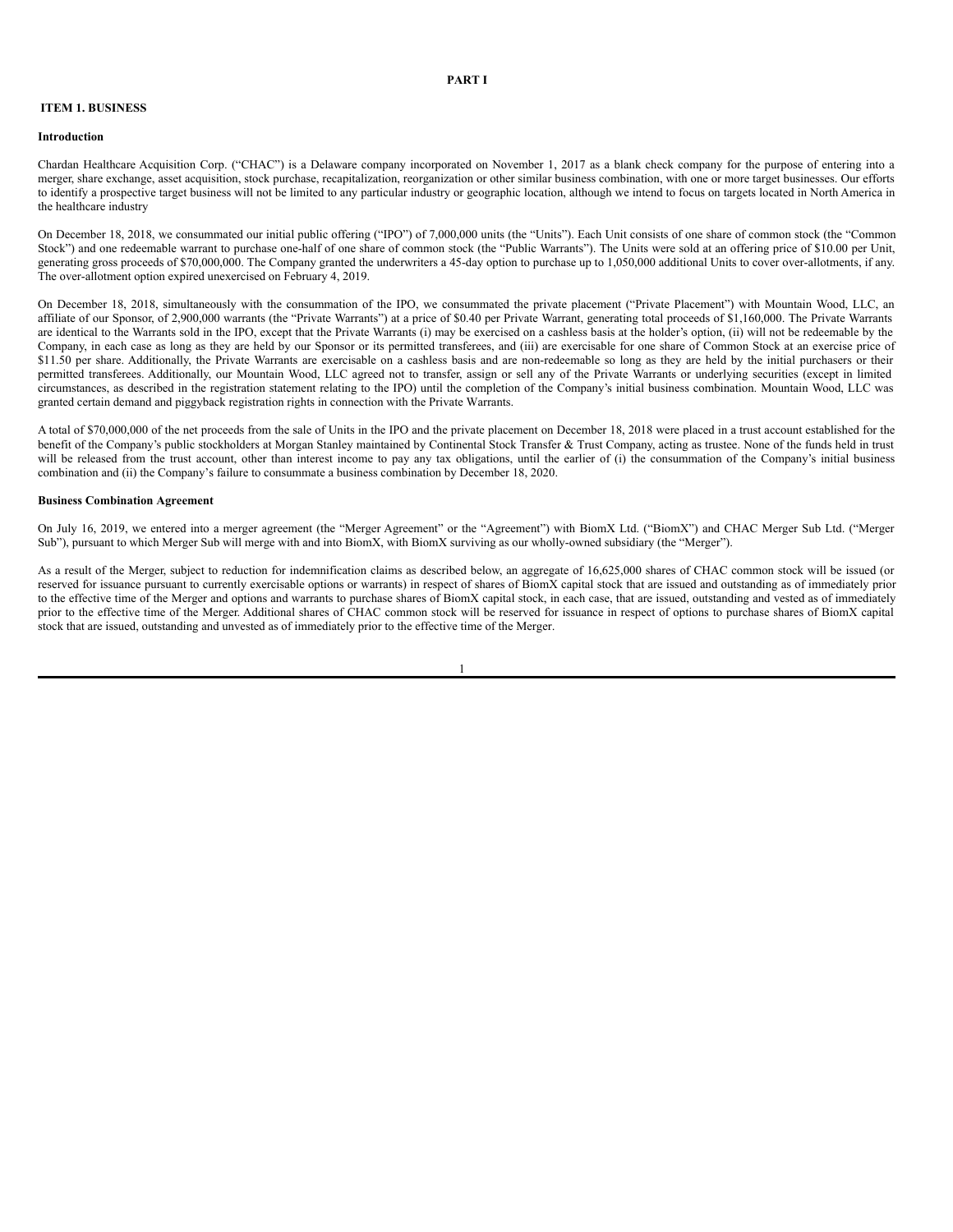### <span id="page-3-0"></span>**PART I**

### <span id="page-3-1"></span>**ITEM 1. BUSINESS**

## **Introduction**

Chardan Healthcare Acquisition Corp. ("CHAC") is a Delaware company incorporated on November 1, 2017 as a blank check company for the purpose of entering into a merger, share exchange, asset acquisition, stock purchase, recapitalization, reorganization or other similar business combination, with one or more target businesses. Our efforts to identify a prospective target business will not be limited to any particular industry or geographic location, although we intend to focus on targets located in North America in the healthcare industry

On December 18, 2018, we consummated our initial public offering ("IPO") of 7,000,000 units (the "Units"). Each Unit consists of one share of common stock (the "Common Stock") and one redeemable warrant to purchase one-half of one share of common stock (the "Public Warrants"). The Units were sold at an offering price of \$10.00 per Unit, generating gross proceeds of \$70,000,000. The Company granted the underwriters a 45-day option to purchase up to 1,050,000 additional Units to cover over-allotments, if any. The over-allotment option expired unexercised on February 4, 2019.

On December 18, 2018, simultaneously with the consummation of the IPO, we consummated the private placement ("Private Placement") with Mountain Wood, LLC, an affiliate of our Sponsor, of 2,900,000 warrants (the "Private Warrants") at a price of \$0.40 per Private Warrant, generating total proceeds of \$1,160,000. The Private Warrants are identical to the Warrants sold in the IPO, except that the Private Warrants (i) may be exercised on a cashless basis at the holder's option, (ii) will not be redeemable by the Company, in each case as long as they are held by our Sponsor or its permitted transferees, and (iii) are exercisable for one share of Common Stock at an exercise price of \$11.50 per share. Additionally, the Private Warrants are exercisable on a cashless basis and are non-redeemable so long as they are held by the initial purchasers or their permitted transferees. Additionally, our Mountain Wood, LLC agreed not to transfer, assign or sell any of the Private Warrants or underlying securities (except in limited circumstances, as described in the registration statement relating to the IPO) until the completion of the Company's initial business combination. Mountain Wood, LLC was granted certain demand and piggyback registration rights in connection with the Private Warrants.

A total of \$70,000,000 of the net proceeds from the sale of Units in the IPO and the private placement on December 18, 2018 were placed in a trust account established for the benefit of the Company's public stockholders at Morgan Stanley maintained by Continental Stock Transfer & Trust Company, acting as trustee. None of the funds held in trust will be released from the trust account, other than interest income to pay any tax obligations, until the earlier of (i) the consummation of the Company's initial business combination and (ii) the Company's failure to consummate a business combination by December 18, 2020.

#### **Business Combination Agreement**

On July 16, 2019, we entered into a merger agreement (the "Merger Agreement" or the "Agreement") with BiomX Ltd. ("BiomX") and CHAC Merger Sub Ltd. ("Merger Sub"), pursuant to which Merger Sub will merge with and into BiomX, with BiomX surviving as our wholly-owned subsidiary (the "Merger").

As a result of the Merger, subject to reduction for indemnification claims as described below, an aggregate of 16,625,000 shares of CHAC common stock will be issued (or reserved for issuance pursuant to currently exercisable options or warrants) in respect of shares of BiomX capital stock that are issued and outstanding as of immediately prior to the effective time of the Merger and options and warrants to purchase shares of BiomX capital stock, in each case, that are issued, outstanding and vested as of immediately prior to the effective time of the Merger. Additional shares of CHAC common stock will be reserved for issuance in respect of options to purchase shares of BiomX capital stock that are issued, outstanding and unvested as of immediately prior to the effective time of the Merger.

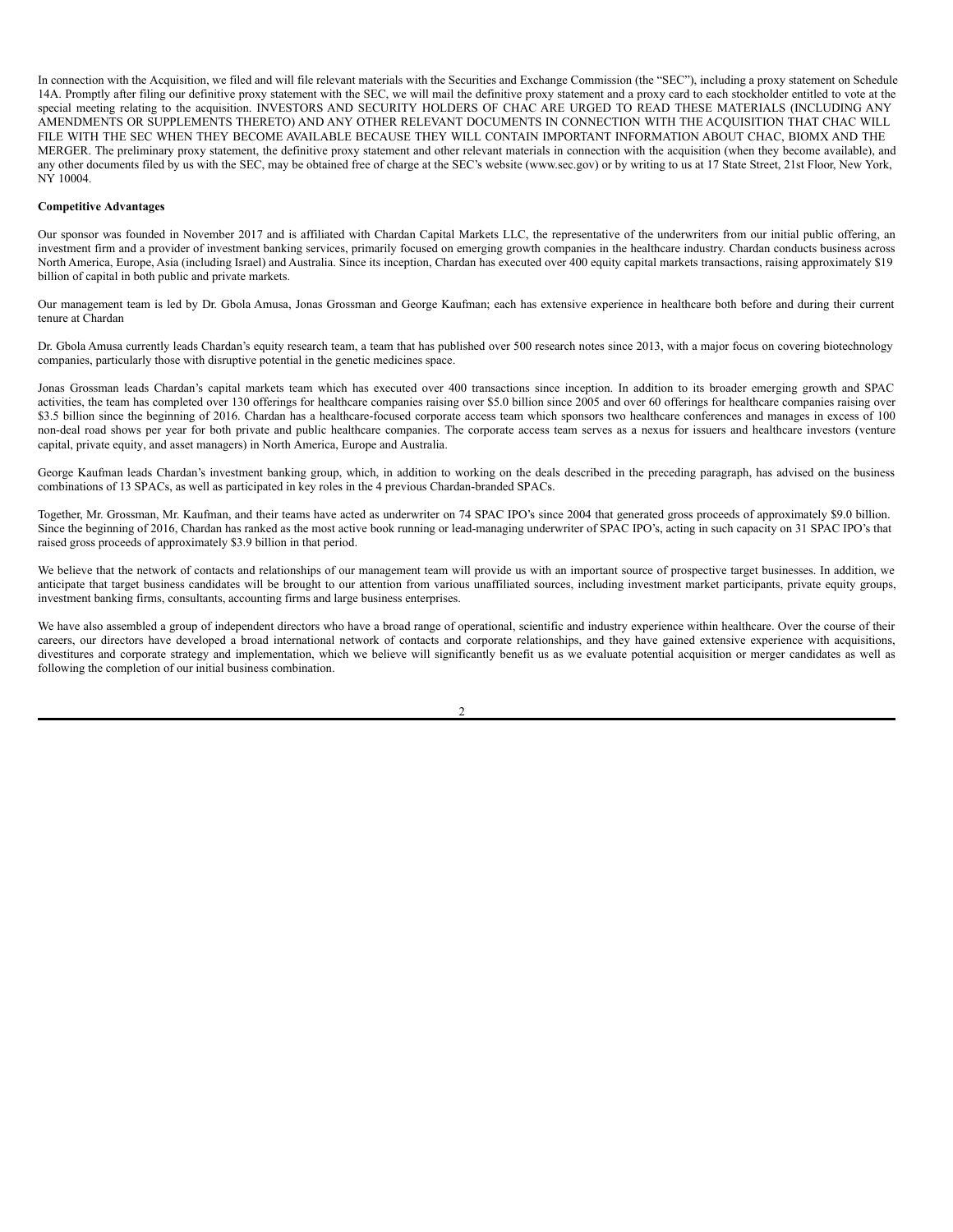In connection with the Acquisition, we filed and will file relevant materials with the Securities and Exchange Commission (the "SEC"), including a proxy statement on Schedule 14A. Promptly after filing our definitive proxy statement with the SEC, we will mail the definitive proxy statement and a proxy card to each stockholder entitled to vote at the special meeting relating to the acquisition. INVESTORS AND SECURITY HOLDERS OF CHAC ARE URGED TO READ THESE MATERIALS (INCLUDING ANY AMENDMENTS OR SUPPLEMENTS THERETO) AND ANY OTHER RELEVANT DOCUMENTS IN CONNECTION WITH THE ACQUISITION THAT CHAC WILL FILE WITH THE SEC WHEN THEY BECOME AVAILABLE BECAUSE THEY WILL CONTAIN IMPORTANT INFORMATION ABOUT CHAC, BIOMX AND THE MERGER. The preliminary proxy statement, the definitive proxy statement and other relevant materials in connection with the acquisition (when they become available), and any other documents filed by us with the SEC, may be obtained free of charge at the SEC's website (www.sec.gov) or by writing to us at 17 State Street, 21st Floor, New York, NY 10004.

## **Competitive Advantages**

Our sponsor was founded in November 2017 and is affiliated with Chardan Capital Markets LLC, the representative of the underwriters from our initial public offering, an investment firm and a provider of investment banking services, primarily focused on emerging growth companies in the healthcare industry. Chardan conducts business across North America, Europe, Asia (including Israel) and Australia. Since its inception, Chardan has executed over 400 equity capital markets transactions, raising approximately \$19 billion of capital in both public and private markets.

Our management team is led by Dr. Gbola Amusa, Jonas Grossman and George Kaufman; each has extensive experience in healthcare both before and during their current tenure at Chardan

Dr. Gbola Amusa currently leads Chardan's equity research team, a team that has published over 500 research notes since 2013, with a major focus on covering biotechnology companies, particularly those with disruptive potential in the genetic medicines space.

Jonas Grossman leads Chardan's capital markets team which has executed over 400 transactions since inception. In addition to its broader emerging growth and SPAC activities, the team has completed over 130 offerings for healthcare companies raising over \$5.0 billion since 2005 and over 60 offerings for healthcare companies raising over \$3.5 billion since the beginning of 2016. Chardan has a healthcare-focused corporate access team which sponsors two healthcare conferences and manages in excess of 100 non-deal road shows per year for both private and public healthcare companies. The corporate access team serves as a nexus for issuers and healthcare investors (venture capital, private equity, and asset managers) in North America, Europe and Australia.

George Kaufman leads Chardan's investment banking group, which, in addition to working on the deals described in the preceding paragraph, has advised on the business combinations of 13 SPACs, as well as participated in key roles in the 4 previous Chardan-branded SPACs.

Together, Mr. Grossman, Mr. Kaufman, and their teams have acted as underwriter on 74 SPAC IPO's since 2004 that generated gross proceeds of approximately \$9.0 billion. Since the beginning of 2016, Chardan has ranked as the most active book running or lead-managing underwriter of SPAC IPO's, acting in such capacity on 31 SPAC IPO's that raised gross proceeds of approximately \$3.9 billion in that period.

We believe that the network of contacts and relationships of our management team will provide us with an important source of prospective target businesses. In addition, we anticipate that target business candidates will be brought to our attention from various unaffiliated sources, including investment market participants, private equity groups, investment banking firms, consultants, accounting firms and large business enterprises.

We have also assembled a group of independent directors who have a broad range of operational, scientific and industry experience within healthcare. Over the course of their careers, our directors have developed a broad international network of contacts and corporate relationships, and they have gained extensive experience with acquisitions, divestitures and corporate strategy and implementation, which we believe will significantly benefit us as we evaluate potential acquisition or merger candidates as well as following the completion of our initial business combination.

 $\overline{2}$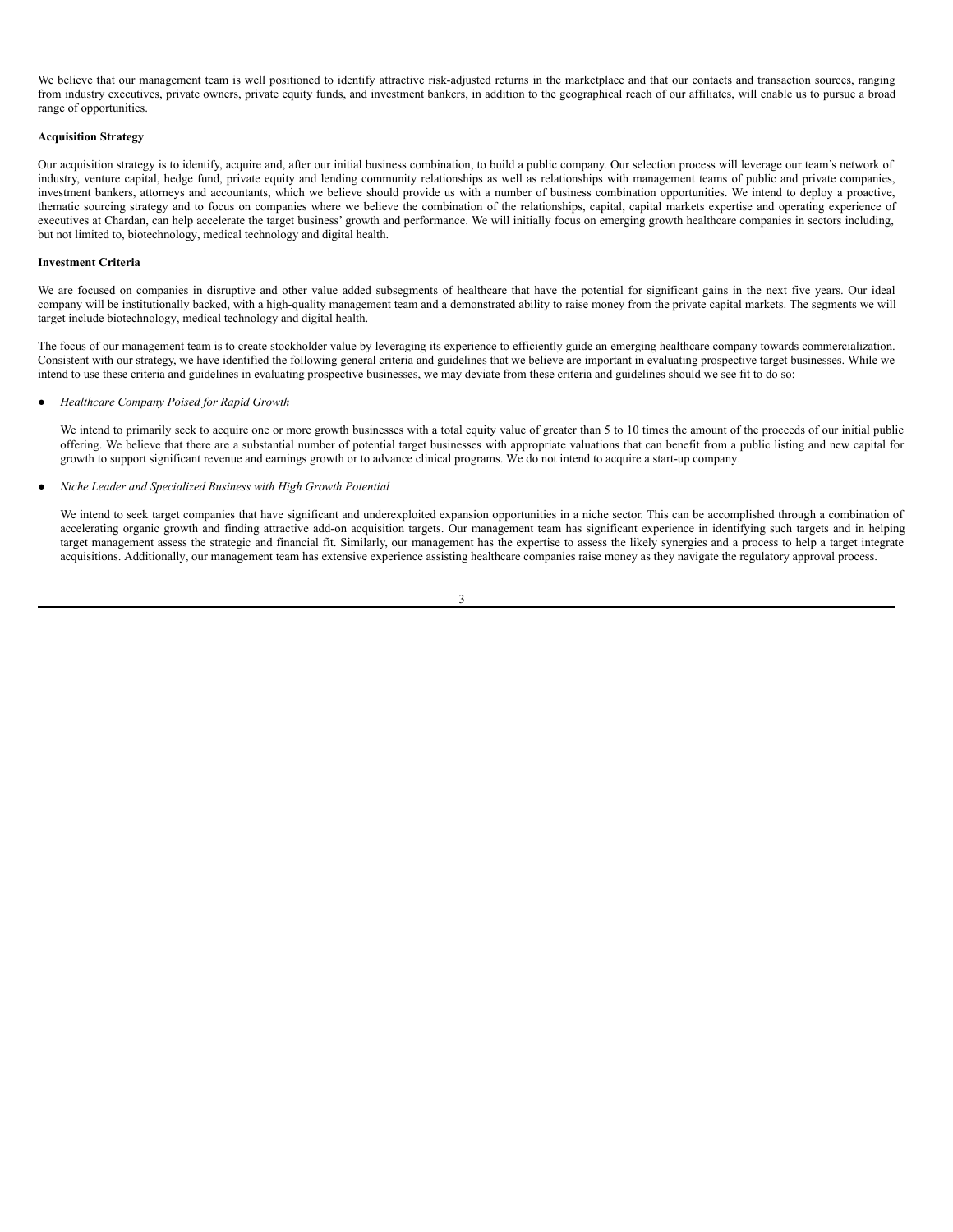We believe that our management team is well positioned to identify attractive risk-adjusted returns in the marketplace and that our contacts and transaction sources, ranging from industry executives, private owners, private equity funds, and investment bankers, in addition to the geographical reach of our affiliates, will enable us to pursue a broad range of opportunities.

# **Acquisition Strategy**

Our acquisition strategy is to identify, acquire and, after our initial business combination, to build a public company. Our selection process will leverage our team's network of industry, venture capital, hedge fund, private equity and lending community relationships as well as relationships with management teams of public and private companies, investment bankers, attorneys and accountants, which we believe should provide us with a number of business combination opportunities. We intend to deploy a proactive, thematic sourcing strategy and to focus on companies where we believe the combination of the relationships, capital, capital markets expertise and operating experience of executives at Chardan, can help accelerate the target business' growth and performance. We will initially focus on emerging growth healthcare companies in sectors including, but not limited to, biotechnology, medical technology and digital health.

#### **Investment Criteria**

We are focused on companies in disruptive and other value added subsegments of healthcare that have the potential for significant gains in the next five years. Our ideal company will be institutionally backed, with a high-quality management team and a demonstrated ability to raise money from the private capital markets. The segments we will target include biotechnology, medical technology and digital health.

The focus of our management team is to create stockholder value by leveraging its experience to efficiently guide an emerging healthcare company towards commercialization. Consistent with our strategy, we have identified the following general criteria and guidelines that we believe are important in evaluating prospective target businesses. While we intend to use these criteria and guidelines in evaluating prospective businesses, we may deviate from these criteria and guidelines should we see fit to do so:

## ● *Healthcare Company Poised for Rapid Growth*

We intend to primarily seek to acquire one or more growth businesses with a total equity value of greater than 5 to 10 times the amount of the proceeds of our initial public offering. We believe that there are a substantial number of potential target businesses with appropriate valuations that can benefit from a public listing and new capital for growth to support significant revenue and earnings growth or to advance clinical programs. We do not intend to acquire a start-up company.

# ● *Niche Leader and Specialized Business with High Growth Potential*

We intend to seek target companies that have significant and underexploited expansion opportunities in a niche sector. This can be accomplished through a combination of accelerating organic growth and finding attractive add-on acquisition targets. Our management team has significant experience in identifying such targets and in helping target management assess the strategic and financial fit. Similarly, our management has the expertise to assess the likely synergies and a process to help a target integrate acquisitions. Additionally, our management team has extensive experience assisting healthcare companies raise money as they navigate the regulatory approval process.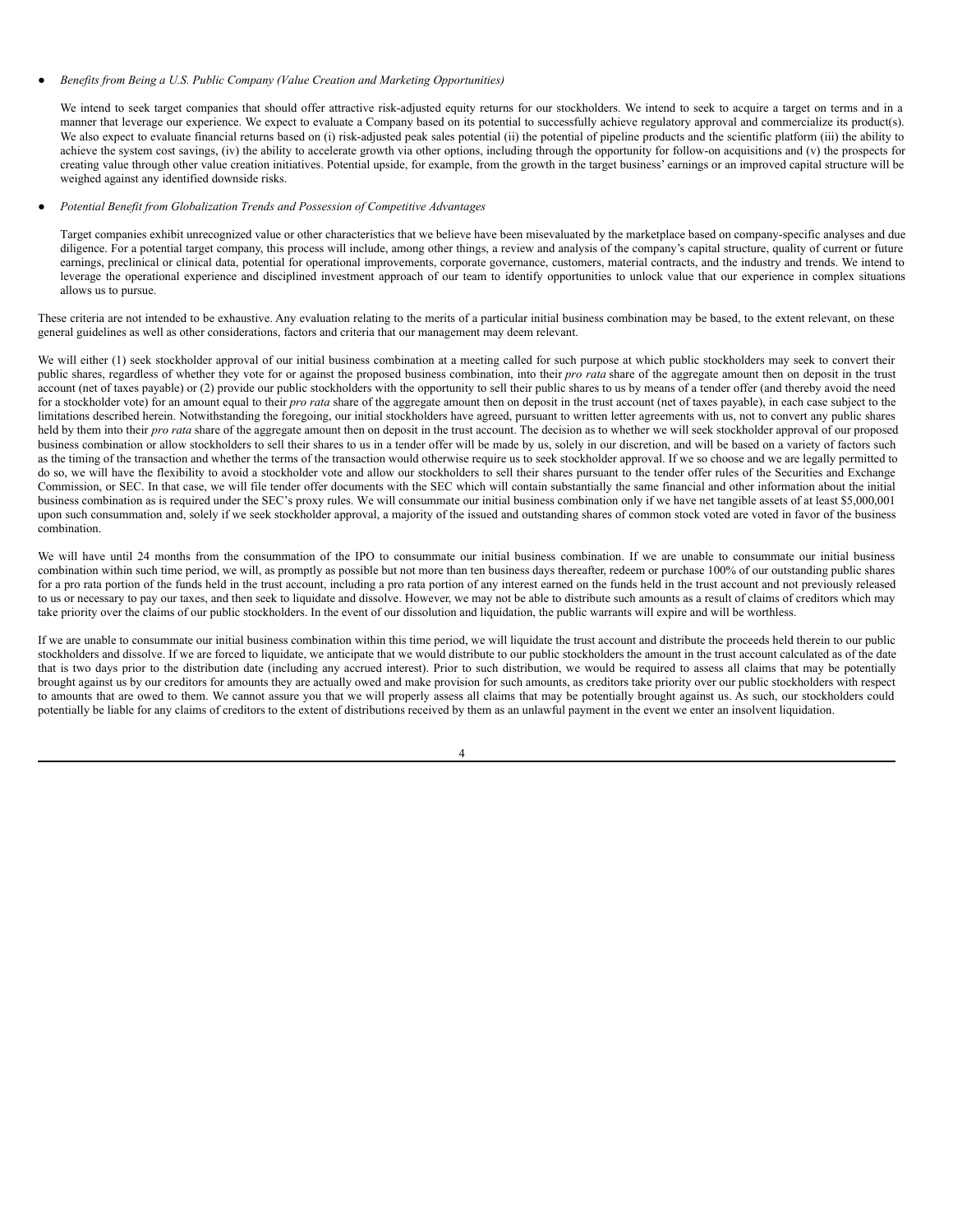● *Benefits from Being a U.S. Public Company (Value Creation and Marketing Opportunities)*

We intend to seek target companies that should offer attractive risk-adjusted equity returns for our stockholders. We intend to seek to acquire a target on terms and in a manner that leverage our experience. We expect to evaluate a Company based on its potential to successfully achieve regulatory approval and commercialize its product(s). We also expect to evaluate financial returns based on (i) risk-adjusted peak sales potential (ii) the potential of pipeline products and the scientific platform (iii) the ability to achieve the system cost savings, (iv) the ability to accelerate growth via other options, including through the opportunity for follow-on acquisitions and (v) the prospects for creating value through other value creation initiatives. Potential upside, for example, from the growth in the target business' earnings or an improved capital structure will be weighed against any identified downside risks.

● *Potential Benefit from Globalization Trends and Possession of Competitive Advantages*

Target companies exhibit unrecognized value or other characteristics that we believe have been misevaluated by the marketplace based on company-specific analyses and due diligence. For a potential target company, this process will include, among other things, a review and analysis of the company's capital structure, quality of current or future earnings, preclinical or clinical data, potential for operational improvements, corporate governance, customers, material contracts, and the industry and trends. We intend to leverage the operational experience and disciplined investment approach of our team to identify opportunities to unlock value that our experience in complex situations allows us to pursue.

These criteria are not intended to be exhaustive. Any evaluation relating to the merits of a particular initial business combination may be based, to the extent relevant, on these general guidelines as well as other considerations, factors and criteria that our management may deem relevant.

We will either (1) seek stockholder approval of our initial business combination at a meeting called for such purpose at which public stockholders may seek to convert their public shares, regardless of whether they vote for or against the proposed business combination, into their *pro rata* share of the aggregate amount then on deposit in the trust account (net of taxes payable) or (2) provide our public stockholders with the opportunity to sell their public shares to us by means of a tender offer (and thereby avoid the need for a stockholder vote) for an amount equal to their *pro rata* share of the aggregate amount then on deposit in the trust account (net of taxes payable), in each case subject to the limitations described herein. Notwithstanding the foregoing, our initial stockholders have agreed, pursuant to written letter agreements with us, not to convert any public shares held by them into their *pro rata* share of the aggregate amount then on deposit in the trust account. The decision as to whether we will seek stockholder approval of our proposed business combination or allow stockholders to sell their shares to us in a tender offer will be made by us, solely in our discretion, and will be based on a variety of factors such as the timing of the transaction and whether the terms of the transaction would otherwise require us to seek stockholder approval. If we so choose and we are legally permitted to do so, we will have the flexibility to avoid a stockholder vote and allow our stockholders to sell their shares pursuant to the tender offer rules of the Securities and Exchange Commission, or SEC. In that case, we will file tender offer documents with the SEC which will contain substantially the same financial and other information about the initial business combination as is required under the SEC's proxy rules. We will consummate our initial business combination only if we have net tangible assets of at least \$5,000,001 upon such consummation and, solely if we seek stockholder approval, a majority of the issued and outstanding shares of common stock voted are voted in favor of the business combination.

We will have until 24 months from the consummation of the IPO to consummate our initial business combination. If we are unable to consummate our initial business combination within such time period, we will, as promptly as possible but not more than ten business days thereafter, redeem or purchase 100% of our outstanding public shares for a pro rata portion of the funds held in the trust account, including a pro rata portion of any interest earned on the funds held in the trust account and not previously released to us or necessary to pay our taxes, and then seek to liquidate and dissolve. However, we may not be able to distribute such amounts as a result of claims of creditors which may take priority over the claims of our public stockholders. In the event of our dissolution and liquidation, the public warrants will expire and will be worthless.

If we are unable to consummate our initial business combination within this time period, we will liquidate the trust account and distribute the proceeds held therein to our public stockholders and dissolve. If we are forced to liquidate, we anticipate that we would distribute to our public stockholders the amount in the trust account calculated as of the date that is two days prior to the distribution date (including any accrued interest). Prior to such distribution, we would be required to assess all claims that may be potentially brought against us by our creditors for amounts they are actually owed and make provision for such amounts, as creditors take priority over our public stockholders with respect to amounts that are owed to them. We cannot assure you that we will properly assess all claims that may be potentially brought against us. As such, our stockholders could potentially be liable for any claims of creditors to the extent of distributions received by them as an unlawful payment in the event we enter an insolvent liquidation.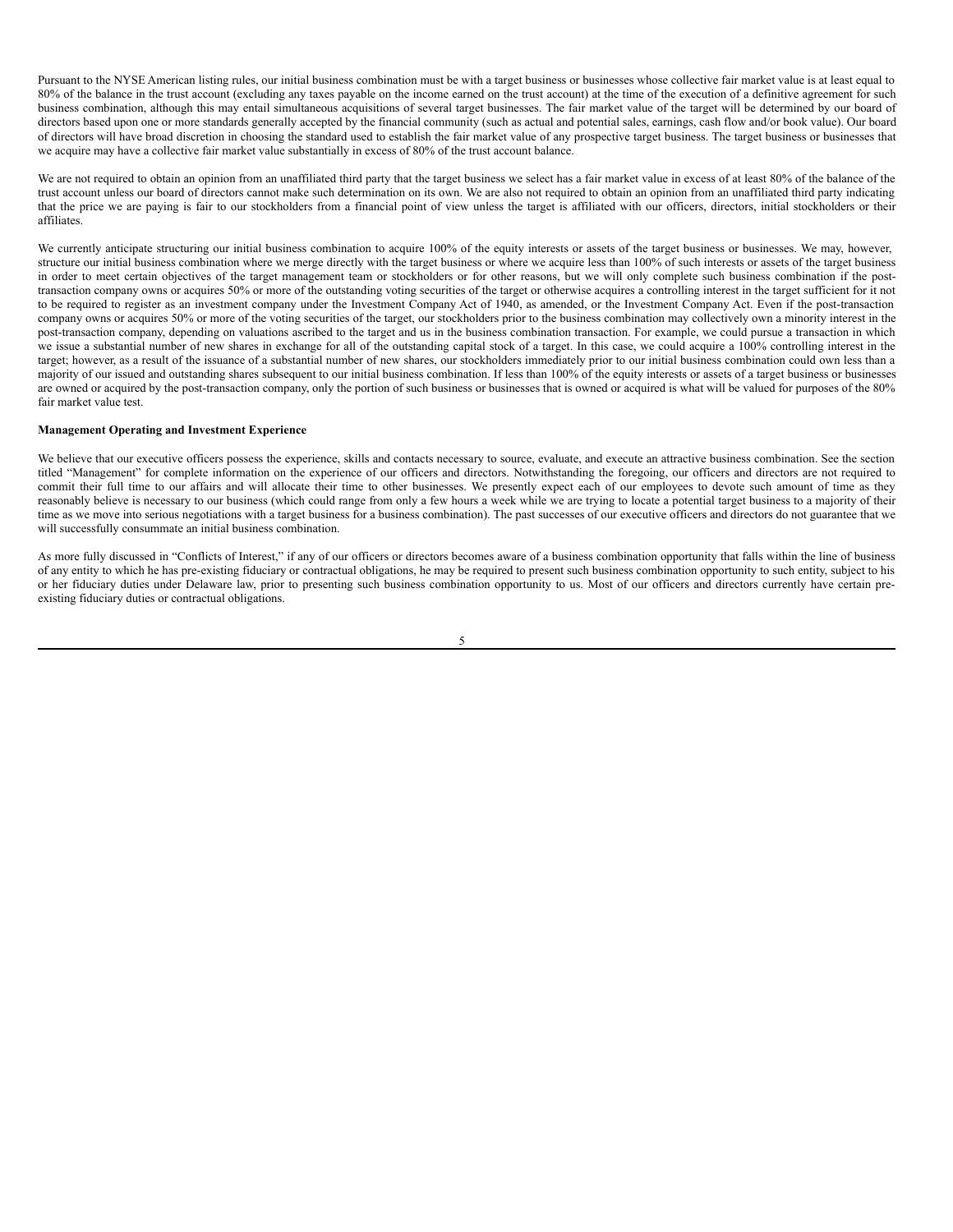Pursuant to the NYSE American listing rules, our initial business combination must be with a target business or businesses whose collective fair market value is at least equal to 80% of the balance in the trust account (excluding any taxes payable on the income earned on the trust account) at the time of the execution of a definitive agreement for such business combination, although this may entail simultaneous acquisitions of several target businesses. The fair market value of the target will be determined by our board of directors based upon one or more standards generally accepted by the financial community (such as actual and potential sales, earnings, cash flow and/or book value). Our board of directors will have broad discretion in choosing the standard used to establish the fair market value of any prospective target business. The target business or businesses that we acquire may have a collective fair market value substantially in excess of 80% of the trust account balance.

We are not required to obtain an opinion from an unaffiliated third party that the target business we select has a fair market value in excess of at least 80% of the balance of the trust account unless our board of directors cannot make such determination on its own. We are also not required to obtain an opinion from an unaffiliated third party indicating that the price we are paying is fair to our stockholders from a financial point of view unless the target is affiliated with our officers, directors, initial stockholders or their affiliates.

We currently anticipate structuring our initial business combination to acquire 100% of the equity interests or assets of the target business or businesses. We may, however, structure our initial business combination where we merge directly with the target business or where we acquire less than 100% of such interests or assets of the target business in order to meet certain objectives of the target management team or stockholders or for other reasons, but we will only complete such business combination if the posttransaction company owns or acquires 50% or more of the outstanding voting securities of the target or otherwise acquires a controlling interest in the target sufficient for it not to be required to register as an investment company under the Investment Company Act of 1940, as amended, or the Investment Company Act. Even if the post-transaction company owns or acquires 50% or more of the voting securities of the target, our stockholders prior to the business combination may collectively own a minority interest in the post-transaction company, depending on valuations ascribed to the target and us in the business combination transaction. For example, we could pursue a transaction in which we issue a substantial number of new shares in exchange for all of the outstanding capital stock of a target. In this case, we could acquire a 100% controlling interest in the target; however, as a result of the issuance of a substantial number of new shares, our stockholders immediately prior to our initial business combination could own less than a majority of our issued and outstanding shares subsequent to our initial business combination. If less than 100% of the equity interests or assets of a target business or businesses are owned or acquired by the post-transaction company, only the portion of such business or businesses that is owned or acquired is what will be valued for purposes of the 80% fair market value test.

### **Management Operating and Investment Experience**

We believe that our executive officers possess the experience, skills and contacts necessary to source, evaluate, and execute an attractive business combination. See the section titled "Management" for complete information on the experience of our officers and directors. Notwithstanding the foregoing, our officers and directors are not required to commit their full time to our affairs and will allocate their time to other businesses. We presently expect each of our employees to devote such amount of time as they reasonably believe is necessary to our business (which could range from only a few hours a week while we are trying to locate a potential target business to a majority of their time as we move into serious negotiations with a target business for a business combination). The past successes of our executive officers and directors do not guarantee that we will successfully consummate an initial business combination.

As more fully discussed in "Conflicts of Interest," if any of our officers or directors becomes aware of a business combination opportunity that falls within the line of business of any entity to which he has pre-existing fiduciary or contractual obligations, he may be required to present such business combination opportunity to such entity, subject to his or her fiduciary duties under Delaware law, prior to presenting such business combination opportunity to us. Most of our officers and directors currently have certain preexisting fiduciary duties or contractual obligations.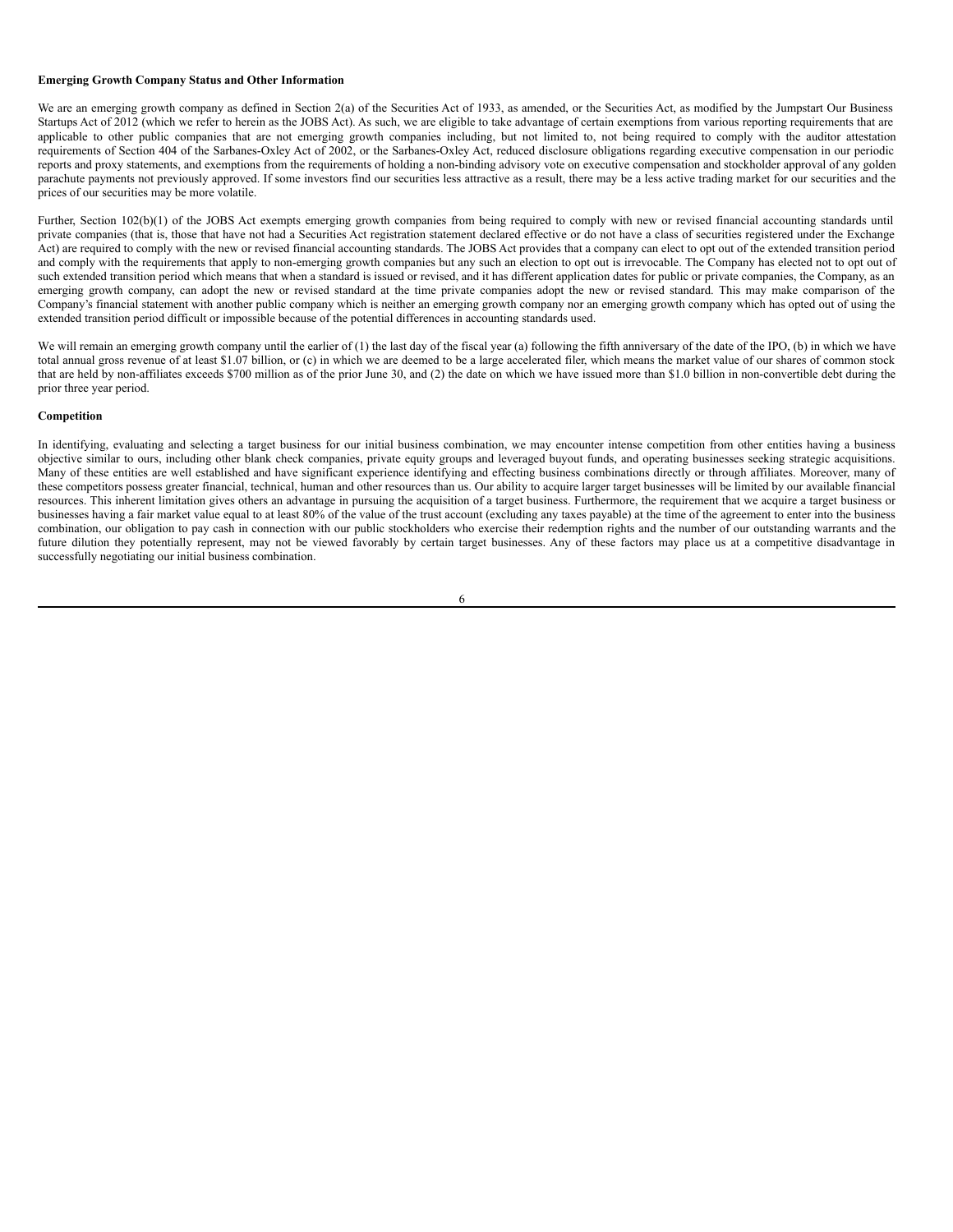#### **Emerging Growth Company Status and Other Information**

We are an emerging growth company as defined in Section 2(a) of the Securities Act of 1933, as amended, or the Securities Act, as modified by the Jumpstart Our Business Startups Act of 2012 (which we refer to herein as the JOBS Act). As such, we are eligible to take advantage of certain exemptions from various reporting requirements that are applicable to other public companies that are not emerging growth companies including, but not limited to, not being required to comply with the auditor attestation requirements of Section 404 of the Sarbanes-Oxley Act of 2002, or the Sarbanes-Oxley Act, reduced disclosure obligations regarding executive compensation in our periodic reports and proxy statements, and exemptions from the requirements of holding a non-binding advisory vote on executive compensation and stockholder approval of any golden parachute payments not previously approved. If some investors find our securities less attractive as a result, there may be a less active trading market for our securities and the prices of our securities may be more volatile.

Further, Section 102(b)(1) of the JOBS Act exempts emerging growth companies from being required to comply with new or revised financial accounting standards until private companies (that is, those that have not had a Securities Act registration statement declared effective or do not have a class of securities registered under the Exchange Act) are required to comply with the new or revised financial accounting standards. The JOBS Act provides that a company can elect to opt out of the extended transition period and comply with the requirements that apply to non-emerging growth companies but any such an election to opt out is irrevocable. The Company has elected not to opt out of such extended transition period which means that when a standard is issued or revised, and it has different application dates for public or private companies, the Company, as an emerging growth company, can adopt the new or revised standard at the time private companies adopt the new or revised standard. This may make comparison of the Company's financial statement with another public company which is neither an emerging growth company nor an emerging growth company which has opted out of using the extended transition period difficult or impossible because of the potential differences in accounting standards used.

We will remain an emerging growth company until the earlier of (1) the last day of the fiscal year (a) following the fifth anniversary of the date of the IPO, (b) in which we have total annual gross revenue of at least \$1.07 billion, or (c) in which we are deemed to be a large accelerated filer, which means the market value of our shares of common stock that are held by non-affiliates exceeds \$700 million as of the prior June 30, and (2) the date on which we have issued more than \$1.0 billion in non-convertible debt during the prior three year period.

## **Competition**

In identifying, evaluating and selecting a target business for our initial business combination, we may encounter intense competition from other entities having a business objective similar to ours, including other blank check companies, private equity groups and leveraged buyout funds, and operating businesses seeking strategic acquisitions. Many of these entities are well established and have significant experience identifying and effecting business combinations directly or through affiliates. Moreover, many of these competitors possess greater financial, technical, human and other resources than us. Our ability to acquire larger target businesses will be limited by our available financial resources. This inherent limitation gives others an advantage in pursuing the acquisition of a target business. Furthermore, the requirement that we acquire a target business or businesses having a fair market value equal to at least 80% of the value of the trust account (excluding any taxes payable) at the time of the agreement to enter into the business combination, our obligation to pay cash in connection with our public stockholders who exercise their redemption rights and the number of our outstanding warrants and the future dilution they potentially represent, may not be viewed favorably by certain target businesses. Any of these factors may place us at a competitive disadvantage in successfully negotiating our initial business combination.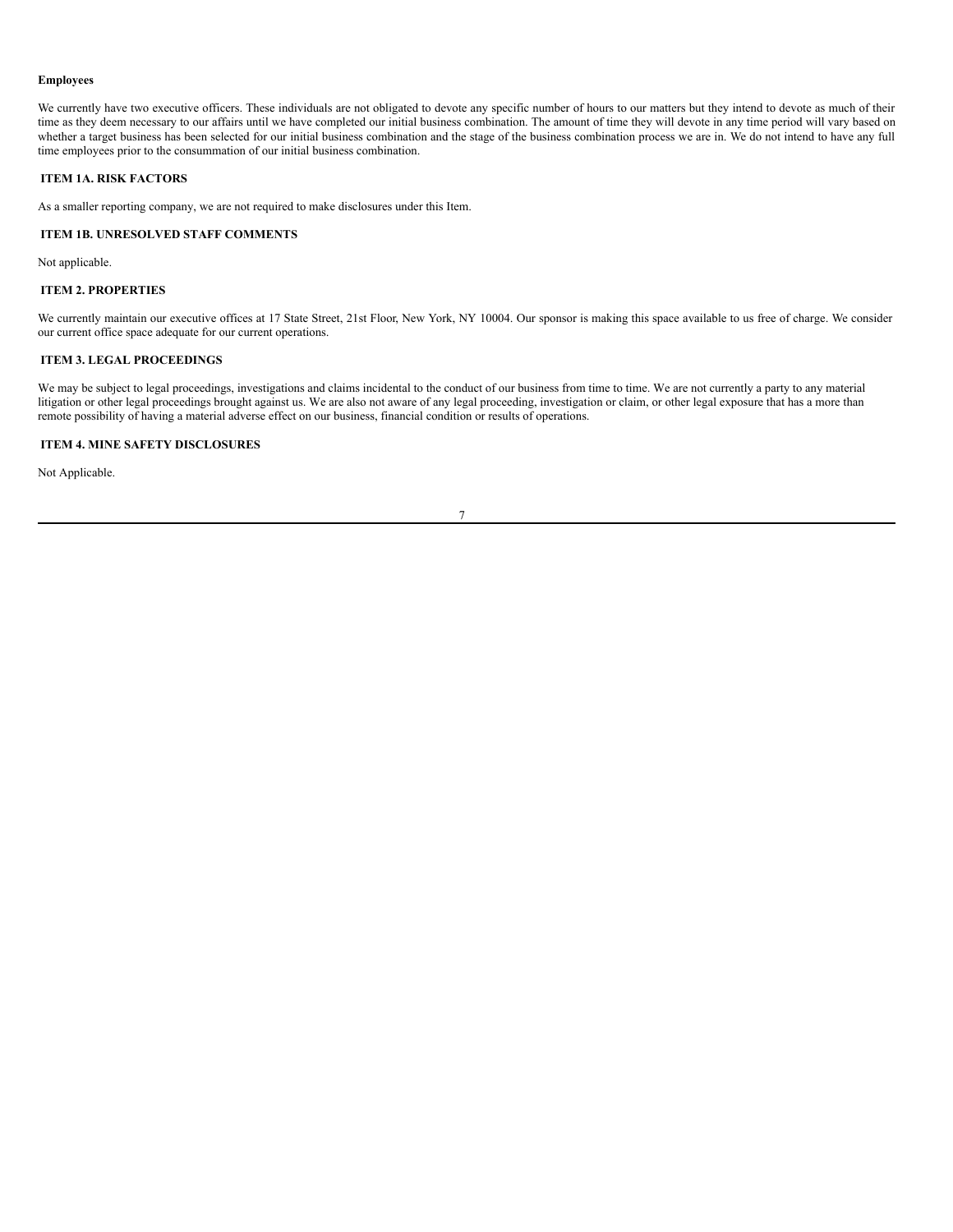#### **Employees**

We currently have two executive officers. These individuals are not obligated to devote any specific number of hours to our matters but they intend to devote as much of their time as they deem necessary to our affairs until we have completed our initial business combination. The amount of time they will devote in any time period will vary based on whether a target business has been selected for our initial business combination and the stage of the business combination process we are in. We do not intend to have any full time employees prior to the consummation of our initial business combination.

# <span id="page-9-0"></span>**ITEM 1A. RISK FACTORS**

As a smaller reporting company, we are not required to make disclosures under this Item.

## <span id="page-9-1"></span>**ITEM 1B. UNRESOLVED STAFF COMMENTS**

Not applicable.

## <span id="page-9-2"></span>**ITEM 2. PROPERTIES**

We currently maintain our executive offices at 17 State Street, 21st Floor, New York, NY 10004. Our sponsor is making this space available to us free of charge. We consider our current office space adequate for our current operations.

## <span id="page-9-3"></span>**ITEM 3. LEGAL PROCEEDINGS**

We may be subject to legal proceedings, investigations and claims incidental to the conduct of our business from time to time. We are not currently a party to any material litigation or other legal proceedings brought against us. We are also not aware of any legal proceeding, investigation or claim, or other legal exposure that has a more than remote possibility of having a material adverse effect on our business, financial condition or results of operations.

# <span id="page-9-4"></span>**ITEM 4. MINE SAFETY DISCLOSURES**

Not Applicable.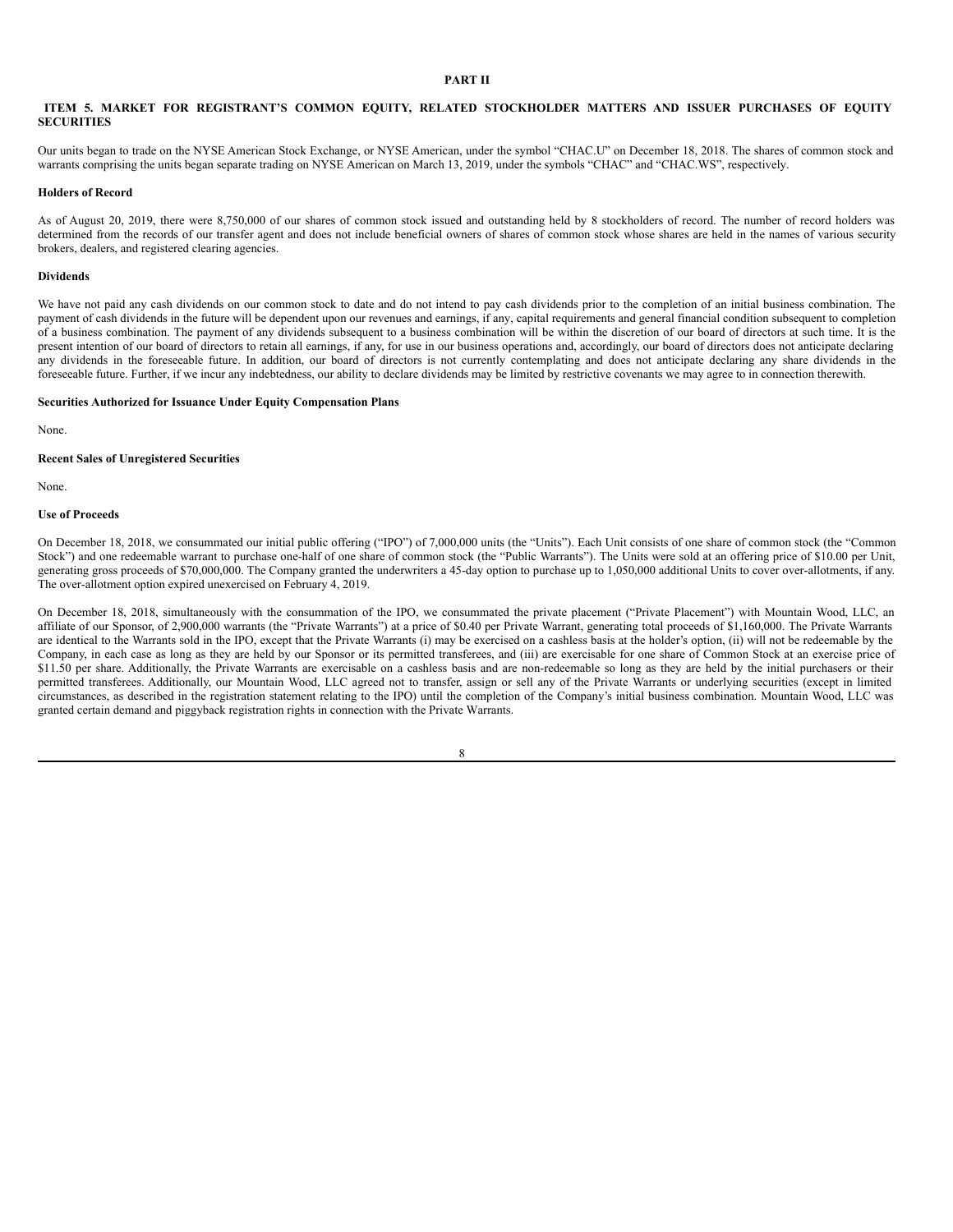# <span id="page-10-0"></span>**PART II**

## <span id="page-10-1"></span>**ITEM 5. MARKET FOR REGISTRANT'S COMMON EQUITY, RELATED STOCKHOLDER MATTERS AND ISSUER PURCHASES OF EQUITY SECURITIES**

Our units began to trade on the NYSE American Stock Exchange, or NYSE American, under the symbol "CHAC.U" on December 18, 2018. The shares of common stock and warrants comprising the units began separate trading on NYSE American on March 13, 2019, under the symbols "CHAC" and "CHAC.WS", respectively.

#### **Holders of Record**

As of August 20, 2019, there were 8,750,000 of our shares of common stock issued and outstanding held by 8 stockholders of record. The number of record holders was determined from the records of our transfer agent and does not include beneficial owners of shares of common stock whose shares are held in the names of various security brokers, dealers, and registered clearing agencies.

#### **Dividends**

We have not paid any cash dividends on our common stock to date and do not intend to pay cash dividends prior to the completion of an initial business combination. The payment of cash dividends in the future will be dependent upon our revenues and earnings, if any, capital requirements and general financial condition subsequent to completion of a business combination. The payment of any dividends subsequent to a business combination will be within the discretion of our board of directors at such time. It is the present intention of our board of directors to retain all earnings, if any, for use in our business operations and, accordingly, our board of directors does not anticipate declaring any dividends in the foreseeable future. In addition, our board of directors is not currently contemplating and does not anticipate declaring any share dividends in the foreseeable future. Further, if we incur any indebtedness, our ability to declare dividends may be limited by restrictive covenants we may agree to in connection therewith.

## **Securities Authorized for Issuance Under Equity Compensation Plans**

None.

#### **Recent Sales of Unregistered Securities**

None.

# **Use of Proceeds**

On December 18, 2018, we consummated our initial public offering ("IPO") of 7,000,000 units (the "Units"). Each Unit consists of one share of common stock (the "Common Stock") and one redeemable warrant to purchase one-half of one share of common stock (the "Public Warrants"). The Units were sold at an offering price of \$10.00 per Unit, generating gross proceeds of \$70,000,000. The Company granted the underwriters a 45-day option to purchase up to 1,050,000 additional Units to cover over-allotments, if any. The over-allotment option expired unexercised on February 4, 2019.

On December 18, 2018, simultaneously with the consummation of the IPO, we consummated the private placement ("Private Placement") with Mountain Wood, LLC, an affiliate of our Sponsor, of 2,900,000 warrants (the "Private Warrants") at a price of \$0.40 per Private Warrant, generating total proceeds of \$1,160,000. The Private Warrants are identical to the Warrants sold in the IPO, except that the Private Warrants (i) may be exercised on a cashless basis at the holder's option, (ii) will not be redeemable by the Company, in each case as long as they are held by our Sponsor or its permitted transferees, and (iii) are exercisable for one share of Common Stock at an exercise price of \$11.50 per share. Additionally, the Private Warrants are exercisable on a cashless basis and are non-redeemable so long as they are held by the initial purchasers or their permitted transferees. Additionally, our Mountain Wood, LLC agreed not to transfer, assign or sell any of the Private Warrants or underlying securities (except in limited circumstances, as described in the registration statement relating to the IPO) until the completion of the Company's initial business combination. Mountain Wood, LLC was granted certain demand and piggyback registration rights in connection with the Private Warrants.

|   | I            |  |
|---|--------------|--|
| I |              |  |
| × | ۱,<br>ï<br>v |  |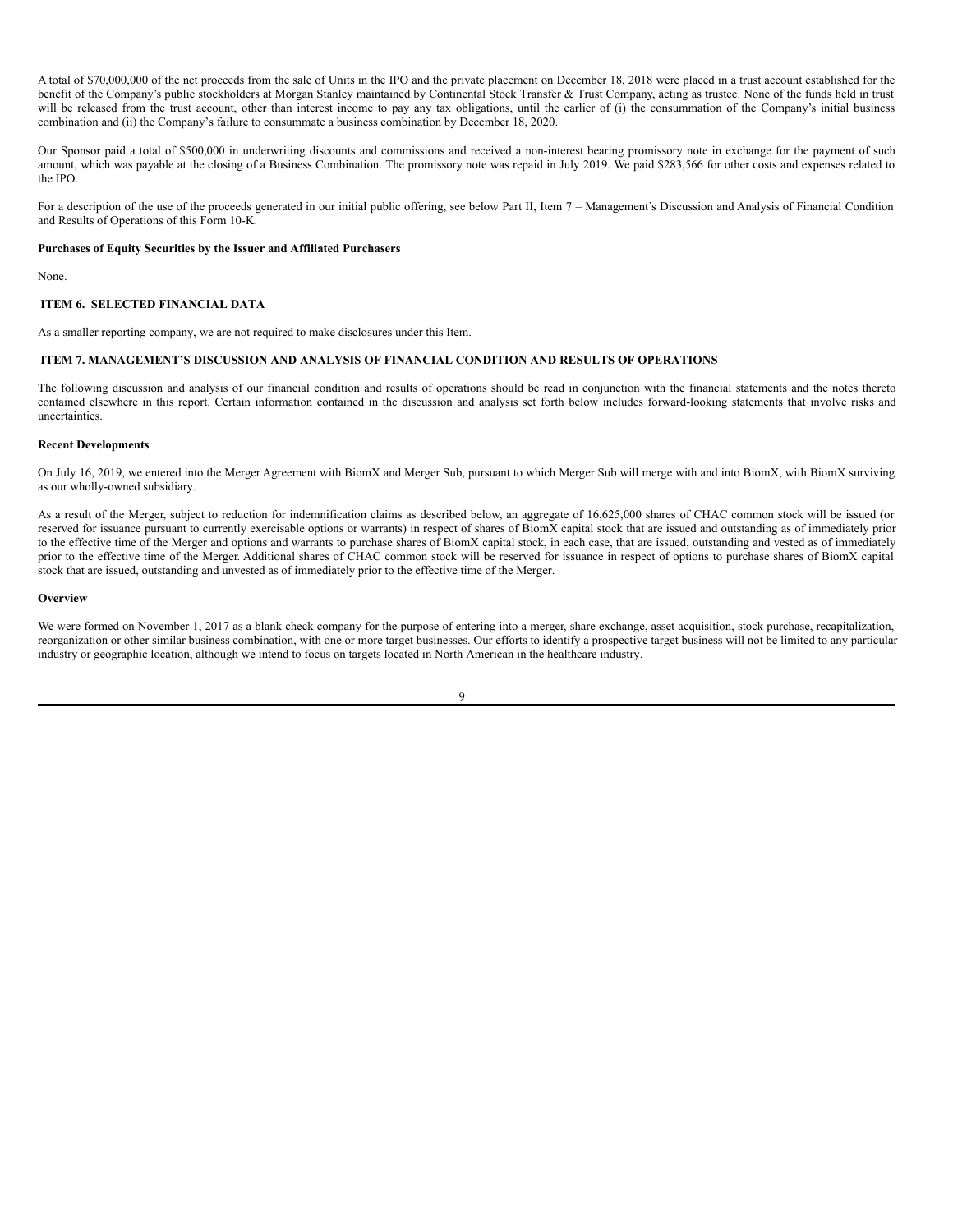A total of \$70,000,000 of the net proceeds from the sale of Units in the IPO and the private placement on December 18, 2018 were placed in a trust account established for the benefit of the Company's public stockholders at Morgan Stanley maintained by Continental Stock Transfer & Trust Company, acting as trustee. None of the funds held in trust will be released from the trust account, other than interest income to pay any tax obligations, until the earlier of (i) the consummation of the Company's initial business combination and (ii) the Company's failure to consummate a business combination by December 18, 2020.

Our Sponsor paid a total of \$500,000 in underwriting discounts and commissions and received a non-interest bearing promissory note in exchange for the payment of such amount, which was payable at the closing of a Business Combination. The promissory note was repaid in July 2019. We paid \$283,566 for other costs and expenses related to the IPO.

For a description of the use of the proceeds generated in our initial public offering, see below Part II, Item 7 – Management's Discussion and Analysis of Financial Condition and Results of Operations of this Form 10-K.

## **Purchases of Equity Securities by the Issuer and Affiliated Purchasers**

None.

### <span id="page-11-0"></span>**ITEM 6. SELECTED FINANCIAL DATA**

As a smaller reporting company, we are not required to make disclosures under this Item.

## <span id="page-11-1"></span>**ITEM 7. MANAGEMENT'S DISCUSSION AND ANALYSIS OF FINANCIAL CONDITION AND RESULTS OF OPERATIONS**

The following discussion and analysis of our financial condition and results of operations should be read in conjunction with the financial statements and the notes thereto contained elsewhere in this report. Certain information contained in the discussion and analysis set forth below includes forward-looking statements that involve risks and uncertainties.

## **Recent Developments**

On July 16, 2019, we entered into the Merger Agreement with BiomX and Merger Sub, pursuant to which Merger Sub will merge with and into BiomX, with BiomX surviving as our wholly-owned subsidiary.

As a result of the Merger, subject to reduction for indemnification claims as described below, an aggregate of 16,625,000 shares of CHAC common stock will be issued (or reserved for issuance pursuant to currently exercisable options or warrants) in respect of shares of BiomX capital stock that are issued and outstanding as of immediately prior to the effective time of the Merger and options and warrants to purchase shares of BiomX capital stock, in each case, that are issued, outstanding and vested as of immediately prior to the effective time of the Merger. Additional shares of CHAC common stock will be reserved for issuance in respect of options to purchase shares of BiomX capital stock that are issued, outstanding and unvested as of immediately prior to the effective time of the Merger.

#### **Overview**

We were formed on November 1, 2017 as a blank check company for the purpose of entering into a merger, share exchange, asset acquisition, stock purchase, recapitalization, reorganization or other similar business combination, with one or more target businesses. Our efforts to identify a prospective target business will not be limited to any particular industry or geographic location, although we intend to focus on targets located in North American in the healthcare industry.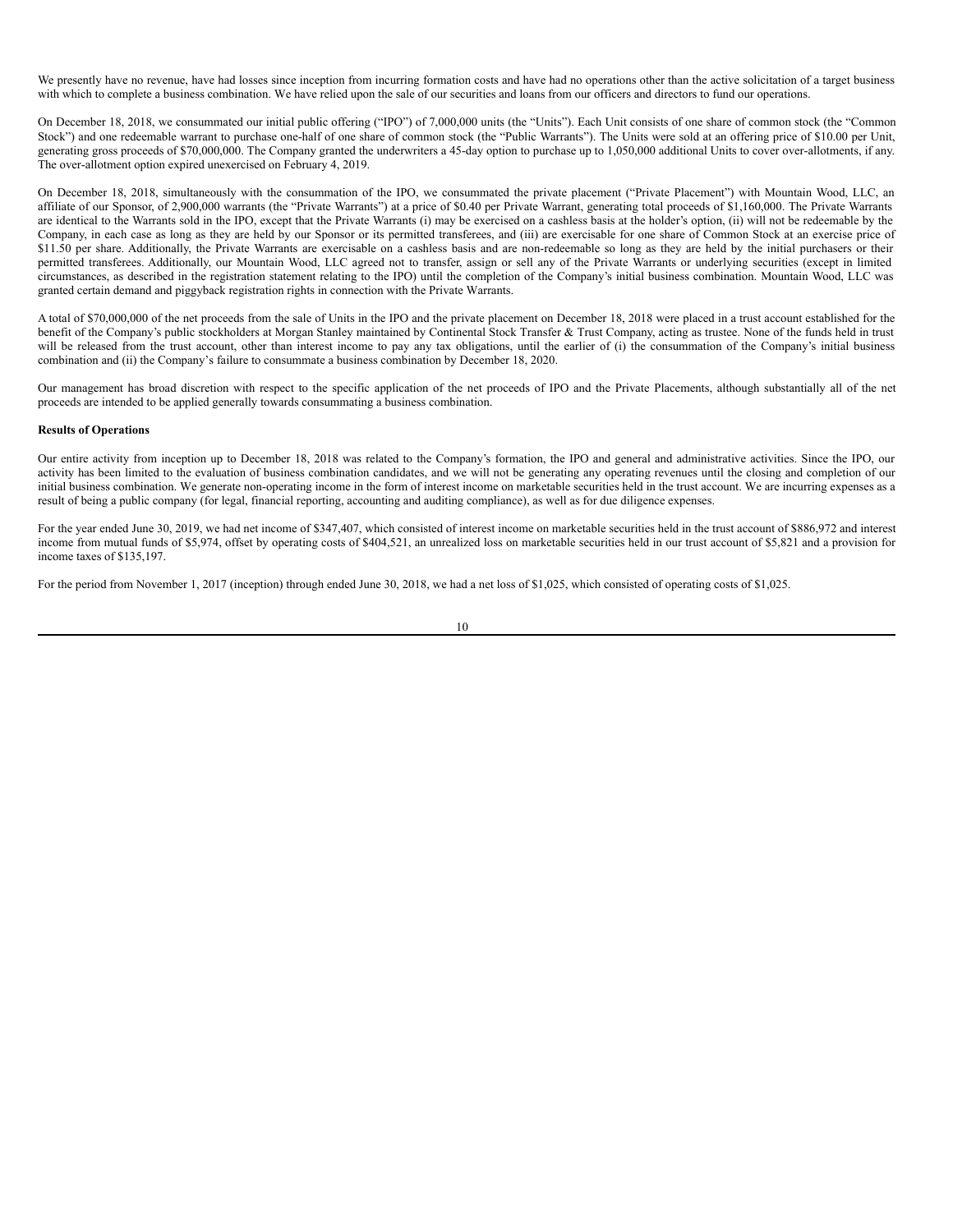We presently have no revenue, have had losses since inception from incurring formation costs and have had no operations other than the active solicitation of a target business with which to complete a business combination. We have relied upon the sale of our securities and loans from our officers and directors to fund our operations.

On December 18, 2018, we consummated our initial public offering ("IPO") of 7,000,000 units (the "Units"). Each Unit consists of one share of common stock (the "Common Stock") and one redeemable warrant to purchase one-half of one share of common stock (the "Public Warrants"). The Units were sold at an offering price of \$10.00 per Unit, generating gross proceeds of \$70,000,000. The Company granted the underwriters a 45-day option to purchase up to 1,050,000 additional Units to cover over-allotments, if any. The over-allotment option expired unexercised on February 4, 2019.

On December 18, 2018, simultaneously with the consummation of the IPO, we consummated the private placement ("Private Placement") with Mountain Wood, LLC, an affiliate of our Sponsor, of 2,900,000 warrants (the "Private Warrants") at a price of \$0.40 per Private Warrant, generating total proceeds of \$1,160,000. The Private Warrants are identical to the Warrants sold in the IPO, except that the Private Warrants (i) may be exercised on a cashless basis at the holder's option, (ii) will not be redeemable by the Company, in each case as long as they are held by our Sponsor or its permitted transferees, and (iii) are exercisable for one share of Common Stock at an exercise price of \$11.50 per share. Additionally, the Private Warrants are exercisable on a cashless basis and are non-redeemable so long as they are held by the initial purchasers or their permitted transferees. Additionally, our Mountain Wood, LLC agreed not to transfer, assign or sell any of the Private Warrants or underlying securities (except in limited circumstances, as described in the registration statement relating to the IPO) until the completion of the Company's initial business combination. Mountain Wood, LLC was granted certain demand and piggyback registration rights in connection with the Private Warrants.

A total of \$70,000,000 of the net proceeds from the sale of Units in the IPO and the private placement on December 18, 2018 were placed in a trust account established for the benefit of the Company's public stockholders at Morgan Stanley maintained by Continental Stock Transfer & Trust Company, acting as trustee. None of the funds held in trust will be released from the trust account, other than interest income to pay any tax obligations, until the earlier of (i) the consummation of the Company's initial business combination and (ii) the Company's failure to consummate a business combination by December 18, 2020.

Our management has broad discretion with respect to the specific application of the net proceeds of IPO and the Private Placements, although substantially all of the net proceeds are intended to be applied generally towards consummating a business combination.

### **Results of Operations**

Our entire activity from inception up to December 18, 2018 was related to the Company's formation, the IPO and general and administrative activities. Since the IPO, our activity has been limited to the evaluation of business combination candidates, and we will not be generating any operating revenues until the closing and completion of our initial business combination. We generate non-operating income in the form of interest income on marketable securities held in the trust account. We are incurring expenses as a result of being a public company (for legal, financial reporting, accounting and auditing compliance), as well as for due diligence expenses.

For the year ended June 30, 2019, we had net income of \$347,407, which consisted of interest income on marketable securities held in the trust account of \$886,972 and interest income from mutual funds of \$5,974, offset by operating costs of \$404,521, an unrealized loss on marketable securities held in our trust account of \$5,821 and a provision for income taxes of \$135,197.

For the period from November 1, 2017 (inception) through ended June 30, 2018, we had a net loss of \$1,025, which consisted of operating costs of \$1,025.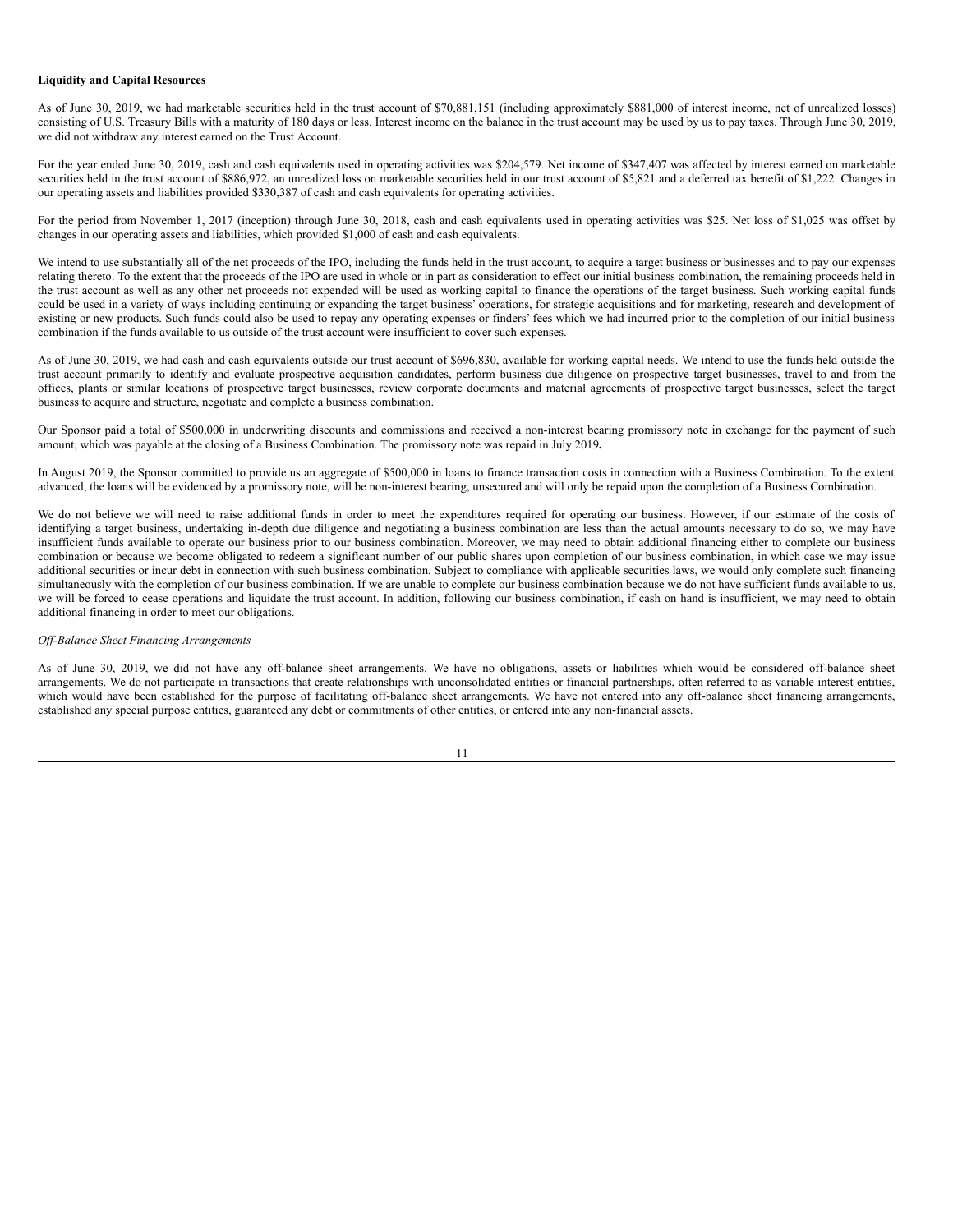#### **Liquidity and Capital Resources**

As of June 30, 2019, we had marketable securities held in the trust account of \$70,881,151 (including approximately \$881,000 of interest income, net of unrealized losses) consisting of U.S. Treasury Bills with a maturity of 180 days or less. Interest income on the balance in the trust account may be used by us to pay taxes. Through June 30, 2019, we did not withdraw any interest earned on the Trust Account.

For the year ended June 30, 2019, cash and cash equivalents used in operating activities was \$204,579. Net income of \$347,407 was affected by interest earned on marketable securities held in the trust account of \$886,972, an unrealized loss on marketable securities held in our trust account of \$5,821 and a deferred tax benefit of \$1,222. Changes in our operating assets and liabilities provided \$330,387 of cash and cash equivalents for operating activities.

For the period from November 1, 2017 (inception) through June 30, 2018, cash and cash equivalents used in operating activities was \$25. Net loss of \$1,025 was offset by changes in our operating assets and liabilities, which provided \$1,000 of cash and cash equivalents.

We intend to use substantially all of the net proceeds of the IPO, including the funds held in the trust account, to acquire a target business or businesses and to pay our expenses relating thereto. To the extent that the proceeds of the IPO are used in whole or in part as consideration to effect our initial business combination, the remaining proceeds held in the trust account as well as any other net proceeds not expended will be used as working capital to finance the operations of the target business. Such working capital funds could be used in a variety of ways including continuing or expanding the target business' operations, for strategic acquisitions and for marketing, research and development of existing or new products. Such funds could also be used to repay any operating expenses or finders' fees which we had incurred prior to the completion of our initial business combination if the funds available to us outside of the trust account were insufficient to cover such expenses.

As of June 30, 2019, we had cash and cash equivalents outside our trust account of \$696,830, available for working capital needs. We intend to use the funds held outside the trust account primarily to identify and evaluate prospective acquisition candidates, perform business due diligence on prospective target businesses, travel to and from the offices, plants or similar locations of prospective target businesses, review corporate documents and material agreements of prospective target businesses, select the target business to acquire and structure, negotiate and complete a business combination.

Our Sponsor paid a total of \$500,000 in underwriting discounts and commissions and received a non-interest bearing promissory note in exchange for the payment of such amount, which was payable at the closing of a Business Combination. The promissory note was repaid in July 2019**.**

In August 2019, the Sponsor committed to provide us an aggregate of \$500,000 in loans to finance transaction costs in connection with a Business Combination. To the extent advanced, the loans will be evidenced by a promissory note, will be non-interest bearing, unsecured and will only be repaid upon the completion of a Business Combination.

We do not believe we will need to raise additional funds in order to meet the expenditures required for operating our business. However, if our estimate of the costs of identifying a target business, undertaking in-depth due diligence and negotiating a business combination are less than the actual amounts necessary to do so, we may have insufficient funds available to operate our business prior to our business combination. Moreover, we may need to obtain additional financing either to complete our business combination or because we become obligated to redeem a significant number of our public shares upon completion of our business combination, in which case we may issue additional securities or incur debt in connection with such business combination. Subject to compliance with applicable securities laws, we would only complete such financing simultaneously with the completion of our business combination. If we are unable to complete our business combination because we do not have sufficient funds available to us, we will be forced to cease operations and liquidate the trust account. In addition, following our business combination, if cash on hand is insufficient, we may need to obtain additional financing in order to meet our obligations.

# *Of -Balance Sheet Financing Arrangements*

As of June 30, 2019, we did not have any off-balance sheet arrangements. We have no obligations, assets or liabilities which would be considered off-balance sheet arrangements. We do not participate in transactions that create relationships with unconsolidated entities or financial partnerships, often referred to as variable interest entities, which would have been established for the purpose of facilitating off-balance sheet arrangements. We have not entered into any off-balance sheet financing arrangements, established any special purpose entities, guaranteed any debt or commitments of other entities, or entered into any non-financial assets.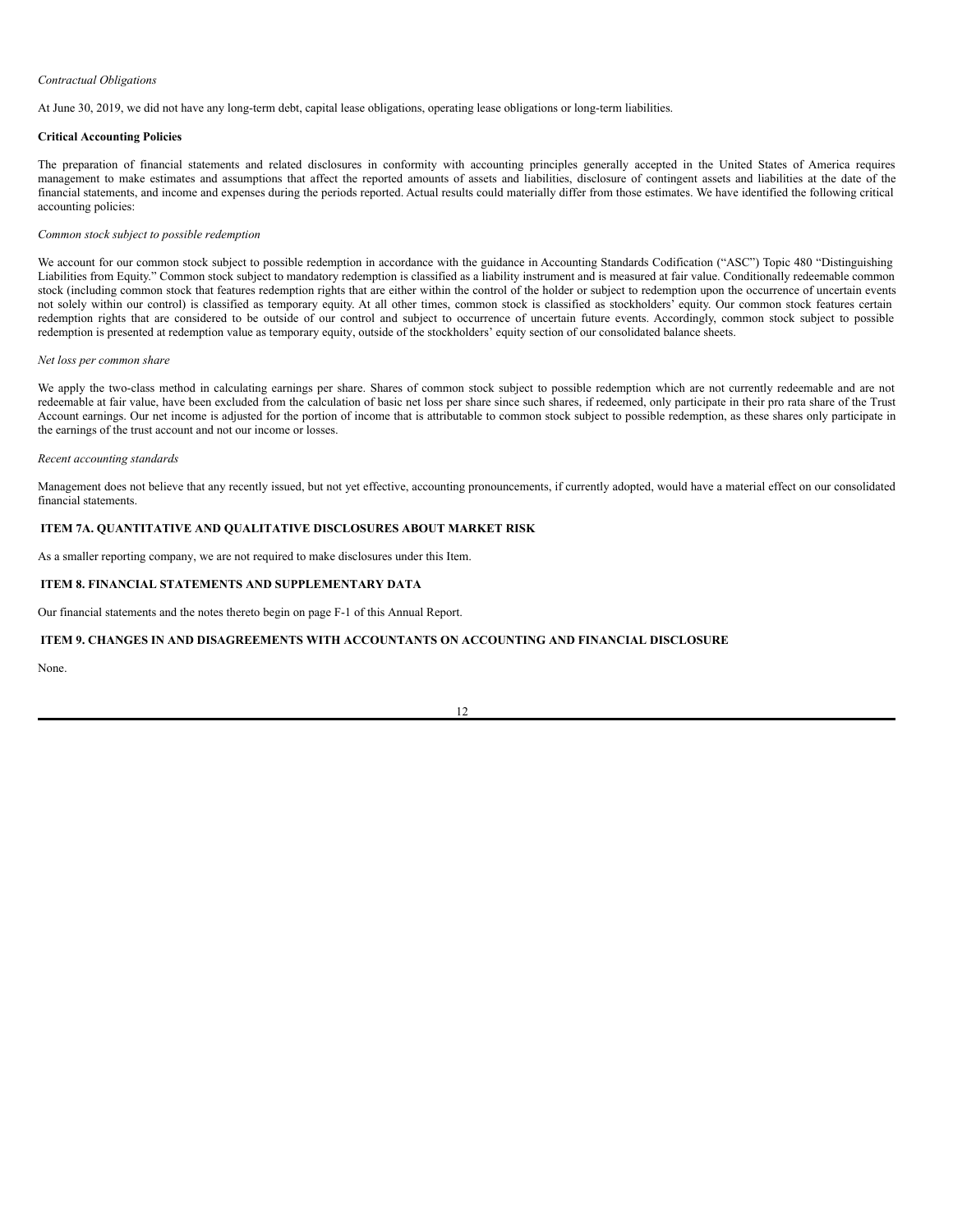#### *Contractual Obligations*

At June 30, 2019, we did not have any long-term debt, capital lease obligations, operating lease obligations or long-term liabilities.

## **Critical Accounting Policies**

The preparation of financial statements and related disclosures in conformity with accounting principles generally accepted in the United States of America requires management to make estimates and assumptions that affect the reported amounts of assets and liabilities, disclosure of contingent assets and liabilities at the date of the financial statements, and income and expenses during the periods reported. Actual results could materially differ from those estimates. We have identified the following critical accounting policies:

## *Common stock subject to possible redemption*

We account for our common stock subject to possible redemption in accordance with the guidance in Accounting Standards Codification ("ASC") Topic 480 "Distinguishing Liabilities from Equity." Common stock subject to mandatory redemption is classified as a liability instrument and is measured at fair value. Conditionally redeemable common stock (including common stock that features redemption rights that are either within the control of the holder or subject to redemption upon the occurrence of uncertain events not solely within our control) is classified as temporary equity. At all other times, common stock is classified as stockholders<sup>5</sup> equity. Our common stock features certain redemption rights that are considered to be outside of our control and subject to occurrence of uncertain future events. Accordingly, common stock subject to possible redemption is presented at redemption value as temporary equity, outside of the stockholders' equity section of our consolidated balance sheets.

### *Net loss per common share*

We apply the two-class method in calculating earnings per share. Shares of common stock subject to possible redemption which are not currently redeemable and are not redeemable at fair value, have been excluded from the calculation of basic net loss per share since such shares, if redeemed, only participate in their pro rata share of the Trust Account earnings. Our net income is adjusted for the portion of income that is attributable to common stock subject to possible redemption, as these shares only participate in the earnings of the trust account and not our income or losses.

### *Recent accounting standards*

Management does not believe that any recently issued, but not yet effective, accounting pronouncements, if currently adopted, would have a material effect on our consolidated financial statements.

# <span id="page-14-0"></span>**ITEM 7A. QUANTITATIVE AND QUALITATIVE DISCLOSURES ABOUT MARKET RISK**

As a smaller reporting company, we are not required to make disclosures under this Item.

# <span id="page-14-1"></span>**ITEM 8. FINANCIAL STATEMENTS AND SUPPLEMENTARY DATA**

Our financial statements and the notes thereto begin on page F-1 of this Annual Report.

# <span id="page-14-2"></span>**ITEM 9. CHANGES IN AND DISAGREEMENTS WITH ACCOUNTANTS ON ACCOUNTING AND FINANCIAL DISCLOSURE**

None.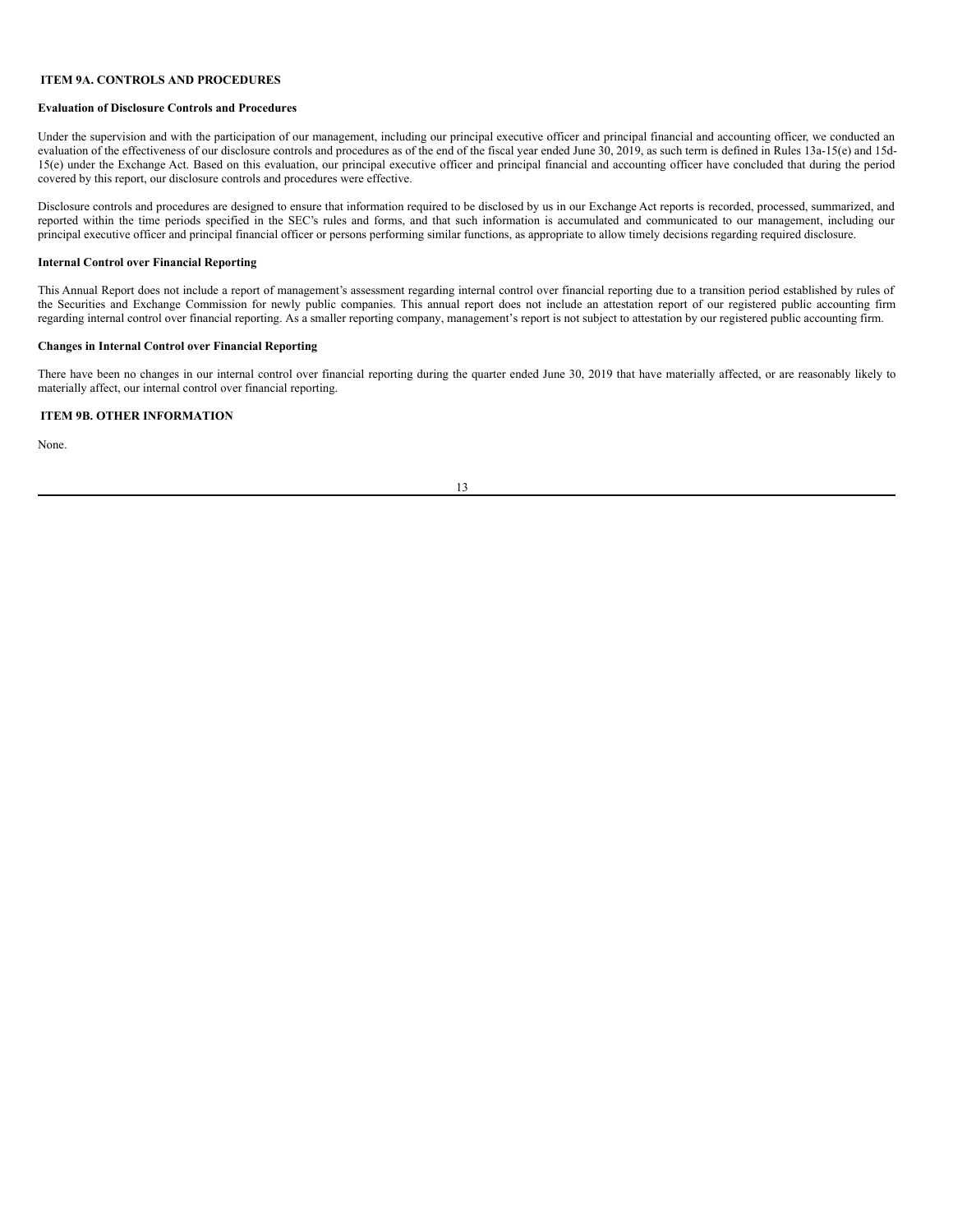# <span id="page-15-0"></span>**ITEM 9A. CONTROLS AND PROCEDURES**

## **Evaluation of Disclosure Controls and Procedures**

Under the supervision and with the participation of our management, including our principal executive officer and principal financial and accounting officer, we conducted an evaluation of the effectiveness of our disclosure controls and procedures as of the end of the fiscal year ended June 30, 2019, as such term is defined in Rules 13a-15(e) and 15d-15(e) under the Exchange Act. Based on this evaluation, our principal executive officer and principal financial and accounting officer have concluded that during the period covered by this report, our disclosure controls and procedures were effective.

Disclosure controls and procedures are designed to ensure that information required to be disclosed by us in our Exchange Act reports is recorded, processed, summarized, and reported within the time periods specified in the SEC's rules and forms, and that such information is accumulated and communicated to our management, including our principal executive officer and principal financial officer or persons performing similar functions, as appropriate to allow timely decisions regarding required disclosure.

#### **Internal Control over Financial Reporting**

This Annual Report does not include a report of management's assessment regarding internal control over financial reporting due to a transition period established by rules of the Securities and Exchange Commission for newly public companies. This annual report does not include an attestation report of our registered public accounting firm regarding internal control over financial reporting. As a smaller reporting company, management's report is not subject to attestation by our registered public accounting firm.

# **Changes in Internal Control over Financial Reporting**

There have been no changes in our internal control over financial reporting during the quarter ended June 30, 2019 that have materially affected, or are reasonably likely to materially affect, our internal control over financial reporting.

## <span id="page-15-1"></span>**ITEM 9B. OTHER INFORMATION**

None.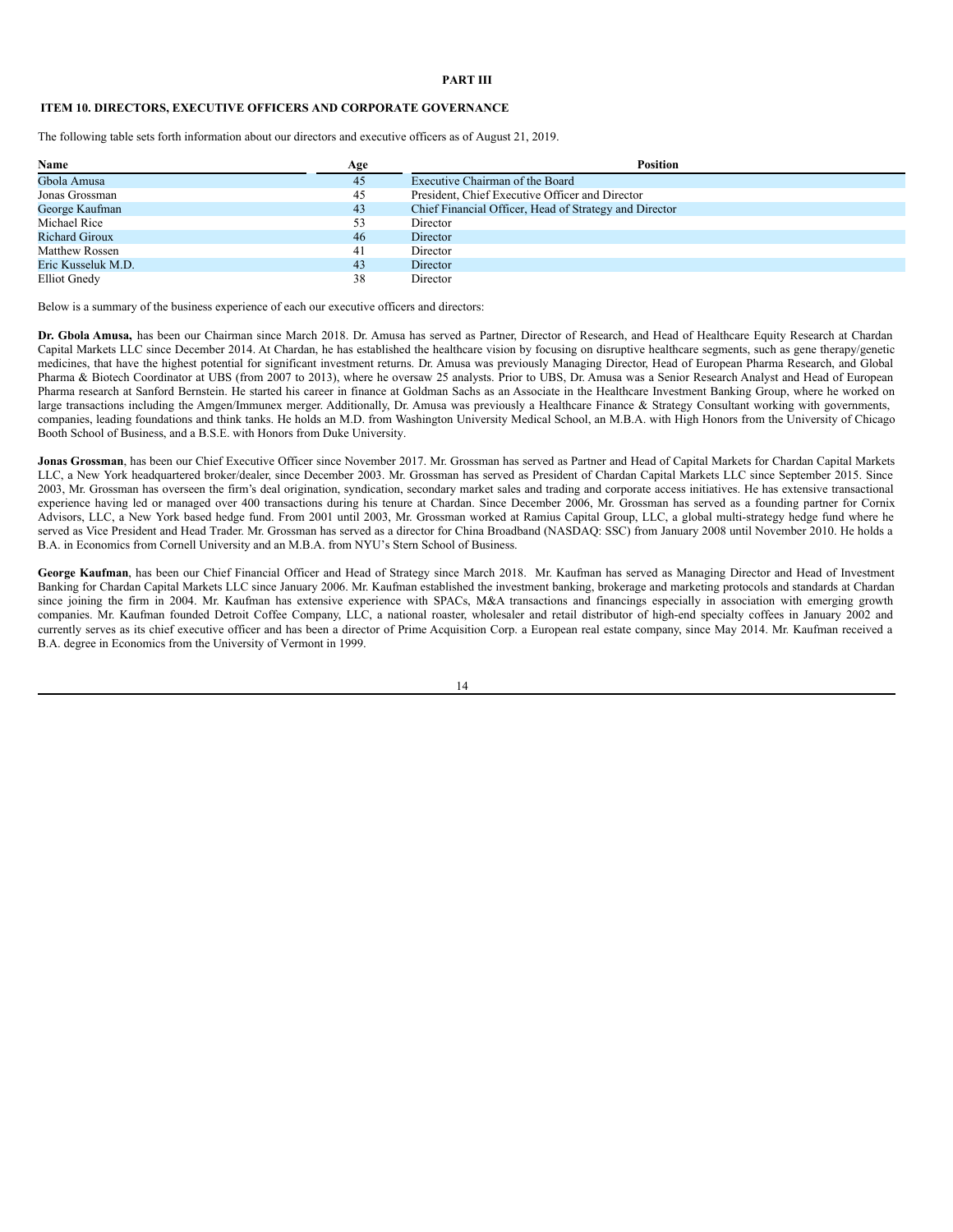## <span id="page-16-0"></span>**PART III**

# <span id="page-16-1"></span>**ITEM 10. DIRECTORS, EXECUTIVE OFFICERS AND CORPORATE GOVERNANCE**

The following table sets forth information about our directors and executive officers as of August 21, 2019.

| Name                  | Age | <b>Position</b>                                        |
|-----------------------|-----|--------------------------------------------------------|
| Gbola Amusa           | 45  | Executive Chairman of the Board                        |
| Jonas Grossman        | 45  | President, Chief Executive Officer and Director        |
| George Kaufman        | 43  | Chief Financial Officer, Head of Strategy and Director |
| Michael Rice          | 53  | Director                                               |
| <b>Richard Giroux</b> | 46  | Director                                               |
| <b>Matthew Rossen</b> | 41  | Director                                               |
| Eric Kusseluk M.D.    | 43  | Director                                               |
| <b>Elliot Gnedy</b>   | 38  | Director                                               |

Below is a summary of the business experience of each our executive officers and directors:

**Dr. Gbola Amusa,** has been our Chairman since March 2018. Dr. Amusa has served as Partner, Director of Research, and Head of Healthcare Equity Research at Chardan Capital Markets LLC since December 2014. At Chardan, he has established the healthcare vision by focusing on disruptive healthcare segments, such as gene therapy/genetic medicines, that have the highest potential for significant investment returns. Dr. Amusa was previously Managing Director, Head of European Pharma Research, and Global Pharma & Biotech Coordinator at UBS (from 2007 to 2013), where he oversaw 25 analysts. Prior to UBS, Dr. Amusa was a Senior Research Analyst and Head of European Pharma research at Sanford Bernstein. He started his career in finance at Goldman Sachs as an Associate in the Healthcare Investment Banking Group, where he worked on large transactions including the Amgen/Immunex merger. Additionally, Dr. Amusa was previously a Healthcare Finance & Strategy Consultant working with governments, companies, leading foundations and think tanks. He holds an M.D. from Washington University Medical School, an M.B.A. with High Honors from the University of Chicago Booth School of Business, and a B.S.E. with Honors from Duke University.

**Jonas Grossman**, has been our Chief Executive Officer since November 2017. Mr. Grossman has served as Partner and Head of Capital Markets for Chardan Capital Markets LLC, a New York headquartered broker/dealer, since December 2003. Mr. Grossman has served as President of Chardan Capital Markets LLC since September 2015. Since 2003, Mr. Grossman has overseen the firm's deal origination, syndication, secondary market sales and trading and corporate access initiatives. He has extensive transactional experience having led or managed over 400 transactions during his tenure at Chardan. Since December 2006, Mr. Grossman has served as a founding partner for Cornix Advisors, LLC, a New York based hedge fund. From 2001 until 2003, Mr. Grossman worked at Ramius Capital Group, LLC, a global multi-strategy hedge fund where he served as Vice President and Head Trader. Mr. Grossman has served as a director for China Broadband (NASDAQ: SSC) from January 2008 until November 2010. He holds a B.A. in Economics from Cornell University and an M.B.A. from NYU's Stern School of Business.

**George Kaufman**, has been our Chief Financial Officer and Head of Strategy since March 2018. Mr. Kaufman has served as Managing Director and Head of Investment Banking for Chardan Capital Markets LLC since January 2006. Mr. Kaufman established the investment banking, brokerage and marketing protocols and standards at Chardan since joining the firm in 2004. Mr. Kaufman has extensive experience with SPACs, M&A transactions and financings especially in association with emerging growth companies. Mr. Kaufman founded Detroit Coffee Company, LLC, a national roaster, wholesaler and retail distributor of high-end specialty coffees in January 2002 and currently serves as its chief executive officer and has been a director of Prime Acquisition Corp. a European real estate company, since May 2014. Mr. Kaufman received a B.A. degree in Economics from the University of Vermont in 1999.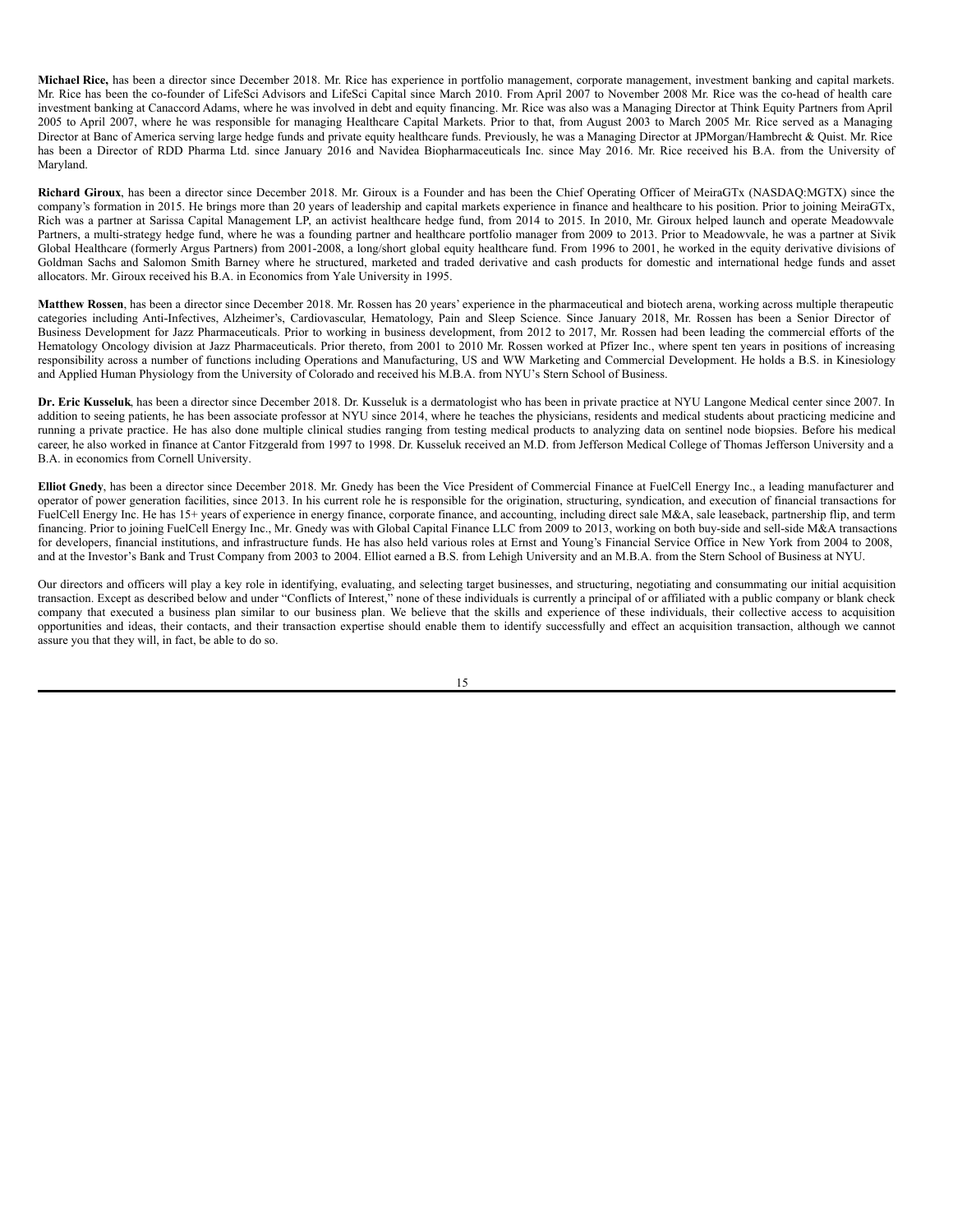**Michael Rice,** has been a director since December 2018. Mr. Rice has experience in portfolio management, corporate management, investment banking and capital markets. Mr. Rice has been the co-founder of LifeSci Advisors and LifeSci Capital since March 2010. From April 2007 to November 2008 Mr. Rice was the co-head of health care investment banking at Canaccord Adams, where he was involved in debt and equity financing. Mr. Rice was also was a Managing Director at Think Equity Partners from April 2005 to April 2007, where he was responsible for managing Healthcare Capital Markets. Prior to that, from August 2003 to March 2005 Mr. Rice served as a Managing Director at Banc of America serving large hedge funds and private equity healthcare funds. Previously, he was a Managing Director at JPMorgan/Hambrecht & Quist. Mr. Rice has been a Director of RDD Pharma Ltd. since January 2016 and Navidea Biopharmaceuticals Inc. since May 2016. Mr. Rice received his B.A. from the University of Maryland.

**Richard Giroux**, has been a director since December 2018. Mr. Giroux is a Founder and has been the Chief Operating Officer of MeiraGTx (NASDAQ:MGTX) since the company's formation in 2015. He brings more than 20 years of leadership and capital markets experience in finance and healthcare to his position. Prior to joining MeiraGTx, Rich was a partner at Sarissa Capital Management LP, an activist healthcare hedge fund, from 2014 to 2015. In 2010, Mr. Giroux helped launch and operate Meadowvale Partners, a multi-strategy hedge fund, where he was a founding partner and healthcare portfolio manager from 2009 to 2013. Prior to Meadowvale, he was a partner at Sivik Global Healthcare (formerly Argus Partners) from 2001-2008, a long/short global equity healthcare fund. From 1996 to 2001, he worked in the equity derivative divisions of Goldman Sachs and Salomon Smith Barney where he structured, marketed and traded derivative and cash products for domestic and international hedge funds and asset allocators. Mr. Giroux received his B.A. in Economics from Yale University in 1995.

**Matthew Rossen**, has been a director since December 2018. Mr. Rossen has 20 years' experience in the pharmaceutical and biotech arena, working across multiple therapeutic categories including Anti-Infectives, Alzheimer's, Cardiovascular, Hematology, Pain and Sleep Science. Since January 2018, Mr. Rossen has been a Senior Director of Business Development for Jazz Pharmaceuticals. Prior to working in business development, from 2012 to 2017, Mr. Rossen had been leading the commercial efforts of the Hematology Oncology division at Jazz Pharmaceuticals. Prior thereto, from 2001 to 2010 Mr. Rossen worked at Pfizer Inc., where spent ten years in positions of increasing responsibility across a number of functions including Operations and Manufacturing, US and WW Marketing and Commercial Development. He holds a B.S. in Kinesiology and Applied Human Physiology from the University of Colorado and received his M.B.A. from NYU's Stern School of Business.

**Dr. Eric Kusseluk**, has been a director since December 2018. Dr. Kusseluk is a dermatologist who has been in private practice at NYU Langone Medical center since 2007. In addition to seeing patients, he has been associate professor at NYU since 2014, where he teaches the physicians, residents and medical students about practicing medicine and running a private practice. He has also done multiple clinical studies ranging from testing medical products to analyzing data on sentinel node biopsies. Before his medical career, he also worked in finance at Cantor Fitzgerald from 1997 to 1998. Dr. Kusseluk received an M.D. from Jefferson Medical College of Thomas Jefferson University and a B.A. in economics from Cornell University.

**Elliot Gnedy**, has been a director since December 2018. Mr. Gnedy has been the Vice President of Commercial Finance at FuelCell Energy Inc., a leading manufacturer and operator of power generation facilities, since 2013. In his current role he is responsible for the origination, structuring, syndication, and execution of financial transactions for FuelCell Energy Inc. He has 15+ years of experience in energy finance, corporate finance, and accounting, including direct sale M&A, sale leaseback, partnership flip, and term financing. Prior to joining FuelCell Energy Inc., Mr. Gnedy was with Global Capital Finance LLC from 2009 to 2013, working on both buy-side and sell-side M&A transactions for developers, financial institutions, and infrastructure funds. He has also held various roles at Ernst and Young's Financial Service Office in New York from 2004 to 2008, and at the Investor's Bank and Trust Company from 2003 to 2004. Elliot earned a B.S. from Lehigh University and an M.B.A. from the Stern School of Business at NYU.

Our directors and officers will play a key role in identifying, evaluating, and selecting target businesses, and structuring, negotiating and consummating our initial acquisition transaction. Except as described below and under "Conflicts of Interest," none of these individuals is currently a principal of or affiliated with a public company or blank check company that executed a business plan similar to our business plan. We believe that the skills and experience of these individuals, their collective access to acquisition opportunities and ideas, their contacts, and their transaction expertise should enable them to identify successfully and effect an acquisition transaction, although we cannot assure you that they will, in fact, be able to do so.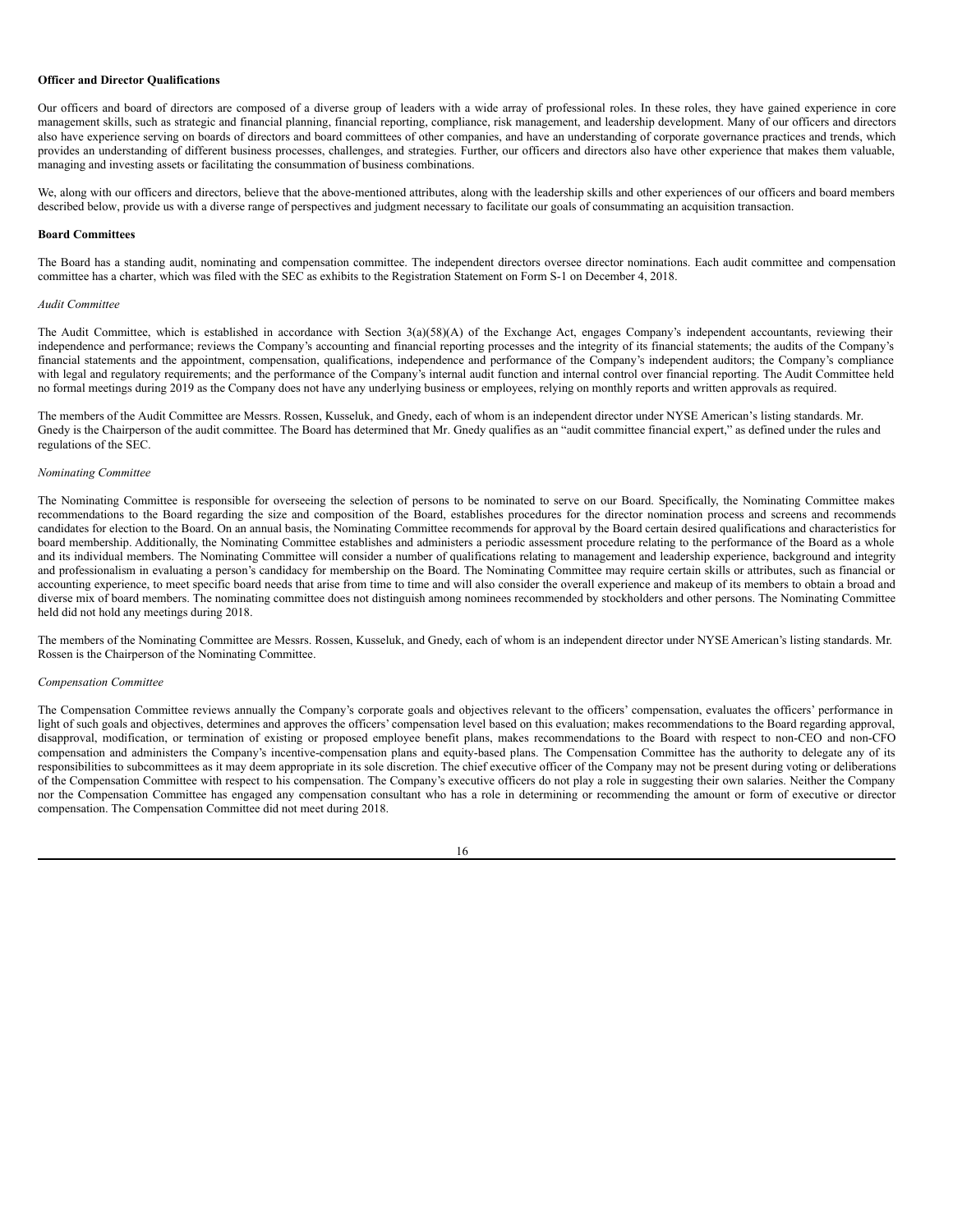#### **Officer and Director Qualifications**

Our officers and board of directors are composed of a diverse group of leaders with a wide array of professional roles. In these roles, they have gained experience in core management skills, such as strategic and financial planning, financial reporting, compliance, risk management, and leadership development. Many of our officers and directors also have experience serving on boards of directors and board committees of other companies, and have an understanding of corporate governance practices and trends, which provides an understanding of different business processes, challenges, and strategies. Further, our officers and directors also have other experience that makes them valuable, managing and investing assets or facilitating the consummation of business combinations.

We, along with our officers and directors, believe that the above-mentioned attributes, along with the leadership skills and other experiences of our officers and board members described below, provide us with a diverse range of perspectives and judgment necessary to facilitate our goals of consummating an acquisition transaction.

## **Board Committees**

The Board has a standing audit, nominating and compensation committee. The independent directors oversee director nominations. Each audit committee and compensation committee has a charter, which was filed with the SEC as exhibits to the Registration Statement on Form S-1 on December 4, 2018.

#### *Audit Committee*

The Audit Committee, which is established in accordance with Section 3(a)(58)(A) of the Exchange Act, engages Company's independent accountants, reviewing their independence and performance; reviews the Company's accounting and financial reporting processes and the integrity of its financial statements; the audits of the Company's financial statements and the appointment, compensation, qualifications, independence and performance of the Company's independent auditors; the Company's compliance with legal and regulatory requirements; and the performance of the Company's internal audit function and internal control over financial reporting. The Audit Committee held no formal meetings during 2019 as the Company does not have any underlying business or employees, relying on monthly reports and written approvals as required.

The members of the Audit Committee are Messrs. Rossen, Kusseluk, and Gnedy, each of whom is an independent director under NYSE American's listing standards. Mr. Gnedy is the Chairperson of the audit committee. The Board has determined that Mr. Gnedy qualifies as an "audit committee financial expert," as defined under the rules and regulations of the SEC.

## *Nominating Committee*

The Nominating Committee is responsible for overseeing the selection of persons to be nominated to serve on our Board. Specifically, the Nominating Committee makes recommendations to the Board regarding the size and composition of the Board, establishes procedures for the director nomination process and screens and recommends candidates for election to the Board. On an annual basis, the Nominating Committee recommends for approval by the Board certain desired qualifications and characteristics for board membership. Additionally, the Nominating Committee establishes and administers a periodic assessment procedure relating to the performance of the Board as a whole and its individual members. The Nominating Committee will consider a number of qualifications relating to management and leadership experience, background and integrity and professionalism in evaluating a person's candidacy for membership on the Board. The Nominating Committee may require certain skills or attributes, such as financial or accounting experience, to meet specific board needs that arise from time to time and will also consider the overall experience and makeup of its members to obtain a broad and diverse mix of board members. The nominating committee does not distinguish among nominees recommended by stockholders and other persons. The Nominating Committee held did not hold any meetings during 2018.

The members of the Nominating Committee are Messrs. Rossen, Kusseluk, and Gnedy, each of whom is an independent director under NYSE American's listing standards. Mr. Rossen is the Chairperson of the Nominating Committee.

## *Compensation Committee*

The Compensation Committee reviews annually the Company's corporate goals and objectives relevant to the officers' compensation, evaluates the officers' performance in light of such goals and objectives, determines and approves the officers' compensation level based on this evaluation; makes recommendations to the Board regarding approval, disapproval, modification, or termination of existing or proposed employee benefit plans, makes recommendations to the Board with respect to non-CEO and non-CFO compensation and administers the Company's incentive-compensation plans and equity-based plans. The Compensation Committee has the authority to delegate any of its responsibilities to subcommittees as it may deem appropriate in its sole discretion. The chief executive officer of the Company may not be present during voting or deliberations of the Compensation Committee with respect to his compensation. The Company's executive officers do not play a role in suggesting their own salaries. Neither the Company nor the Compensation Committee has engaged any compensation consultant who has a role in determining or recommending the amount or form of executive or director compensation. The Compensation Committee did not meet during 2018.

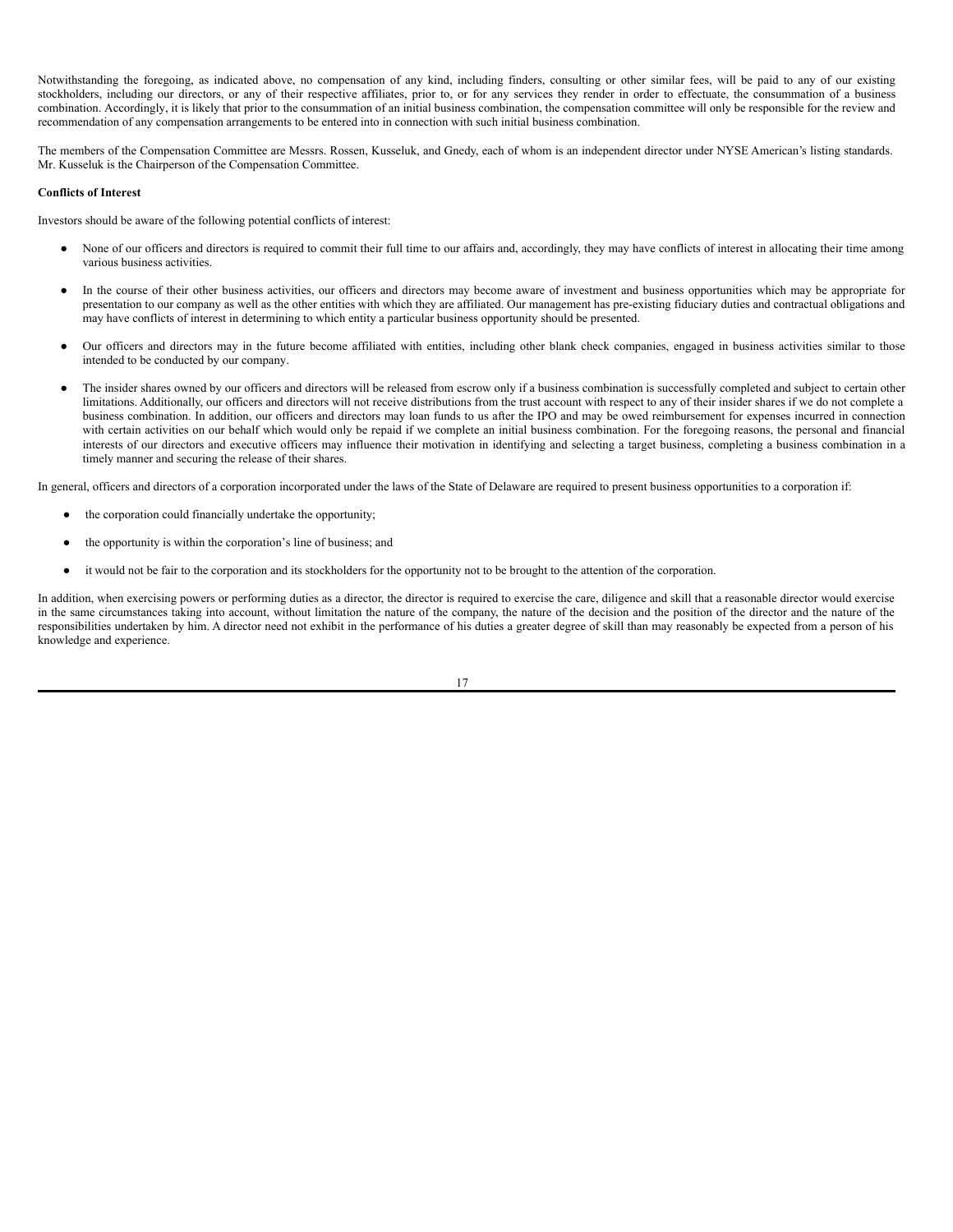Notwithstanding the foregoing, as indicated above, no compensation of any kind, including finders, consulting or other similar fees, will be paid to any of our existing stockholders, including our directors, or any of their respective affiliates, prior to, or for any services they render in order to effectuate, the consummation of a business combination. Accordingly, it is likely that prior to the consummation of an initial business combination, the compensation committee will only be responsible for the review and recommendation of any compensation arrangements to be entered into in connection with such initial business combination.

The members of the Compensation Committee are Messrs. Rossen, Kusseluk, and Gnedy, each of whom is an independent director under NYSE American's listing standards. Mr. Kusseluk is the Chairperson of the Compensation Committee.

## **Conflicts of Interest**

Investors should be aware of the following potential conflicts of interest:

- None of our officers and directors is required to commit their full time to our affairs and, accordingly, they may have conflicts of interest in allocating their time among various business activities.
- In the course of their other business activities, our officers and directors may become aware of investment and business opportunities which may be appropriate for presentation to our company as well as the other entities with which they are affiliated. Our management has pre-existing fiduciary duties and contractual obligations and may have conflicts of interest in determining to which entity a particular business opportunity should be presented.
- Our officers and directors may in the future become affiliated with entities, including other blank check companies, engaged in business activities similar to those intended to be conducted by our company.
- The insider shares owned by our officers and directors will be released from escrow only if a business combination is successfully completed and subject to certain other limitations. Additionally, our officers and directors will not receive distributions from the trust account with respect to any of their insider shares if we do not complete a business combination. In addition, our officers and directors may loan funds to us after the IPO and may be owed reimbursement for expenses incurred in connection with certain activities on our behalf which would only be repaid if we complete an initial business combination. For the foregoing reasons, the personal and financial interests of our directors and executive officers may influence their motivation in identifying and selecting a target business, completing a business combination in a timely manner and securing the release of their shares.

In general, officers and directors of a corporation incorporated under the laws of the State of Delaware are required to present business opportunities to a corporation if:

- the corporation could financially undertake the opportunity;
- the opportunity is within the corporation's line of business; and
- it would not be fair to the corporation and its stockholders for the opportunity not to be brought to the attention of the corporation.

In addition, when exercising powers or performing duties as a director, the director is required to exercise the care, diligence and skill that a reasonable director would exercise in the same circumstances taking into account, without limitation the nature of the company, the nature of the decision and the position of the director and the nature of the responsibilities undertaken by him. A director need not exhibit in the performance of his duties a greater degree of skill than may reasonably be expected from a person of his knowledge and experience.

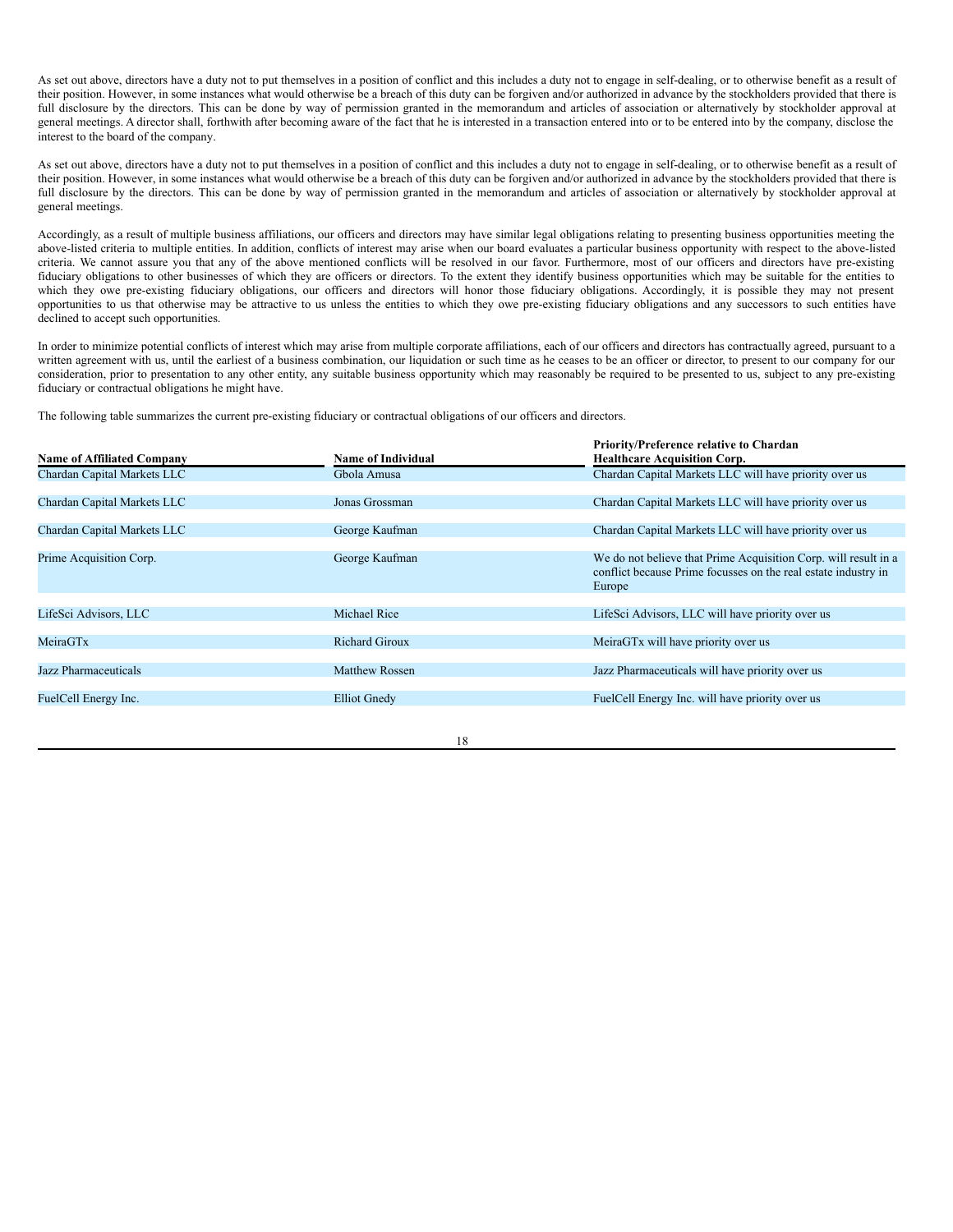As set out above, directors have a duty not to put themselves in a position of conflict and this includes a duty not to engage in self-dealing, or to otherwise benefit as a result of their position. However, in some instances what would otherwise be a breach of this duty can be forgiven and/or authorized in advance by the stockholders provided that there is full disclosure by the directors. This can be done by way of permission granted in the memorandum and articles of association or alternatively by stockholder approval at general meetings. A director shall, forthwith after becoming aware of the fact that he is interested in a transaction entered into or to be entered into by the company, disclose the interest to the board of the company.

As set out above, directors have a duty not to put themselves in a position of conflict and this includes a duty not to engage in self-dealing, or to otherwise benefit as a result of their position. However, in some instances what would otherwise be a breach of this duty can be forgiven and/or authorized in advance by the stockholders provided that there is full disclosure by the directors. This can be done by way of permission granted in the memorandum and articles of association or alternatively by stockholder approval at general meetings.

Accordingly, as a result of multiple business affiliations, our officers and directors may have similar legal obligations relating to presenting business opportunities meeting the above-listed criteria to multiple entities. In addition, conflicts of interest may arise when our board evaluates a particular business opportunity with respect to the above-listed criteria. We cannot assure you that any of the above mentioned conflicts will be resolved in our favor. Furthermore, most of our officers and directors have pre-existing fiduciary obligations to other businesses of which they are officers or directors. To the extent they identify business opportunities which may be suitable for the entities to which they owe pre-existing fiduciary obligations, our officers and directors will honor those fiduciary obligations. Accordingly, it is possible they may not present opportunities to us that otherwise may be attractive to us unless the entities to which they owe pre-existing fiduciary obligations and any successors to such entities have declined to accept such opportunities.

In order to minimize potential conflicts of interest which may arise from multiple corporate affiliations, each of our officers and directors has contractually agreed, pursuant to a written agreement with us, until the earliest of a business combination, our liquidation or such time as he ceases to be an officer or director, to present to our company for our consideration, prior to presentation to any other entity, any suitable business opportunity which may reasonably be required to be presented to us, subject to any pre-existing fiduciary or contractual obligations he might have.

The following table summarizes the current pre-existing fiduciary or contractual obligations of our officers and directors.

| <b>Name of Affiliated Company</b> | <b>Name of Individual</b> | Priority/Preference relative to Chardan<br><b>Healthcare Acquisition Corp.</b>                                                              |
|-----------------------------------|---------------------------|---------------------------------------------------------------------------------------------------------------------------------------------|
| Chardan Capital Markets LLC       | Gbola Amusa               | Chardan Capital Markets LLC will have priority over us                                                                                      |
| Chardan Capital Markets LLC       | Jonas Grossman            | Chardan Capital Markets LLC will have priority over us                                                                                      |
| Chardan Capital Markets LLC       | George Kaufman            | Chardan Capital Markets LLC will have priority over us                                                                                      |
| Prime Acquisition Corp.           | George Kaufman            | We do not believe that Prime Acquisition Corp. will result in a<br>conflict because Prime focusses on the real estate industry in<br>Europe |
| LifeSci Advisors, LLC             | Michael Rice              | LifeSci Advisors, LLC will have priority over us                                                                                            |
| MeiraGTx                          | <b>Richard Giroux</b>     | MeiraGTx will have priority over us                                                                                                         |
| Jazz Pharmaceuticals              | <b>Matthew Rossen</b>     | Jazz Pharmaceuticals will have priority over us                                                                                             |
| FuelCell Energy Inc.              | <b>Elliot Gnedy</b>       | FuelCell Energy Inc. will have priority over us                                                                                             |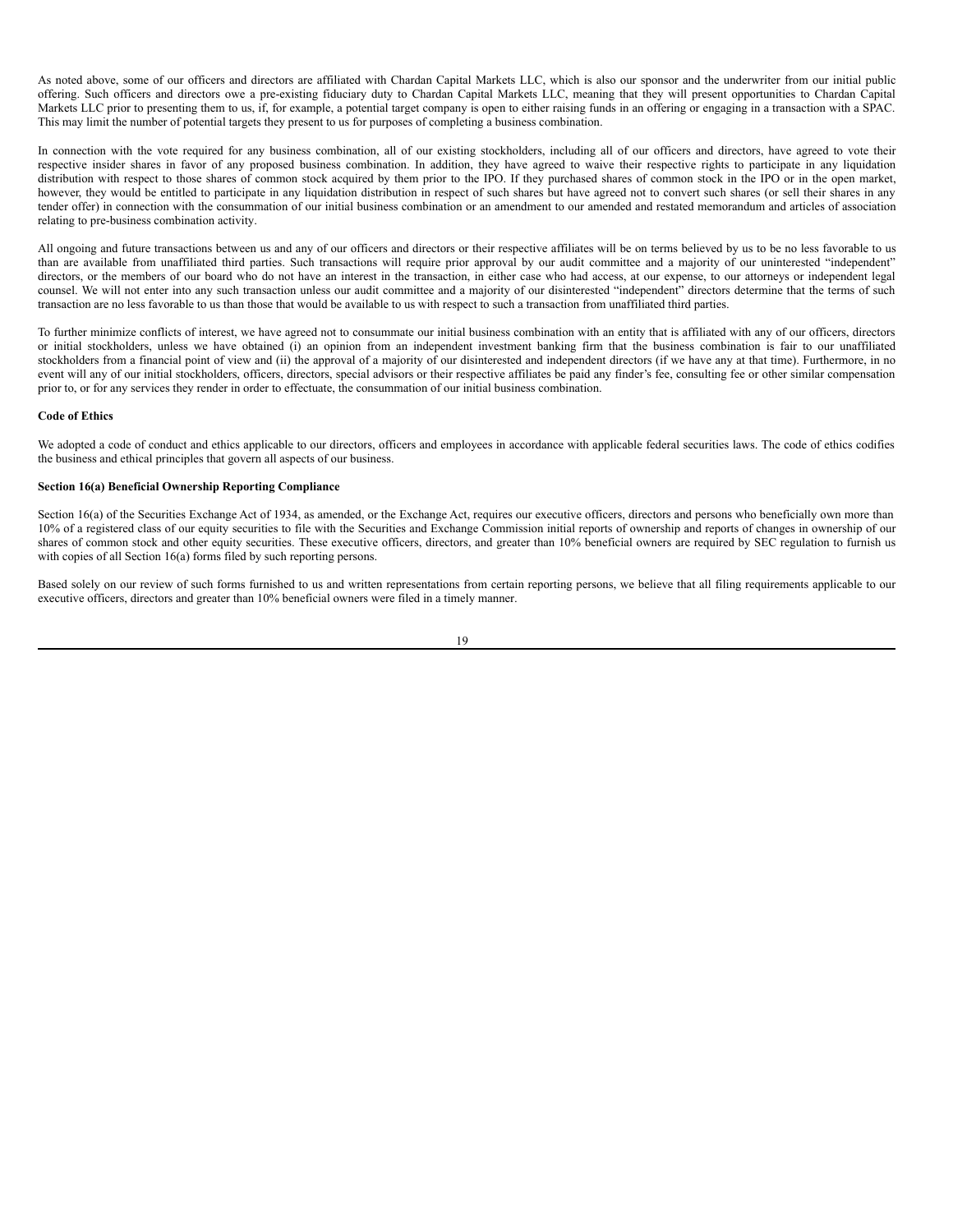As noted above, some of our officers and directors are affiliated with Chardan Capital Markets LLC, which is also our sponsor and the underwriter from our initial public offering. Such officers and directors owe a pre-existing fiduciary duty to Chardan Capital Markets LLC, meaning that they will present opportunities to Chardan Capital Markets LLC prior to presenting them to us, if, for example, a potential target company is open to either raising funds in an offering or engaging in a transaction with a SPAC. This may limit the number of potential targets they present to us for purposes of completing a business combination.

In connection with the vote required for any business combination, all of our existing stockholders, including all of our officers and directors, have agreed to vote their respective insider shares in favor of any proposed business combination. In addition, they have agreed to waive their respective rights to participate in any liquidation distribution with respect to those shares of common stock acquired by them prior to the IPO. If they purchased shares of common stock in the IPO or in the open market, however, they would be entitled to participate in any liquidation distribution in respect of such shares but have agreed not to convert such shares (or sell their shares in any tender offer) in connection with the consummation of our initial business combination or an amendment to our amended and restated memorandum and articles of association relating to pre-business combination activity.

All ongoing and future transactions between us and any of our officers and directors or their respective affiliates will be on terms believed by us to be no less favorable to us than are available from unaffiliated third parties. Such transactions will require prior approval by our audit committee and a majority of our uninterested "independent" directors, or the members of our board who do not have an interest in the transaction, in either case who had access, at our expense, to our attorneys or independent legal counsel. We will not enter into any such transaction unless our audit committee and a majority of our disinterested "independent" directors determine that the terms of such transaction are no less favorable to us than those that would be available to us with respect to such a transaction from unaffiliated third parties.

To further minimize conflicts of interest, we have agreed not to consummate our initial business combination with an entity that is affiliated with any of our officers, directors or initial stockholders, unless we have obtained (i) an opinion from an independent investment banking firm that the business combination is fair to our unaffiliated stockholders from a financial point of view and (ii) the approval of a majority of our disinterested and independent directors (if we have any at that time). Furthermore, in no event will any of our initial stockholders, officers, directors, special advisors or their respective affiliates be paid any finder's fee, consulting fee or other similar compensation prior to, or for any services they render in order to effectuate, the consummation of our initial business combination.

## **Code of Ethics**

We adopted a code of conduct and ethics applicable to our directors, officers and employees in accordance with applicable federal securities laws. The code of ethics codifies the business and ethical principles that govern all aspects of our business.

# **Section 16(a) Beneficial Ownership Reporting Compliance**

Section 16(a) of the Securities Exchange Act of 1934, as amended, or the Exchange Act, requires our executive officers, directors and persons who beneficially own more than 10% of a registered class of our equity securities to file with the Securities and Exchange Commission initial reports of ownership and reports of changes in ownership of our shares of common stock and other equity securities. These executive officers, directors, and greater than 10% beneficial owners are required by SEC regulation to furnish us with copies of all Section 16(a) forms filed by such reporting persons.

Based solely on our review of such forms furnished to us and written representations from certain reporting persons, we believe that all filing requirements applicable to our executive officers, directors and greater than 10% beneficial owners were filed in a timely manner.

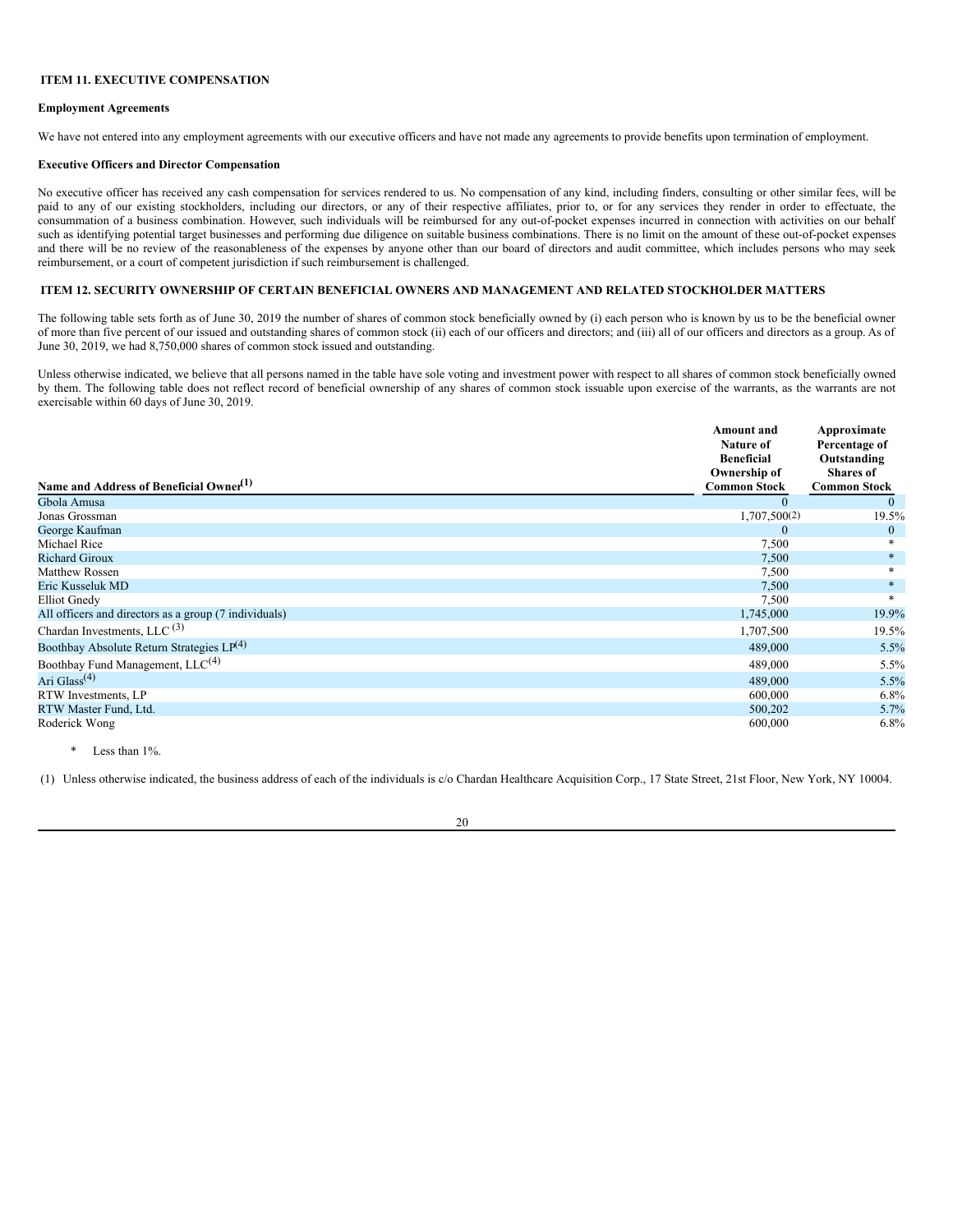# <span id="page-22-0"></span>**ITEM 11. EXECUTIVE COMPENSATION**

## **Employment Agreements**

We have not entered into any employment agreements with our executive officers and have not made any agreements to provide benefits upon termination of employment.

## **Executive Officers and Director Compensation**

No executive officer has received any cash compensation for services rendered to us. No compensation of any kind, including finders, consulting or other similar fees, will be paid to any of our existing stockholders, including our directors, or any of their respective affiliates, prior to, or for any services they render in order to effectuate, the consummation of a business combination. However, such individuals will be reimbursed for any out-of-pocket expenses incurred in connection with activities on our behalf such as identifying potential target businesses and performing due diligence on suitable business combinations. There is no limit on the amount of these out-of-pocket expenses and there will be no review of the reasonableness of the expenses by anyone other than our board of directors and audit committee, which includes persons who may seek reimbursement, or a court of competent jurisdiction if such reimbursement is challenged.

# <span id="page-22-1"></span>**ITEM 12. SECURITY OWNERSHIP OF CERTAIN BENEFICIAL OWNERS AND MANAGEMENT AND RELATED STOCKHOLDER MATTERS**

The following table sets forth as of June 30, 2019 the number of shares of common stock beneficially owned by (i) each person who is known by us to be the beneficial owner of more than five percent of our issued and outstanding shares of common stock (ii) each of our officers and directors; and (iii) all of our officers and directors as a group. As of June 30, 2019, we had 8,750,000 shares of common stock issued and outstanding.

Unless otherwise indicated, we believe that all persons named in the table have sole voting and investment power with respect to all shares of common stock beneficially owned by them. The following table does not reflect record of beneficial ownership of any shares of common stock issuable upon exercise of the warrants, as the warrants are not exercisable within 60 days of June 30, 2019.

| Name and Address of Beneficial Owner <sup>(1)</sup>   | <b>Amount</b> and<br>Nature of<br><b>Beneficial</b><br>Ownership of<br><b>Common Stock</b> | Approximate<br>Percentage of<br>Outstanding<br><b>Shares</b> of<br><b>Common Stock</b> |
|-------------------------------------------------------|--------------------------------------------------------------------------------------------|----------------------------------------------------------------------------------------|
| Gbola Amusa                                           | 0                                                                                          | $\overline{0}$                                                                         |
| Jonas Grossman                                        | 1,707,500(2)                                                                               | 19.5%                                                                                  |
| George Kaufman                                        | $\bf{0}$                                                                                   | $\overline{0}$                                                                         |
| Michael Rice                                          | 7,500                                                                                      | $*$                                                                                    |
| <b>Richard Giroux</b>                                 | 7,500                                                                                      | $\ast$                                                                                 |
| Matthew Rossen                                        | 7,500                                                                                      |                                                                                        |
| Eric Kusseluk MD                                      | 7,500                                                                                      | $\ast$                                                                                 |
| <b>Elliot Gnedy</b>                                   | 7,500                                                                                      | $\ast$                                                                                 |
| All officers and directors as a group (7 individuals) | 1,745,000                                                                                  | 19.9%                                                                                  |
| Chardan Investments, LLC $(3)$                        | 1,707,500                                                                                  | 19.5%                                                                                  |
| Boothbay Absolute Return Strategies $LP(4)$           | 489,000                                                                                    | 5.5%                                                                                   |
| Boothbay Fund Management, LLC <sup>(4)</sup>          | 489,000                                                                                    | $5.5\%$                                                                                |
| Ari Glass <sup>(4)</sup>                              | 489,000                                                                                    | 5.5%                                                                                   |
| RTW Investments, LP                                   | 600,000                                                                                    | $6.8\%$                                                                                |
| RTW Master Fund, Ltd.                                 | 500,202                                                                                    | 5.7%                                                                                   |
| Roderick Wong                                         | 600,000                                                                                    | $6.8\%$                                                                                |

\* Less than 1%.

(1) Unless otherwise indicated, the business address of each of the individuals is c/o Chardan Healthcare Acquisition Corp., 17 State Street, 21st Floor, New York, NY 10004.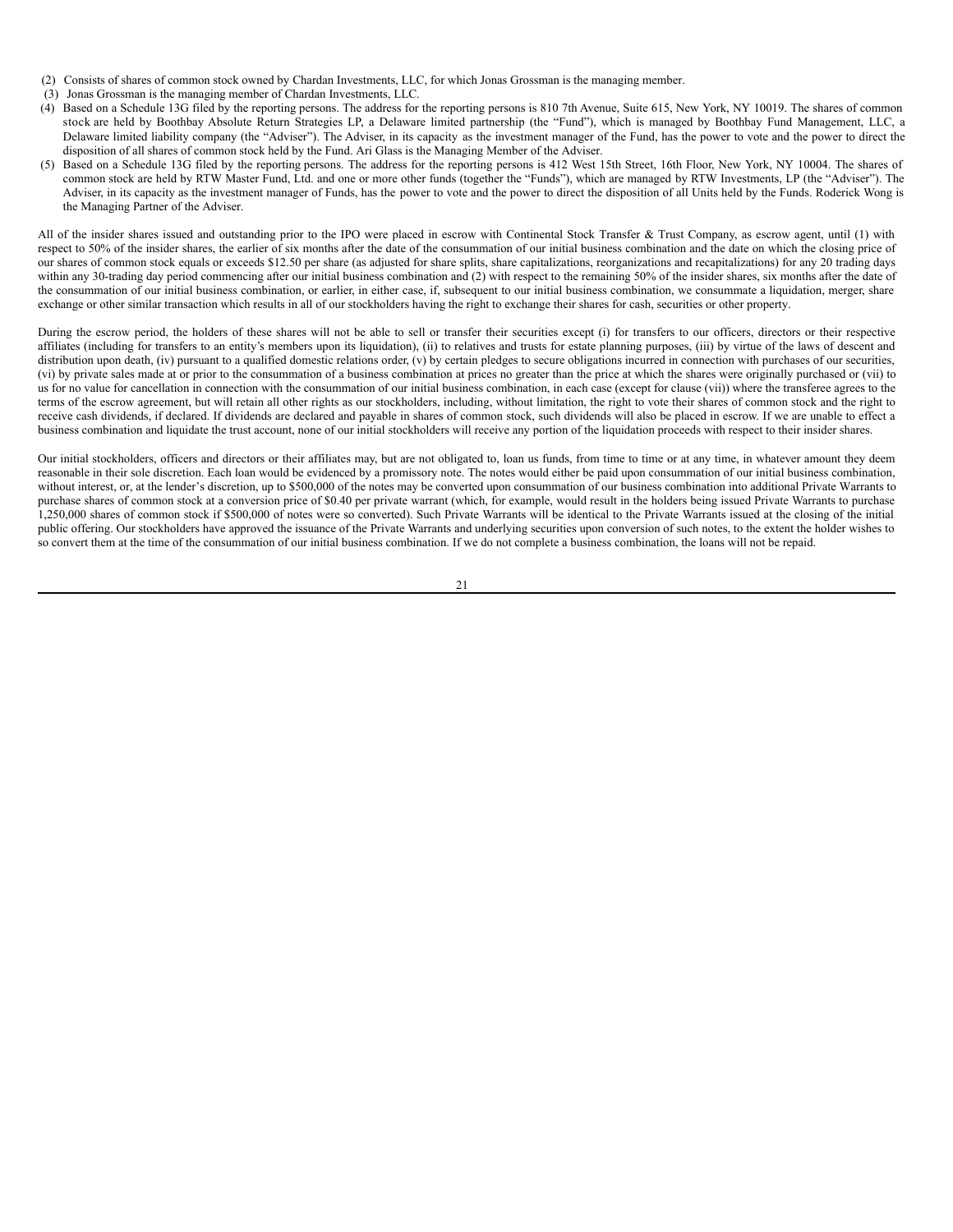- (2) Consists of shares of common stock owned by Chardan Investments, LLC, for which Jonas Grossman is the managing member.
- (3) Jonas Grossman is the managing member of Chardan Investments, LLC.
- (4) Based on a Schedule 13G filed by the reporting persons. The address for the reporting persons is 810 7th Avenue, Suite 615, New York, NY 10019. The shares of common stock are held by Boothbay Absolute Return Strategies LP, a Delaware limited partnership (the "Fund"), which is managed by Boothbay Fund Management, LLC, a Delaware limited liability company (the "Adviser"). The Adviser, in its capacity as the investment manager of the Fund, has the power to vote and the power to direct the disposition of all shares of common stock held by the Fund. Ari Glass is the Managing Member of the Adviser.
- (5) Based on a Schedule 13G filed by the reporting persons. The address for the reporting persons is 412 West 15th Street, 16th Floor, New York, NY 10004. The shares of common stock are held by RTW Master Fund, Ltd. and one or more other funds (together the "Funds"), which are managed by RTW Investments, LP (the "Adviser"). The Adviser, in its capacity as the investment manager of Funds, has the power to vote and the power to direct the disposition of all Units held by the Funds. Roderick Wong is the Managing Partner of the Adviser.

All of the insider shares issued and outstanding prior to the IPO were placed in escrow with Continental Stock Transfer & Trust Company, as escrow agent, until (1) with respect to 50% of the insider shares, the earlier of six months after the date of the consummation of our initial business combination and the date on which the closing price of our shares of common stock equals or exceeds \$12.50 per share (as adjusted for share splits, share capitalizations, reorganizations and recapitalizations) for any 20 trading days within any 30-trading day period commencing after our initial business combination and (2) with respect to the remaining 50% of the insider shares, six months after the date of the consummation of our initial business combination, or earlier, in either case, if, subsequent to our initial business combination, we consummate a liquidation, merger, share exchange or other similar transaction which results in all of our stockholders having the right to exchange their shares for cash, securities or other property.

During the escrow period, the holders of these shares will not be able to sell or transfer their securities except (i) for transfers to our officers, directors or their respective affiliates (including for transfers to an entity's members upon its liquidation), (ii) to relatives and trusts for estate planning purposes, (iii) by virtue of the laws of descent and distribution upon death, (iv) pursuant to a qualified domestic relations order, (v) by certain pledges to secure obligations incurred in connection with purchases of our securities, (vi) by private sales made at or prior to the consummation of a business combination at prices no greater than the price at which the shares were originally purchased or (vii) to us for no value for cancellation in connection with the consummation of our initial business combination, in each case (except for clause (vii)) where the transferee agrees to the terms of the escrow agreement, but will retain all other rights as our stockholders, including, without limitation, the right to vote their shares of common stock and the right to receive cash dividends, if declared. If dividends are declared and payable in shares of common stock, such dividends will also be placed in escrow. If we are unable to effect a business combination and liquidate the trust account, none of our initial stockholders will receive any portion of the liquidation proceeds with respect to their insider shares.

Our initial stockholders, officers and directors or their affiliates may, but are not obligated to, loan us funds, from time to time or at any time, in whatever amount they deem reasonable in their sole discretion. Each loan would be evidenced by a promissory note. The notes would either be paid upon consummation of our initial business combination, without interest, or, at the lender's discretion, up to \$500,000 of the notes may be converted upon consummation of our business combination into additional Private Warrants to purchase shares of common stock at a conversion price of \$0.40 per private warrant (which, for example, would result in the holders being issued Private Warrants to purchase 1,250,000 shares of common stock if \$500,000 of notes were so converted). Such Private Warrants will be identical to the Private Warrants issued at the closing of the initial public offering. Our stockholders have approved the issuance of the Private Warrants and underlying securities upon conversion of such notes, to the extent the holder wishes to so convert them at the time of the consummation of our initial business combination. If we do not complete a business combination, the loans will not be repaid.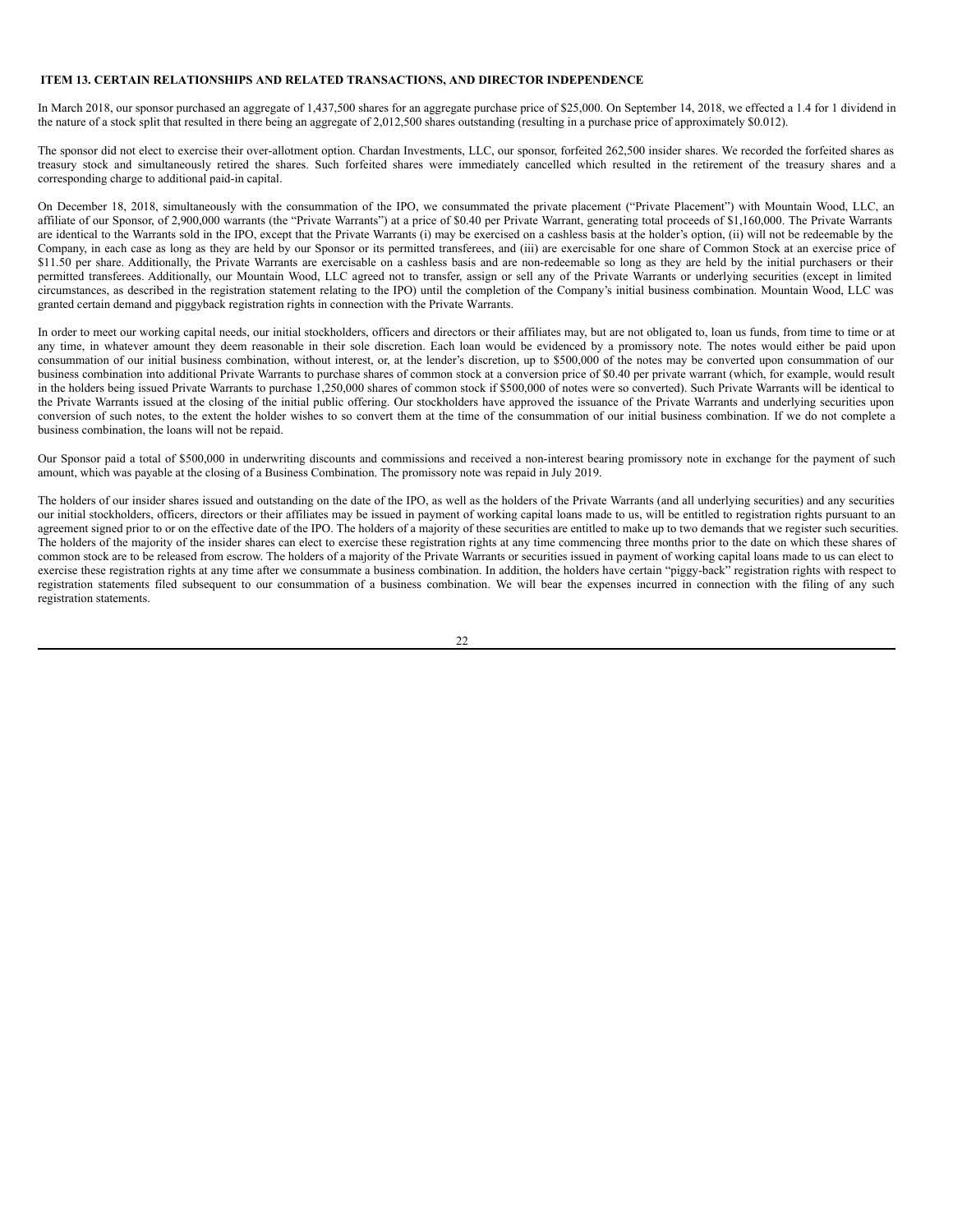# <span id="page-24-0"></span>**ITEM 13. CERTAIN RELATIONSHIPS AND RELATED TRANSACTIONS, AND DIRECTOR INDEPENDENCE**

In March 2018, our sponsor purchased an aggregate of 1,437,500 shares for an aggregate purchase price of \$25,000. On September 14, 2018, we effected a 1.4 for 1 dividend in the nature of a stock split that resulted in there being an aggregate of 2,012,500 shares outstanding (resulting in a purchase price of approximately \$0.012).

The sponsor did not elect to exercise their over-allotment option. Chardan Investments, LLC, our sponsor, forfeited 262,500 insider shares. We recorded the forfeited shares as treasury stock and simultaneously retired the shares. Such forfeited shares were immediately cancelled which resulted in the retirement of the treasury shares and a corresponding charge to additional paid-in capital.

On December 18, 2018, simultaneously with the consummation of the IPO, we consummated the private placement ("Private Placement") with Mountain Wood, LLC, an affiliate of our Sponsor, of 2,900,000 warrants (the "Private Warrants") at a price of \$0.40 per Private Warrant, generating total proceeds of \$1,160,000. The Private Warrants are identical to the Warrants sold in the IPO, except that the Private Warrants (i) may be exercised on a cashless basis at the holder's option, (ii) will not be redeemable by the Company, in each case as long as they are held by our Sponsor or its permitted transferees, and (iii) are exercisable for one share of Common Stock at an exercise price of \$11.50 per share. Additionally, the Private Warrants are exercisable on a cashless basis and are non-redeemable so long as they are held by the initial purchasers or their permitted transferees. Additionally, our Mountain Wood, LLC agreed not to transfer, assign or sell any of the Private Warrants or underlying securities (except in limited circumstances, as described in the registration statement relating to the IPO) until the completion of the Company's initial business combination. Mountain Wood, LLC was granted certain demand and piggyback registration rights in connection with the Private Warrants.

In order to meet our working capital needs, our initial stockholders, officers and directors or their affiliates may, but are not obligated to, loan us funds, from time to time or at any time, in whatever amount they deem reasonable in their sole discretion. Each loan would be evidenced by a promissory note. The notes would either be paid upon consummation of our initial business combination, without interest, or, at the lender's discretion, up to \$500,000 of the notes may be converted upon consummation of our business combination into additional Private Warrants to purchase shares of common stock at a conversion price of \$0.40 per private warrant (which, for example, would result in the holders being issued Private Warrants to purchase 1,250,000 shares of common stock if \$500,000 of notes were so converted). Such Private Warrants will be identical to the Private Warrants issued at the closing of the initial public offering. Our stockholders have approved the issuance of the Private Warrants and underlying securities upon conversion of such notes, to the extent the holder wishes to so convert them at the time of the consummation of our initial business combination. If we do not complete a business combination, the loans will not be repaid.

Our Sponsor paid a total of \$500,000 in underwriting discounts and commissions and received a non-interest bearing promissory note in exchange for the payment of such amount, which was payable at the closing of a Business Combination. The promissory note was repaid in July 2019.

The holders of our insider shares issued and outstanding on the date of the IPO, as well as the holders of the Private Warrants (and all underlying securities) and any securities our initial stockholders, officers, directors or their affiliates may be issued in payment of working capital loans made to us, will be entitled to registration rights pursuant to an agreement signed prior to or on the effective date of the IPO. The holders of a majority of these securities are entitled to make up to two demands that we register such securities. The holders of the majority of the insider shares can elect to exercise these registration rights at any time commencing three months prior to the date on which these shares of common stock are to be released from escrow. The holders of a majority of the Private Warrants or securities issued in payment of working capital loans made to us can elect to exercise these registration rights at any time after we consummate a business combination. In addition, the holders have certain "piggy-back" registration rights with respect to registration statements filed subsequent to our consummation of a business combination. We will bear the expenses incurred in connection with the filing of any such registration statements.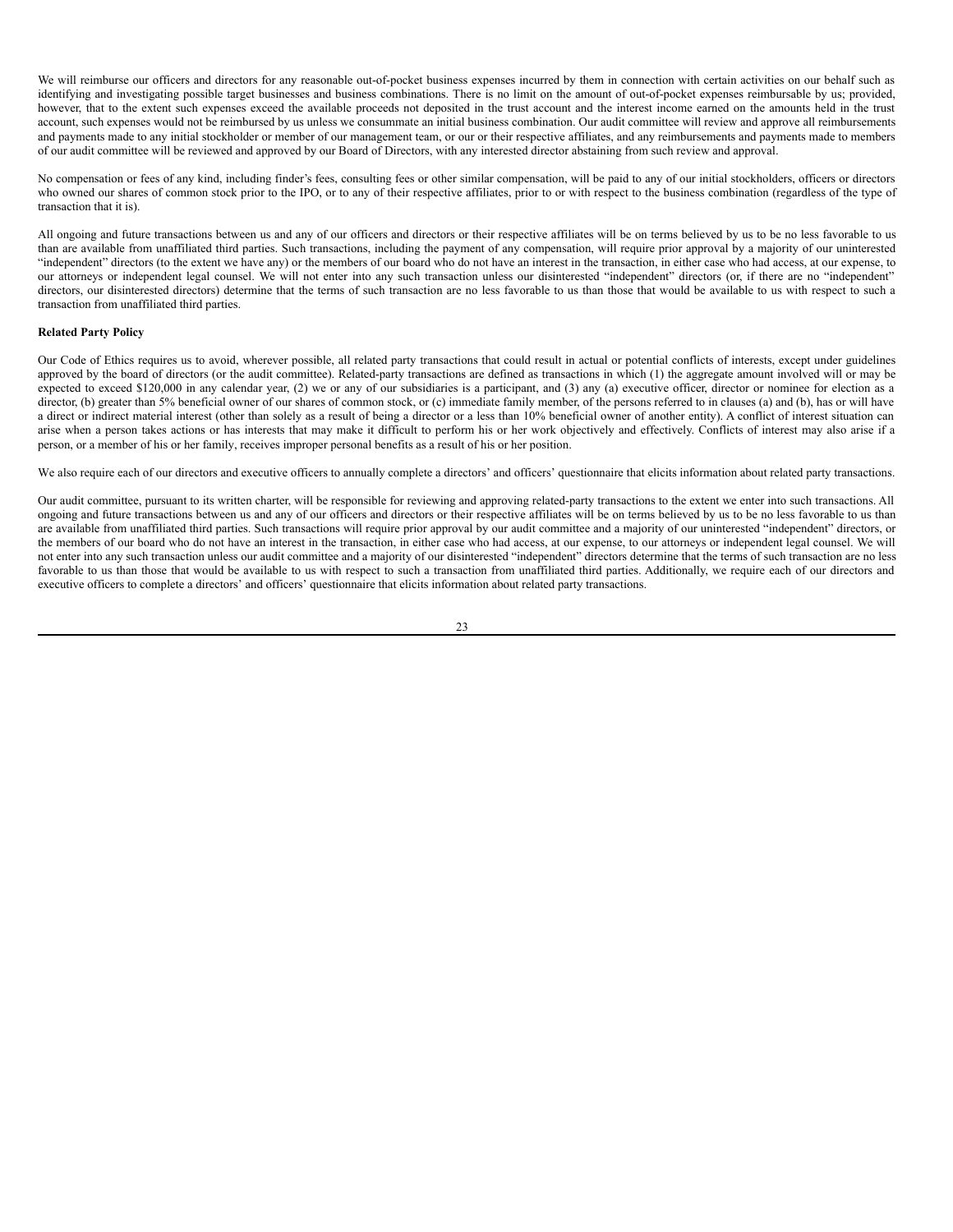We will reimburse our officers and directors for any reasonable out-of-pocket business expenses incurred by them in connection with certain activities on our behalf such as identifying and investigating possible target businesses and business combinations. There is no limit on the amount of out-of-pocket expenses reimbursable by us; provided, however, that to the extent such expenses exceed the available proceeds not deposited in the trust account and the interest income earned on the amounts held in the trust account, such expenses would not be reimbursed by us unless we consummate an initial business combination. Our audit committee will review and approve all reimbursements and payments made to any initial stockholder or member of our management team, or our or their respective affiliates, and any reimbursements and payments made to members of our audit committee will be reviewed and approved by our Board of Directors, with any interested director abstaining from such review and approval.

No compensation or fees of any kind, including finder's fees, consulting fees or other similar compensation, will be paid to any of our initial stockholders, officers or directors who owned our shares of common stock prior to the IPO, or to any of their respective affiliates, prior to or with respect to the business combination (regardless of the type of transaction that it is).

All ongoing and future transactions between us and any of our officers and directors or their respective affiliates will be on terms believed by us to be no less favorable to us than are available from unaffiliated third parties. Such transactions, including the payment of any compensation, will require prior approval by a majority of our uninterested "independent" directors (to the extent we have any) or the members of our board who do not have an interest in the transaction, in either case who had access, at our expense, to our attorneys or independent legal counsel. We will not enter into any such transaction unless our disinterested "independent" directors (or, if there are no "independent" directors, our disinterested directors) determine that the terms of such transaction are no less favorable to us than those that would be available to us with respect to such a transaction from unaffiliated third parties.

## **Related Party Policy**

Our Code of Ethics requires us to avoid, wherever possible, all related party transactions that could result in actual or potential conflicts of interests, except under guidelines approved by the board of directors (or the audit committee). Related-party transactions are defined as transactions in which (1) the aggregate amount involved will or may be expected to exceed \$120,000 in any calendar year, (2) we or any of our subsidiaries is a participant, and (3) any (a) executive officer, director or nominee for election as a director, (b) greater than 5% beneficial owner of our shares of common stock, or (c) immediate family member, of the persons referred to in clauses (a) and (b), has or will have a direct or indirect material interest (other than solely as a result of being a director or a less than 10% beneficial owner of another entity). A conflict of interest situation can arise when a person takes actions or has interests that may make it difficult to perform his or her work objectively and effectively. Conflicts of interest may also arise if a person, or a member of his or her family, receives improper personal benefits as a result of his or her position.

We also require each of our directors and executive officers to annually complete a directors' and officers' questionnaire that elicits information about related party transactions.

Our audit committee, pursuant to its written charter, will be responsible for reviewing and approving related-party transactions to the extent we enter into such transactions. All ongoing and future transactions between us and any of our officers and directors or their respective affiliates will be on terms believed by us to be no less favorable to us than are available from unaffiliated third parties. Such transactions will require prior approval by our audit committee and a majority of our uninterested "independent" directors, or the members of our board who do not have an interest in the transaction, in either case who had access, at our expense, to our attorneys or independent legal counsel. We will not enter into any such transaction unless our audit committee and a majority of our disinterested "independent" directors determine that the terms of such transaction are no less favorable to us than those that would be available to us with respect to such a transaction from unaffiliated third parties. Additionally, we require each of our directors and executive officers to complete a directors' and officers' questionnaire that elicits information about related party transactions.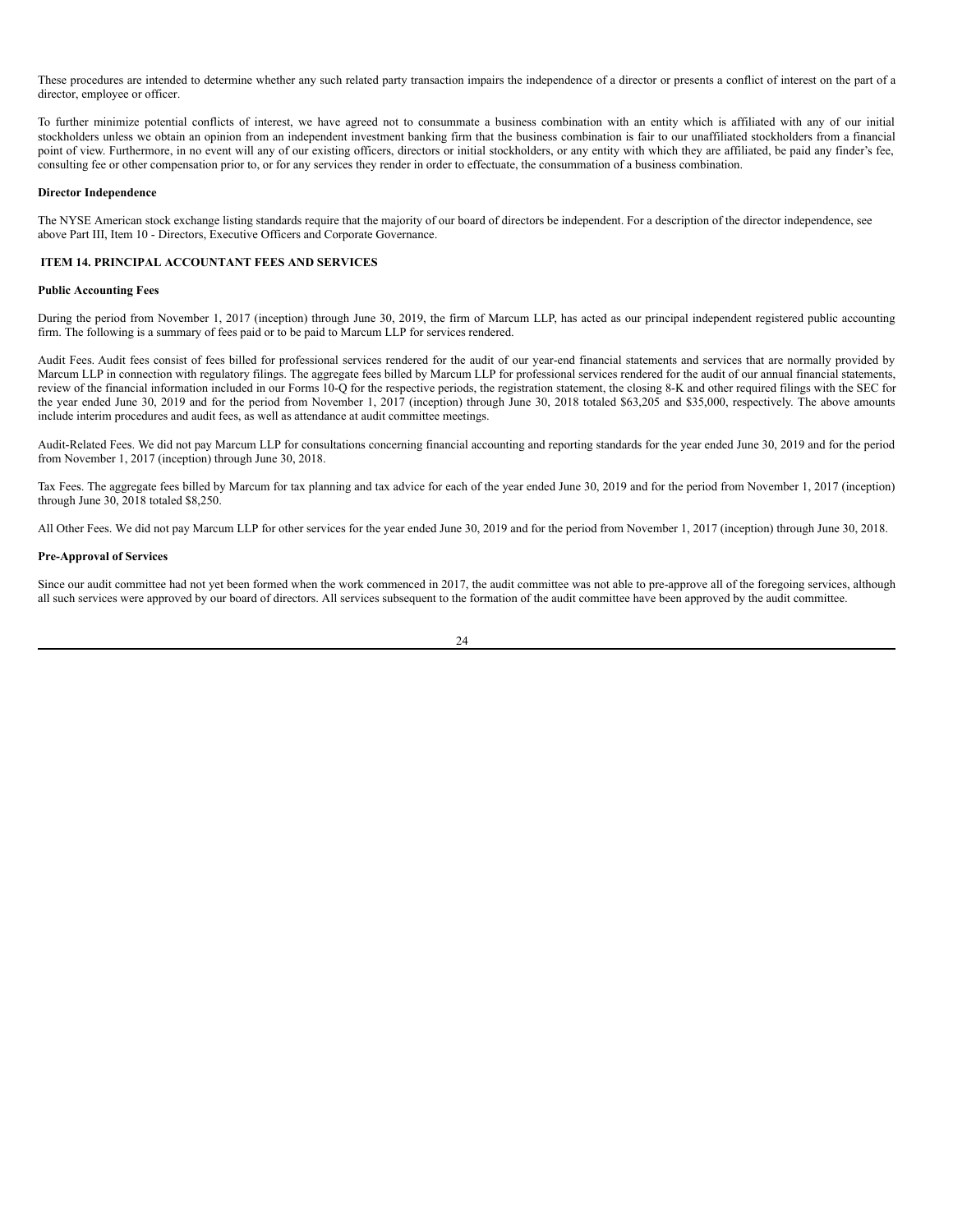These procedures are intended to determine whether any such related party transaction impairs the independence of a director or presents a conflict of interest on the part of a director, employee or officer.

To further minimize potential conflicts of interest, we have agreed not to consummate a business combination with an entity which is affiliated with any of our initial stockholders unless we obtain an opinion from an independent investment banking firm that the business combination is fair to our unaffiliated stockholders from a financial point of view. Furthermore, in no event will any of our existing officers, directors or initial stockholders, or any entity with which they are affiliated, be paid any finder's fee, consulting fee or other compensation prior to, or for any services they render in order to effectuate, the consummation of a business combination.

### **Director Independence**

The NYSE American stock exchange listing standards require that the majority of our board of directors be independent. For a description of the director independence, see above Part III, Item 10 - Directors, Executive Officers and Corporate Governance.

## <span id="page-26-0"></span>**ITEM 14. PRINCIPAL ACCOUNTANT FEES AND SERVICES**

### **Public Accounting Fees**

During the period from November 1, 2017 (inception) through June 30, 2019, the firm of Marcum LLP, has acted as our principal independent registered public accounting firm. The following is a summary of fees paid or to be paid to Marcum LLP for services rendered.

Audit Fees. Audit fees consist of fees billed for professional services rendered for the audit of our year-end financial statements and services that are normally provided by Marcum LLP in connection with regulatory filings. The aggregate fees billed by Marcum LLP for professional services rendered for the audit of our annual financial statements, review of the financial information included in our Forms 10-Q for the respective periods, the registration statement, the closing 8-K and other required filings with the SEC for the year ended June 30, 2019 and for the period from November 1, 2017 (inception) through June 30, 2018 totaled \$63,205 and \$35,000, respectively. The above amounts include interim procedures and audit fees, as well as attendance at audit committee meetings.

Audit-Related Fees. We did not pay Marcum LLP for consultations concerning financial accounting and reporting standards for the year ended June 30, 2019 and for the period from November 1, 2017 (inception) through June 30, 2018.

Tax Fees. The aggregate fees billed by Marcum for tax planning and tax advice for each of the year ended June 30, 2019 and for the period from November 1, 2017 (inception) through June 30, 2018 totaled \$8,250.

All Other Fees. We did not pay Marcum LLP for other services for the year ended June 30, 2019 and for the period from November 1, 2017 (inception) through June 30, 2018.

#### **Pre-Approval of Services**

Since our audit committee had not yet been formed when the work commenced in 2017, the audit committee was not able to pre-approve all of the foregoing services, although all such services were approved by our board of directors. All services subsequent to the formation of the audit committee have been approved by the audit committee.

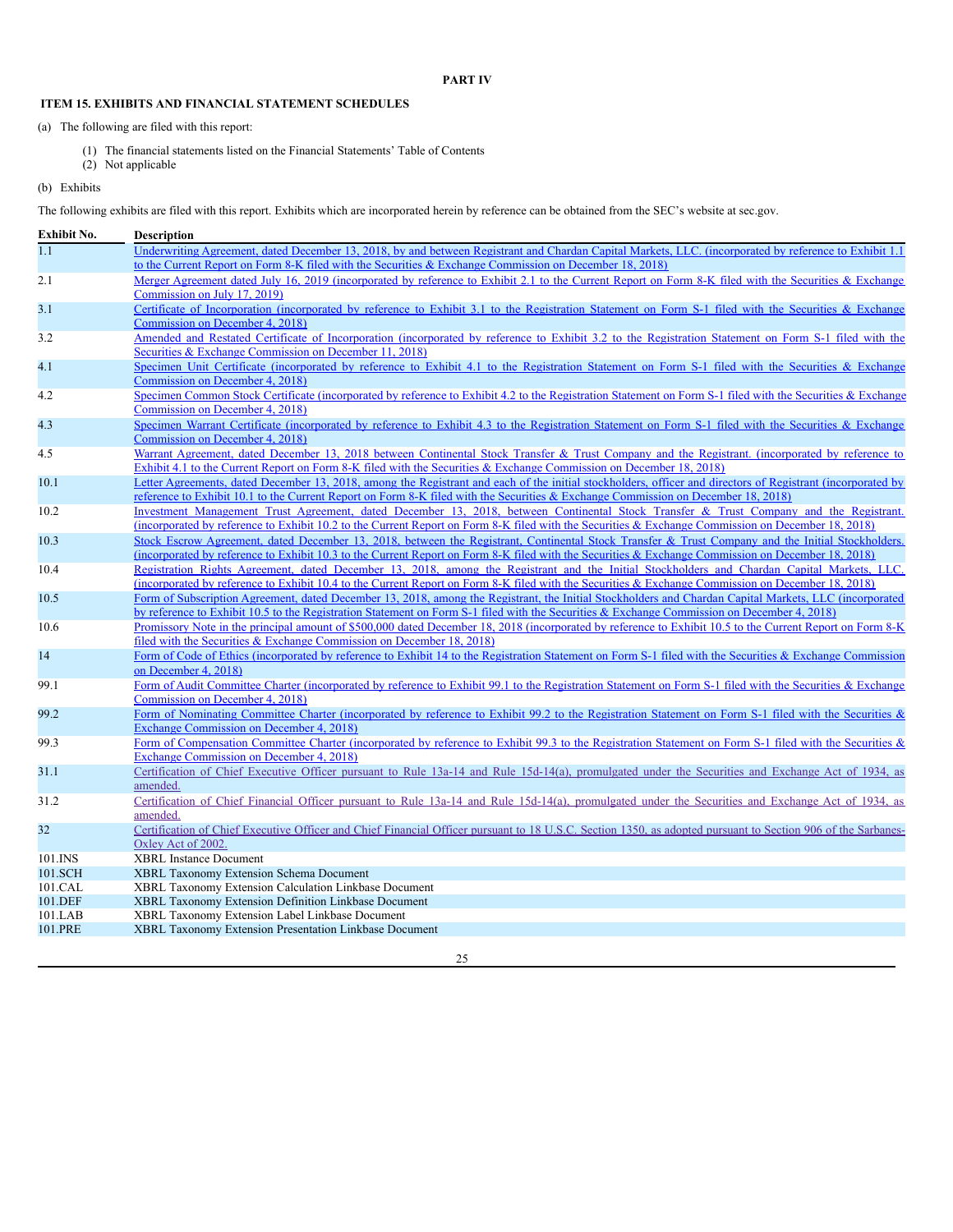# <span id="page-27-1"></span>**ITEM 15. EXHIBITS AND FINANCIAL STATEMENT SCHEDULES**

(a) The following are filed with this report:

<span id="page-27-0"></span>(1) The financial statements listed on the Financial Statements' Table of Contents

 $(2)$  Not applicable

(b) Exhibits

The following exhibits are filed with this report. Exhibits which are incorporated herein by reference can be obtained from the SEC's website at sec.gov.

| Exhibit No.        | <b>Description</b>                                                                                                                                                                                                                                                                               |
|--------------------|--------------------------------------------------------------------------------------------------------------------------------------------------------------------------------------------------------------------------------------------------------------------------------------------------|
| 1.1                | Underwriting Agreement, dated December 13, 2018, by and between Registrant and Chardan Capital Markets, LLC. (incorporated by reference to Exhibit 1.1                                                                                                                                           |
|                    | to the Current Report on Form 8-K filed with the Securities & Exchange Commission on December 18, 2018)                                                                                                                                                                                          |
| 2.1                | Merger Agreement dated July 16, 2019 (incorporated by reference to Exhibit 2.1 to the Current Report on Form 8-K filed with the Securities & Exchange                                                                                                                                            |
|                    | Commission on July 17, 2019)                                                                                                                                                                                                                                                                     |
| 3.1                | Certificate of Incorporation (incorporated by reference to Exhibit 3.1 to the Registration Statement on Form S-1 filed with the Securities & Exchange                                                                                                                                            |
|                    | Commission on December 4, 2018)                                                                                                                                                                                                                                                                  |
| 3.2                | Amended and Restated Certificate of Incorporation (incorporated by reference to Exhibit 3.2 to the Registration Statement on Form S-1 filed with the                                                                                                                                             |
|                    | Securities & Exchange Commission on December 11, 2018)                                                                                                                                                                                                                                           |
| 4.1                | Specimen Unit Certificate (incorporated by reference to Exhibit 4.1 to the Registration Statement on Form S-1 filed with the Securities & Exchange                                                                                                                                               |
|                    | Commission on December 4, 2018)                                                                                                                                                                                                                                                                  |
| 4.2                | Specimen Common Stock Certificate (incorporated by reference to Exhibit 4.2 to the Registration Statement on Form S-1 filed with the Securities & Exchange                                                                                                                                       |
|                    | Commission on December 4, 2018)                                                                                                                                                                                                                                                                  |
| 4.3                | Specimen Warrant Certificate (incorporated by reference to Exhibit 4.3 to the Registration Statement on Form S-1 filed with the Securities & Exchange                                                                                                                                            |
|                    | Commission on December 4, 2018)                                                                                                                                                                                                                                                                  |
| 4.5                | Warrant Agreement, dated December 13, 2018 between Continental Stock Transfer & Trust Company and the Registrant. (incorporated by reference to                                                                                                                                                  |
|                    | Exhibit 4.1 to the Current Report on Form 8-K filed with the Securities & Exchange Commission on December 18, 2018)                                                                                                                                                                              |
| 10.1               | Letter Agreements, dated December 13, 2018, among the Registrant and each of the initial stockholders, officer and directors of Registrant (incorporated by<br>reference to Exhibit 10.1 to the Current Report on Form 8-K filed with the Securities & Exchange Commission on December 18, 2018) |
|                    | Investment Management Trust Agreement, dated December 13, 2018, between Continental Stock Transfer & Trust Company and the Registrant.                                                                                                                                                           |
| 10.2               | (incorporated by reference to Exhibit 10.2 to the Current Report on Form 8-K filed with the Securities & Exchange Commission on December 18, 2018)                                                                                                                                               |
| 10.3               | Stock Escrow Agreement, dated December 13, 2018, between the Registrant, Continental Stock Transfer & Trust Company and the Initial Stockholders.                                                                                                                                                |
|                    | (incorporated by reference to Exhibit 10.3 to the Current Report on Form 8-K filed with the Securities & Exchange Commission on December 18, 2018)                                                                                                                                               |
| 10.4               | Registration Rights Agreement, dated December 13, 2018, among the Registrant and the Initial Stockholders and Chardan Capital Markets, LLC.                                                                                                                                                      |
|                    | (incorporated by reference to Exhibit 10.4 to the Current Report on Form 8-K filed with the Securities & Exchange Commission on December 18, 2018)                                                                                                                                               |
| 10.5               | Form of Subscription Agreement, dated December 13, 2018, among the Registrant, the Initial Stockholders and Chardan Capital Markets, LLC (incorporated                                                                                                                                           |
|                    | by reference to Exhibit 10.5 to the Registration Statement on Form S-1 filed with the Securities & Exchange Commission on December 4, 2018)                                                                                                                                                      |
| 10.6               | Promissory Note in the principal amount of \$500,000 dated December 18, 2018 (incorporated by reference to Exhibit 10.5 to the Current Report on Form 8-K                                                                                                                                        |
|                    | filed with the Securities & Exchange Commission on December 18, 2018)                                                                                                                                                                                                                            |
| 14                 | Form of Code of Ethics (incorporated by reference to Exhibit 14 to the Registration Statement on Form S-1 filed with the Securities & Exchange Commission                                                                                                                                        |
|                    | on December 4, 2018)                                                                                                                                                                                                                                                                             |
| 99.1               | Form of Audit Committee Charter (incorporated by reference to Exhibit 99.1 to the Registration Statement on Form S-1 filed with the Securities & Exchange                                                                                                                                        |
|                    | Commission on December 4, 2018)                                                                                                                                                                                                                                                                  |
| 99.2               | Form of Nominating Committee Charter (incorporated by reference to Exhibit 99.2 to the Registration Statement on Form S-1 filed with the Securities &                                                                                                                                            |
|                    | Exchange Commission on December 4, 2018)                                                                                                                                                                                                                                                         |
| 99.3               | Form of Compensation Committee Charter (incorporated by reference to Exhibit 99.3 to the Registration Statement on Form S-1 filed with the Securities &                                                                                                                                          |
|                    | Exchange Commission on December 4, 2018)                                                                                                                                                                                                                                                         |
| 31.1               | Certification of Chief Executive Officer pursuant to Rule 13a-14 and Rule 15d-14(a), promulgated under the Securities and Exchange Act of 1934, as                                                                                                                                               |
|                    | amended.                                                                                                                                                                                                                                                                                         |
| 31.2               | Certification of Chief Financial Officer pursuant to Rule 13a-14 and Rule 15d-14(a), promulgated under the Securities and Exchange Act of 1934, as                                                                                                                                               |
|                    | amended.                                                                                                                                                                                                                                                                                         |
| 32                 | Certification of Chief Executive Officer and Chief Financial Officer pursuant to 18 U.S.C. Section 1350, as adopted pursuant to Section 906 of the Sarbanes-                                                                                                                                     |
|                    | Oxley Act of 2002.                                                                                                                                                                                                                                                                               |
| 101.INS            | <b>XBRL Instance Document</b>                                                                                                                                                                                                                                                                    |
| 101.SCH            | XBRL Taxonomy Extension Schema Document                                                                                                                                                                                                                                                          |
| 101.CAL<br>101.DEF | XBRL Taxonomy Extension Calculation Linkbase Document<br>XBRL Taxonomy Extension Definition Linkbase Document                                                                                                                                                                                    |
| 101.LAB            | XBRL Taxonomy Extension Label Linkbase Document                                                                                                                                                                                                                                                  |
| 101.PRE            | <b>XBRL Taxonomy Extension Presentation Linkbase Document</b>                                                                                                                                                                                                                                    |
|                    |                                                                                                                                                                                                                                                                                                  |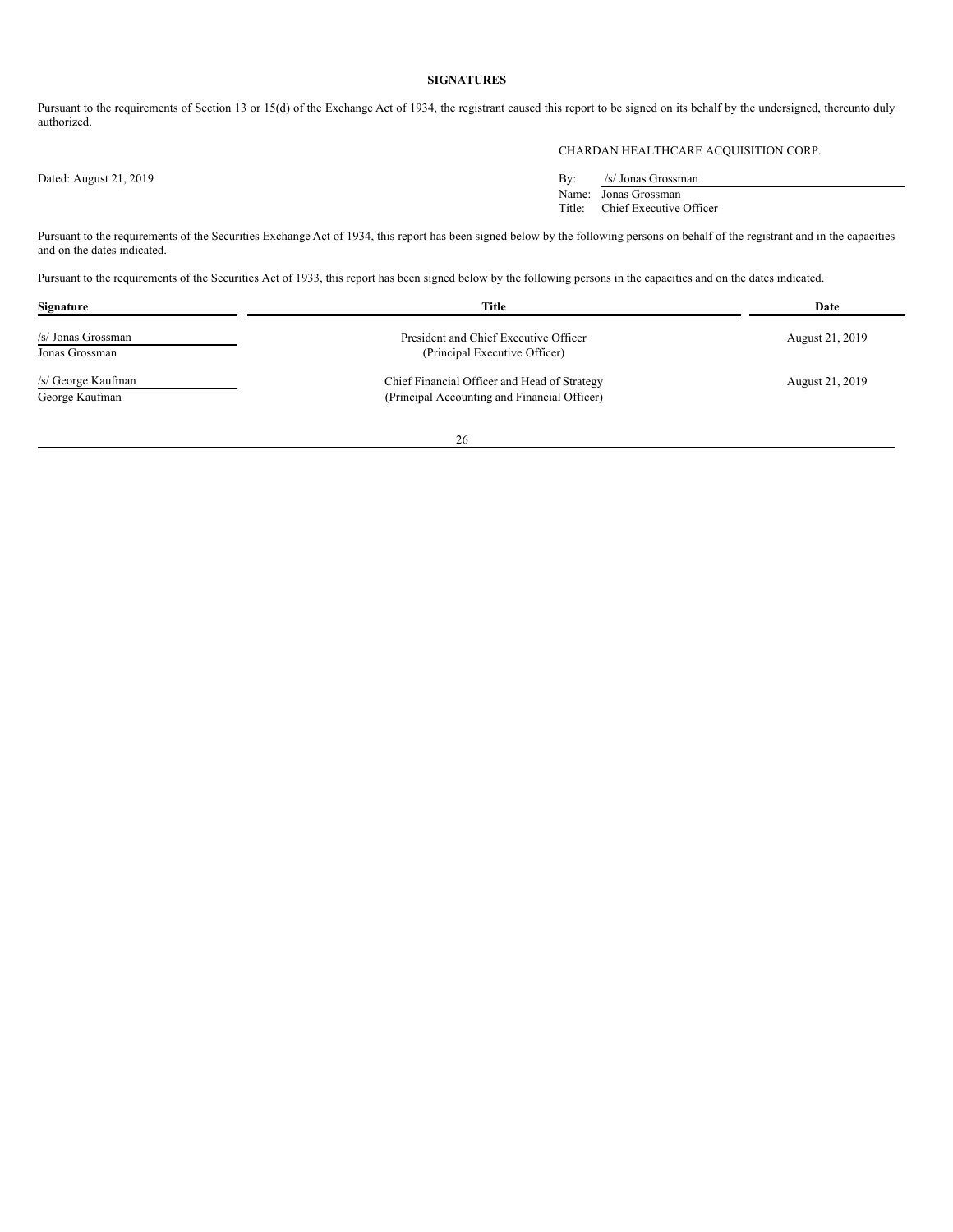# **SIGNATURES**

Pursuant to the requirements of Section 13 or 15(d) of the Exchange Act of 1934, the registrant caused this report to be signed on its behalf by the undersigned, thereunto duly authorized.

Dated: August 21, 2019 By: By: 0.63 By: 0.63 By: 0.63 By: 0.63 By: 0.63 By: 0.63 By: 0.63 By: 0.63 By: 0.63 By: 0.63 By: 0.63 By: 0.63 By: 0.63 By: 0.63 By: 0.63 By: 0.63 By: 0.63 By: 0.63 By: 0.63 By: 0.63 By: 0.63 By: 0.

CHARDAN HEALTHCARE ACQUISITION CORP.

| By: | /s/ Jonas Grossman             |
|-----|--------------------------------|
|     | Name: Jonas Grossman           |
|     | Title: Chief Executive Officer |

Pursuant to the requirements of the Securities Exchange Act of 1934, this report has been signed below by the following persons on behalf of the registrant and in the capacities and on the dates indicated.

Pursuant to the requirements of the Securities Act of 1933, this report has been signed below by the following persons in the capacities and on the dates indicated.

| <b>Signature</b>                     | Title                                                                                        | Date            |
|--------------------------------------|----------------------------------------------------------------------------------------------|-----------------|
| /s/ Jonas Grossman<br>Jonas Grossman | President and Chief Executive Officer<br>(Principal Executive Officer)                       | August 21, 2019 |
| /s/ George Kaufman<br>George Kaufman | Chief Financial Officer and Head of Strategy<br>(Principal Accounting and Financial Officer) | August 21, 2019 |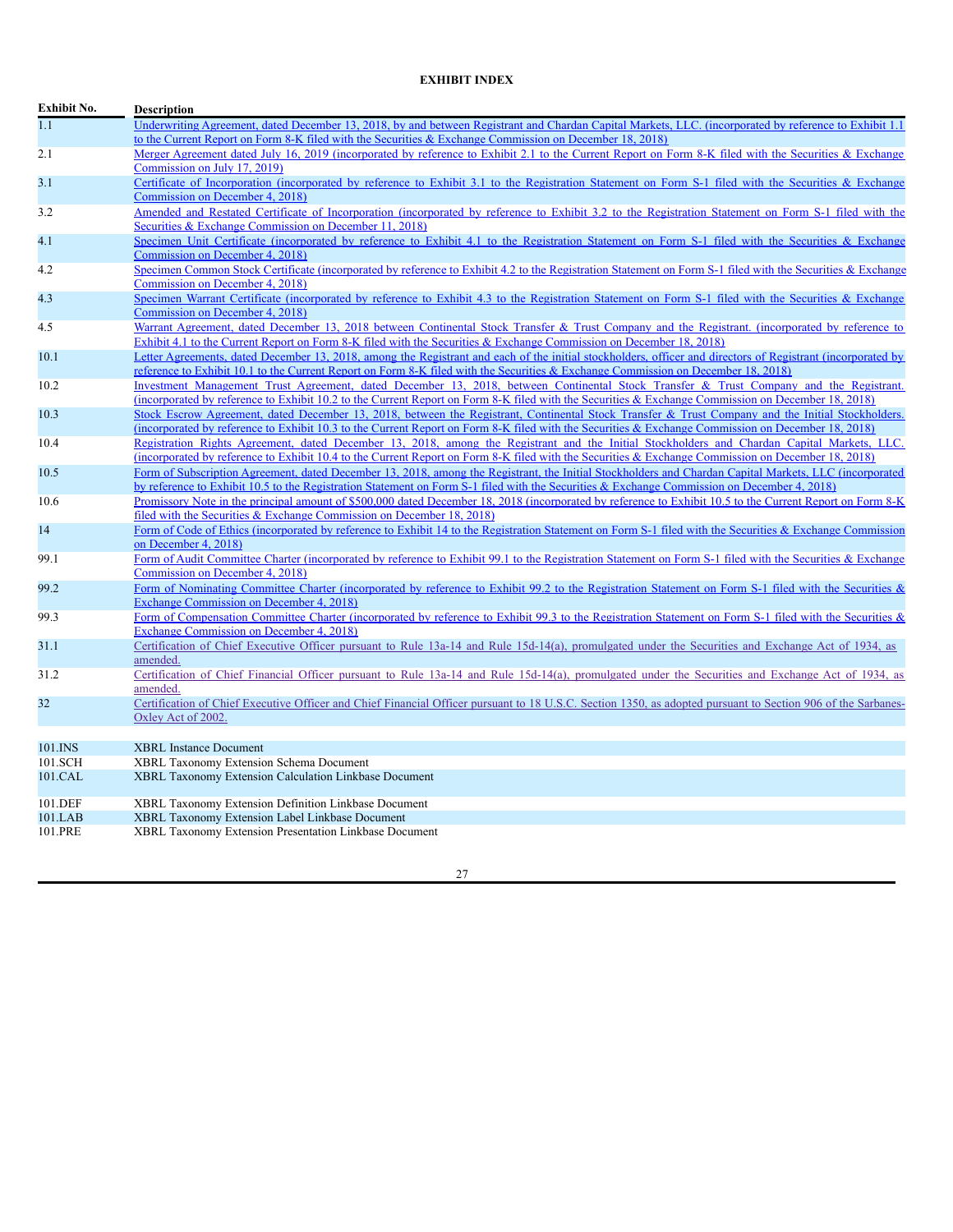# **EXHIBIT INDEX**

| Exhibit No. | <b>Description</b>                                                                                                                                                                                                                                                                                      |
|-------------|---------------------------------------------------------------------------------------------------------------------------------------------------------------------------------------------------------------------------------------------------------------------------------------------------------|
| 1.1         | Underwriting Agreement, dated December 13, 2018, by and between Registrant and Chardan Capital Markets, LLC. (incorporated by reference to Exhibit 1.1                                                                                                                                                  |
|             | to the Current Report on Form 8-K filed with the Securities & Exchange Commission on December 18, 2018)                                                                                                                                                                                                 |
| 2.1         | Merger Agreement dated July 16, 2019 (incorporated by reference to Exhibit 2.1 to the Current Report on Form 8-K filed with the Securities & Exchange                                                                                                                                                   |
|             | Commission on July 17, 2019)                                                                                                                                                                                                                                                                            |
| 3.1         | Certificate of Incorporation (incorporated by reference to Exhibit 3.1 to the Registration Statement on Form S-1 filed with the Securities & Exchange                                                                                                                                                   |
|             | Commission on December 4, 2018)                                                                                                                                                                                                                                                                         |
| 3.2         | Amended and Restated Certificate of Incorporation (incorporated by reference to Exhibit 3.2 to the Registration Statement on Form S-1 filed with the<br>Securities & Exchange Commission on December 11, 2018)                                                                                          |
| 4.1         | Specimen Unit Certificate (incorporated by reference to Exhibit 4.1 to the Registration Statement on Form S-1 filed with the Securities & Exchange<br>Commission on December 4, 2018)                                                                                                                   |
| 4.2         | Specimen Common Stock Certificate (incorporated by reference to Exhibit 4.2 to the Registration Statement on Form S-1 filed with the Securities & Exchange<br>Commission on December 4, 2018)                                                                                                           |
| 4.3         | Specimen Warrant Certificate (incorporated by reference to Exhibit 4.3 to the Registration Statement on Form S-1 filed with the Securities & Exchange                                                                                                                                                   |
|             | Commission on December 4, 2018)                                                                                                                                                                                                                                                                         |
| 4.5         | Warrant Agreement, dated December 13, 2018 between Continental Stock Transfer & Trust Company and the Registrant. (incorporated by reference to<br>Exhibit 4.1 to the Current Report on Form 8-K filed with the Securities & Exchange Commission on December 18, 2018)                                  |
| 10.1        | Letter Agreements, dated December 13, 2018, among the Registrant and each of the initial stockholders, officer and directors of Registrant (incorporated by<br>reference to Exhibit 10.1 to the Current Report on Form 8-K filed with the Securities & Exchange Commission on December 18, 2018)        |
| 10.2        | Investment Management Trust Agreement, dated December 13, 2018, between Continental Stock Transfer & Trust Company and the Registrant.                                                                                                                                                                  |
|             | (incorporated by reference to Exhibit 10.2 to the Current Report on Form 8-K filed with the Securities & Exchange Commission on December 18, 2018)<br>Stock Escrow Agreement, dated December 13, 2018, between the Registrant, Continental Stock Transfer & Trust Company and the Initial Stockholders. |
| 10.3        | (incorporated by reference to Exhibit 10.3 to the Current Report on Form 8-K filed with the Securities & Exchange Commission on December 18, 2018)                                                                                                                                                      |
| 10.4        | Registration Rights Agreement, dated December 13, 2018, among the Registrant and the Initial Stockholders and Chardan Capital Markets, LLC.<br>(incorporated by reference to Exhibit 10.4 to the Current Report on Form 8-K filed with the Securities & Exchange Commission on December 18, 2018)       |
| 10.5        | Form of Subscription Agreement, dated December 13, 2018, among the Registrant, the Initial Stockholders and Chardan Capital Markets, LLC (incorporated                                                                                                                                                  |
|             | by reference to Exhibit 10.5 to the Registration Statement on Form S-1 filed with the Securities & Exchange Commission on December 4, 2018)                                                                                                                                                             |
| 10.6        | Promissory Note in the principal amount of \$500,000 dated December 18, 2018 (incorporated by reference to Exhibit 10.5 to the Current Report on Form 8-K<br>filed with the Securities & Exchange Commission on December $18, 2018$ )                                                                   |
| 14          | Form of Code of Ethics (incorporated by reference to Exhibit 14 to the Registration Statement on Form S-1 filed with the Securities & Exchange Commission                                                                                                                                               |
|             | on December 4, 2018)                                                                                                                                                                                                                                                                                    |
| 99.1        | Form of Audit Committee Charter (incorporated by reference to Exhibit 99.1 to the Registration Statement on Form S-1 filed with the Securities & Exchange<br>Commission on December 4, 2018)                                                                                                            |
| 99.2        | Form of Nominating Committee Charter (incorporated by reference to Exhibit 99.2 to the Registration Statement on Form S-1 filed with the Securities &<br>Exchange Commission on December 4, 2018)                                                                                                       |
| 99.3        | Form of Compensation Committee Charter (incorporated by reference to Exhibit 99.3 to the Registration Statement on Form S-1 filed with the Securities &                                                                                                                                                 |
|             | Exchange Commission on December 4, 2018)                                                                                                                                                                                                                                                                |
| 31.1        | Certification of Chief Executive Officer pursuant to Rule 13a-14 and Rule 15d-14(a), promulgated under the Securities and Exchange Act of 1934, as                                                                                                                                                      |
|             | amended.                                                                                                                                                                                                                                                                                                |
| 31.2        | Certification of Chief Financial Officer pursuant to Rule 13a-14 and Rule 15d-14(a), promulgated under the Securities and Exchange Act of 1934, as<br>amended.                                                                                                                                          |
| 32          | Certification of Chief Executive Officer and Chief Financial Officer pursuant to 18 U.S.C. Section 1350, as adopted pursuant to Section 906 of the Sarbanes-                                                                                                                                            |
|             | Oxley Act of 2002.                                                                                                                                                                                                                                                                                      |
| 101.INS     | <b>XBRL Instance Document</b>                                                                                                                                                                                                                                                                           |
| 101.SCH     | XBRL Taxonomy Extension Schema Document                                                                                                                                                                                                                                                                 |
| 101.CAL     | XBRL Taxonomy Extension Calculation Linkbase Document                                                                                                                                                                                                                                                   |
| 101.DEF     | XBRL Taxonomy Extension Definition Linkbase Document                                                                                                                                                                                                                                                    |
| 101.LAB     | <b>XBRL Taxonomy Extension Label Linkbase Document</b>                                                                                                                                                                                                                                                  |
| 101.PRE     | XBRL Taxonomy Extension Presentation Linkbase Document                                                                                                                                                                                                                                                  |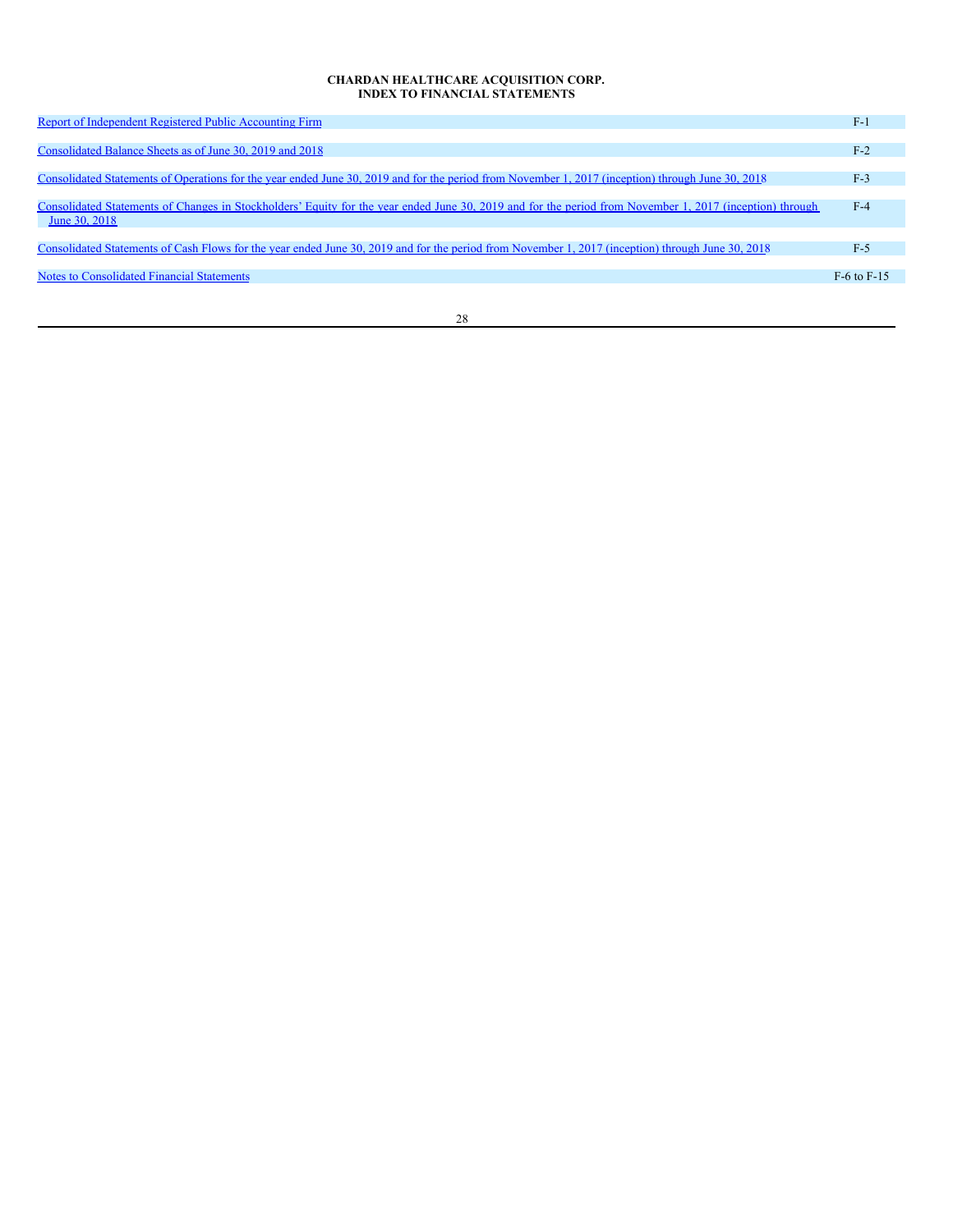#### **CHARDAN HEALTHCARE ACQUISITION CORP. INDEX TO FINANCIAL STATEMENTS**

| Report of Independent Registered Public Accounting Firm                                                                                                  | $F-1$           |
|----------------------------------------------------------------------------------------------------------------------------------------------------------|-----------------|
|                                                                                                                                                          |                 |
| Consolidated Balance Sheets as of June 30, 2019 and 2018                                                                                                 | $F-2$           |
|                                                                                                                                                          |                 |
| Consolidated Statements of Operations for the year ended June 30, 2019 and for the period from November 1, 2017 (inception) through June 30, 2018        | $F-3$           |
|                                                                                                                                                          |                 |
| Consolidated Statements of Changes in Stockholders' Equity for the year ended June 30, 2019 and for the period from November 1, 2017 (inception) through | $F-4$           |
| June 30, 2018                                                                                                                                            |                 |
|                                                                                                                                                          |                 |
| Consolidated Statements of Cash Flows for the year ended June 30, 2019 and for the period from November 1, 2017 (inception) through June 30, 2018        | $F-5$           |
|                                                                                                                                                          |                 |
| <b>Notes to Consolidated Financial Statements</b>                                                                                                        | $F-6$ to $F-15$ |
|                                                                                                                                                          |                 |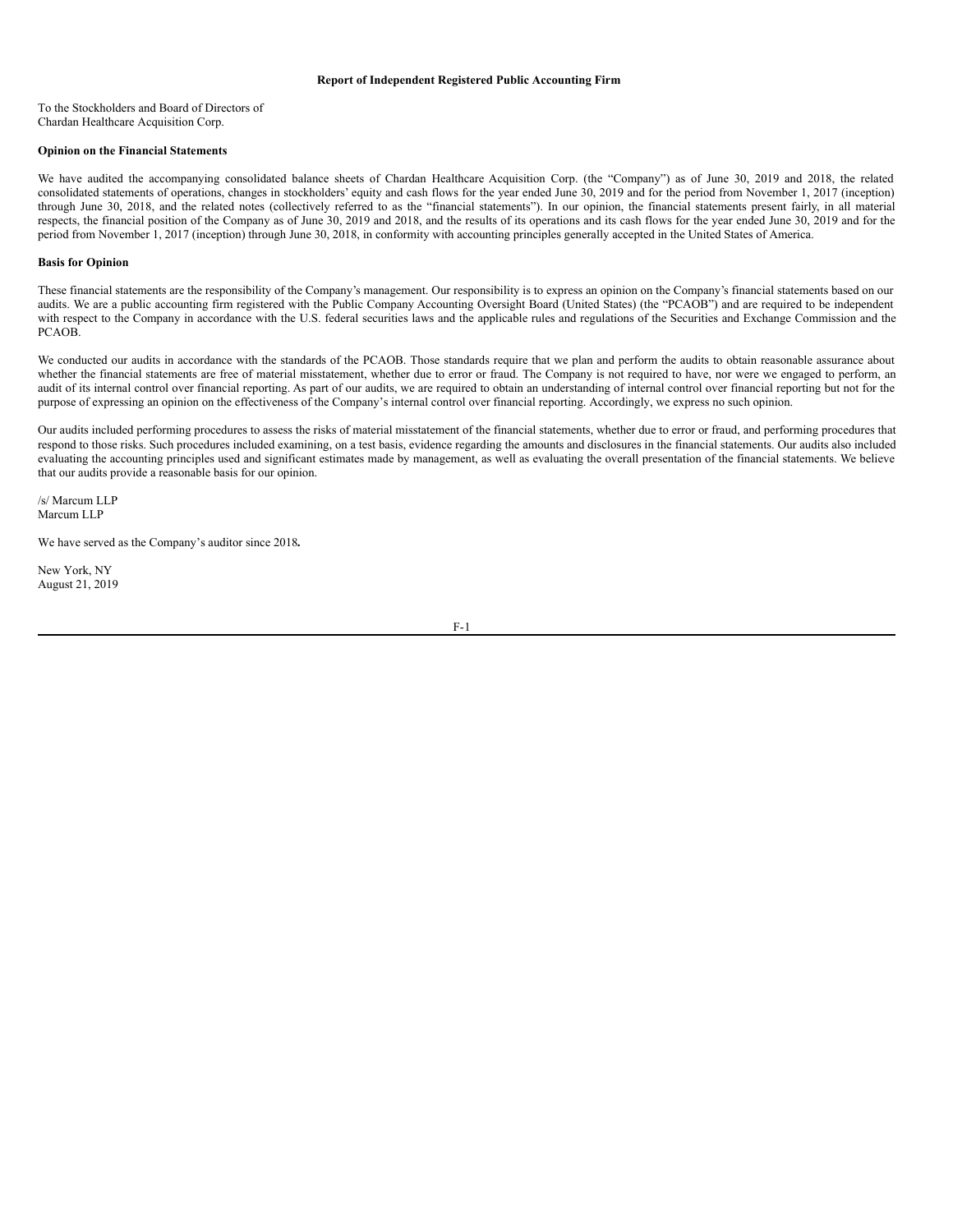#### <span id="page-31-0"></span>**Report of Independent Registered Public Accounting Firm**

To the Stockholders and Board of Directors of Chardan Healthcare Acquisition Corp.

## **Opinion on the Financial Statements**

We have audited the accompanying consolidated balance sheets of Chardan Healthcare Acquisition Corp. (the "Company") as of June 30, 2019 and 2018, the related consolidated statements of operations, changes in stockholders' equity and cash flows for the year ended June 30, 2019 and for the period from November 1, 2017 (inception) through June 30, 2018, and the related notes (collectively referred to as the "financial statements"). In our opinion, the financial statements present fairly, in all material respects, the financial position of the Company as of June 30, 2019 and 2018, and the results of its operations and its cash flows for the year ended June 30, 2019 and for the period from November 1, 2017 (inception) through June 30, 2018, in conformity with accounting principles generally accepted in the United States of America.

#### **Basis for Opinion**

These financial statements are the responsibility of the Company's management. Our responsibility is to express an opinion on the Company's financial statements based on our audits. We are a public accounting firm registered with the Public Company Accounting Oversight Board (United States) (the "PCAOB") and are required to be independent with respect to the Company in accordance with the U.S. federal securities laws and the applicable rules and regulations of the Securities and Exchange Commission and the PCAOB.

We conducted our audits in accordance with the standards of the PCAOB. Those standards require that we plan and perform the audits to obtain reasonable assurance about whether the financial statements are free of material misstatement, whether due to error or fraud. The Company is not required to have, nor were we engaged to perform, an audit of its internal control over financial reporting. As part of our audits, we are required to obtain an understanding of internal control over financial reporting but not for the purpose of expressing an opinion on the effectiveness of the Company's internal control over financial reporting. Accordingly, we express no such opinion.

Our audits included performing procedures to assess the risks of material misstatement of the financial statements, whether due to error or fraud, and performing procedures that respond to those risks. Such procedures included examining, on a test basis, evidence regarding the amounts and disclosures in the financial statements. Our audits also included evaluating the accounting principles used and significant estimates made by management, as well as evaluating the overall presentation of the financial statements. We believe that our audits provide a reasonable basis for our opinion.

/s/ Marcum LLP Marcum LLP

We have served as the Company's auditor since 2018**.**

New York, NY August 21, 2019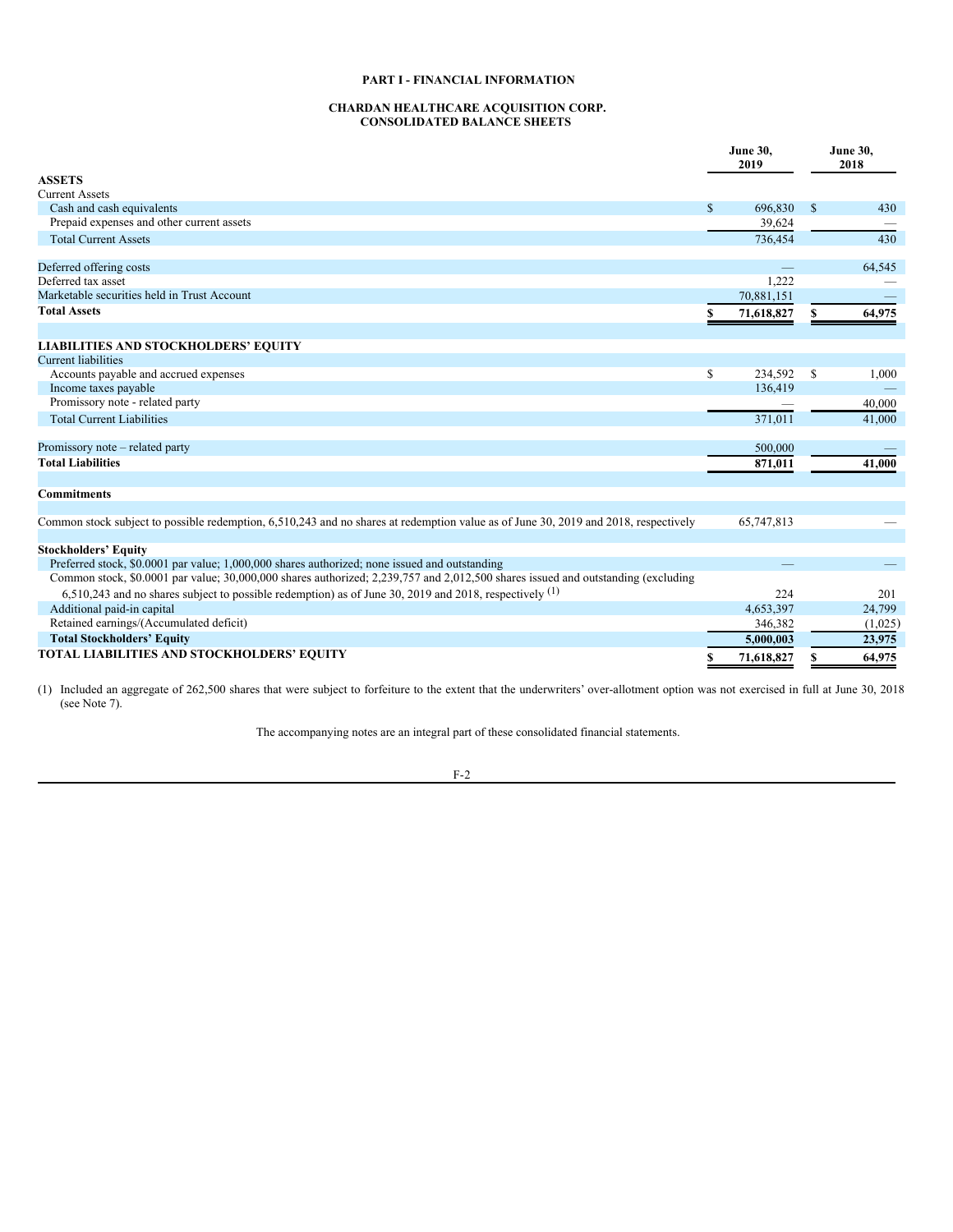# **PART I - FINANCIAL INFORMATION**

## <span id="page-32-0"></span>**CHARDAN HEALTHCARE ACQUISITION CORP. CONSOLIDATED BALANCE SHEETS**

|                                                                                                                                     |              | <b>June 30,</b><br>2019 |              | <b>June 30,</b><br>2018 |
|-------------------------------------------------------------------------------------------------------------------------------------|--------------|-------------------------|--------------|-------------------------|
| <b>ASSETS</b>                                                                                                                       |              |                         |              |                         |
| <b>Current Assets</b>                                                                                                               |              |                         |              |                         |
| Cash and cash equivalents                                                                                                           | $\mathbb{S}$ | 696,830                 | $\mathbb{S}$ | 430                     |
| Prepaid expenses and other current assets                                                                                           |              | 39,624                  |              |                         |
| <b>Total Current Assets</b>                                                                                                         |              | 736,454                 |              | 430                     |
| Deferred offering costs                                                                                                             |              |                         |              | 64,545                  |
| Deferred tax asset                                                                                                                  |              | 1,222                   |              |                         |
| Marketable securities held in Trust Account                                                                                         |              | 70.881.151              |              |                         |
| <b>Total Assets</b>                                                                                                                 |              | 71,618,827              |              | 64,975                  |
| <b>LIABILITIES AND STOCKHOLDERS' EQUITY</b>                                                                                         |              |                         |              |                         |
| <b>Current liabilities</b>                                                                                                          |              |                         |              |                         |
| Accounts payable and accrued expenses                                                                                               | \$           | 234,592                 | \$           | 1,000                   |
| Income taxes payable                                                                                                                |              | 136,419                 |              |                         |
| Promissory note - related party                                                                                                     |              |                         |              | 40,000                  |
| <b>Total Current Liabilities</b>                                                                                                    |              | 371,011                 |              | 41,000                  |
|                                                                                                                                     |              |                         |              |                         |
| Promissory note – related party                                                                                                     |              | 500,000                 |              |                         |
| <b>Total Liabilities</b>                                                                                                            |              | 871,011                 |              | 41,000                  |
| <b>Commitments</b>                                                                                                                  |              |                         |              |                         |
| Common stock subject to possible redemption, 6,510,243 and no shares at redemption value as of June 30, 2019 and 2018, respectively |              | 65,747,813              |              |                         |
| <b>Stockholders' Equity</b>                                                                                                         |              |                         |              |                         |
| Preferred stock, \$0,0001 par value; 1,000,000 shares authorized; none issued and outstanding                                       |              |                         |              |                         |
| Common stock, \$0.0001 par value; 30,000,000 shares authorized; 2,239,757 and 2,012,500 shares issued and outstanding (excluding    |              |                         |              |                         |
| 6,510,243 and no shares subject to possible redemption) as of June 30, 2019 and 2018, respectively $^{(1)}$                         |              | 224                     |              | 201                     |
| Additional paid-in capital                                                                                                          |              | 4,653,397               |              | 24,799                  |
| Retained earnings/(Accumulated deficit)                                                                                             |              | 346,382                 |              | (1,025)                 |
| <b>Total Stockholders' Equity</b>                                                                                                   |              | 5,000,003               |              | 23,975                  |
| TOTAL LIABILITIES AND STOCKHOLDERS' EQUITY                                                                                          |              | 71,618,827              |              | 64,975                  |

(1) Included an aggregate of 262,500 shares that were subject to forfeiture to the extent that the underwriters' over-allotment option was not exercised in full at June 30, 2018 (see Note 7).

The accompanying notes are an integral part of these consolidated financial statements.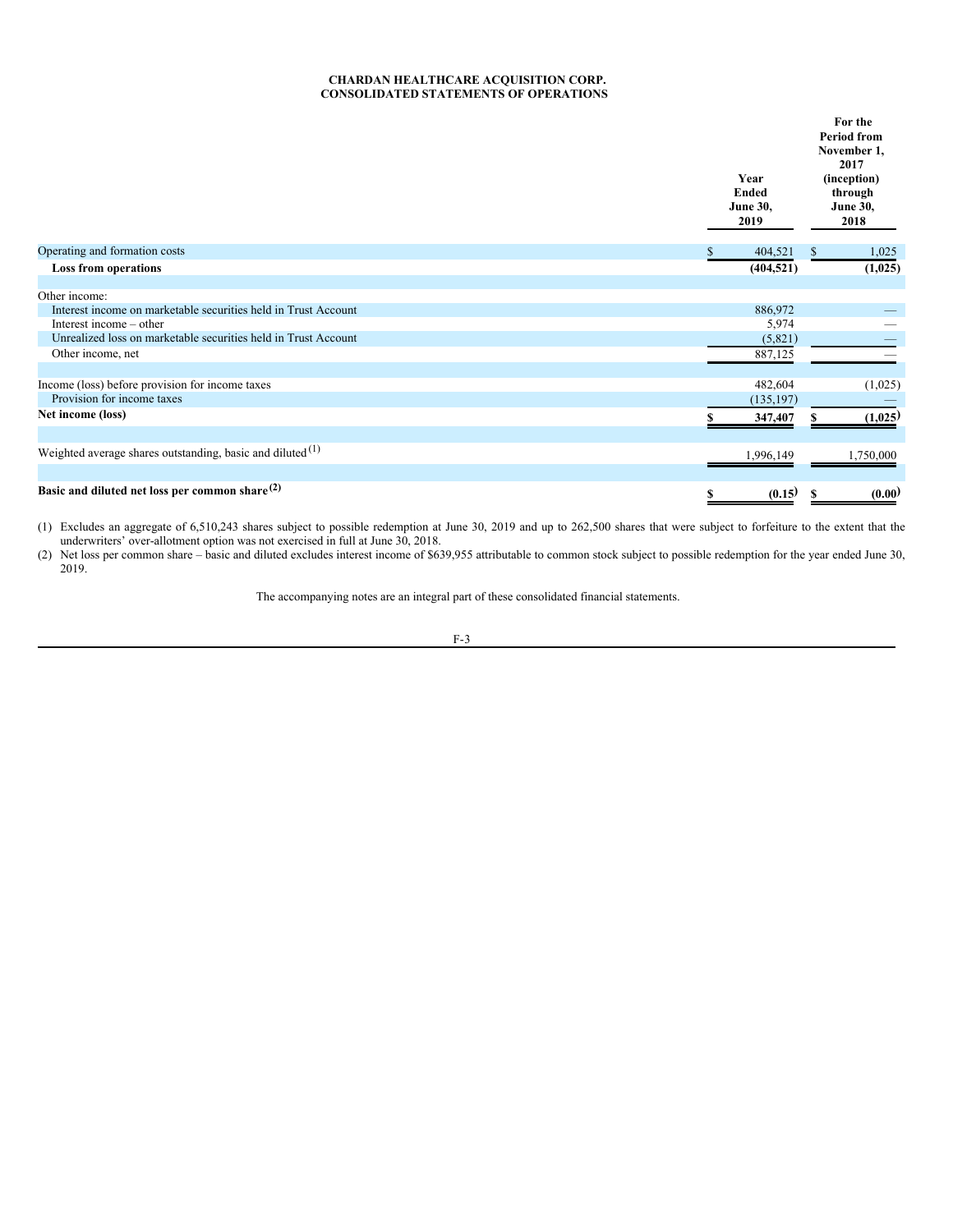# <span id="page-33-0"></span>**CHARDAN HEALTHCARE ACQUISITION CORP. CONSOLIDATED STATEMENTS OF OPERATIONS**

|                                                                | Year<br><b>Ended</b><br><b>June 30,</b><br>2019 | For the<br><b>Period from</b><br>November 1,<br>2017<br>(inception)<br>through<br><b>June 30,</b><br>2018 |
|----------------------------------------------------------------|-------------------------------------------------|-----------------------------------------------------------------------------------------------------------|
| Operating and formation costs                                  | 404,521                                         | 1,025<br><sup>\$</sup>                                                                                    |
| Loss from operations                                           | (404, 521)                                      | (1,025)                                                                                                   |
| Other income:                                                  |                                                 |                                                                                                           |
| Interest income on marketable securities held in Trust Account | 886,972                                         |                                                                                                           |
| Interest income – other                                        | 5,974                                           |                                                                                                           |
| Unrealized loss on marketable securities held in Trust Account | (5,821)                                         |                                                                                                           |
| Other income, net                                              | 887,125                                         |                                                                                                           |
|                                                                |                                                 |                                                                                                           |
| Income (loss) before provision for income taxes                | 482,604                                         | (1,025)                                                                                                   |
| Provision for income taxes                                     | (135, 197)                                      |                                                                                                           |
| Net income (loss)                                              | 347,407                                         | (1,025)                                                                                                   |
|                                                                |                                                 |                                                                                                           |
| Weighted average shares outstanding, basic and diluted $(1)$   | 1,996,149                                       | 1,750,000                                                                                                 |
|                                                                |                                                 |                                                                                                           |
| Basic and diluted net loss per common share <sup>(2)</sup>     | $(0.15)$ \$<br>\$                               | (0.00)                                                                                                    |

(1) Excludes an aggregate of 6,510,243 shares subject to possible redemption at June 30, 2019 and up to 262,500 shares that were subject to forfeiture to the extent that the underwriters' over-allotment option was not exercised in full at June 30, 2018.

(2) Net loss per common share – basic and diluted excludes interest income of \$639,955 attributable to common stock subject to possible redemption for the year ended June 30, 2019.

The accompanying notes are an integral part of these consolidated financial statements.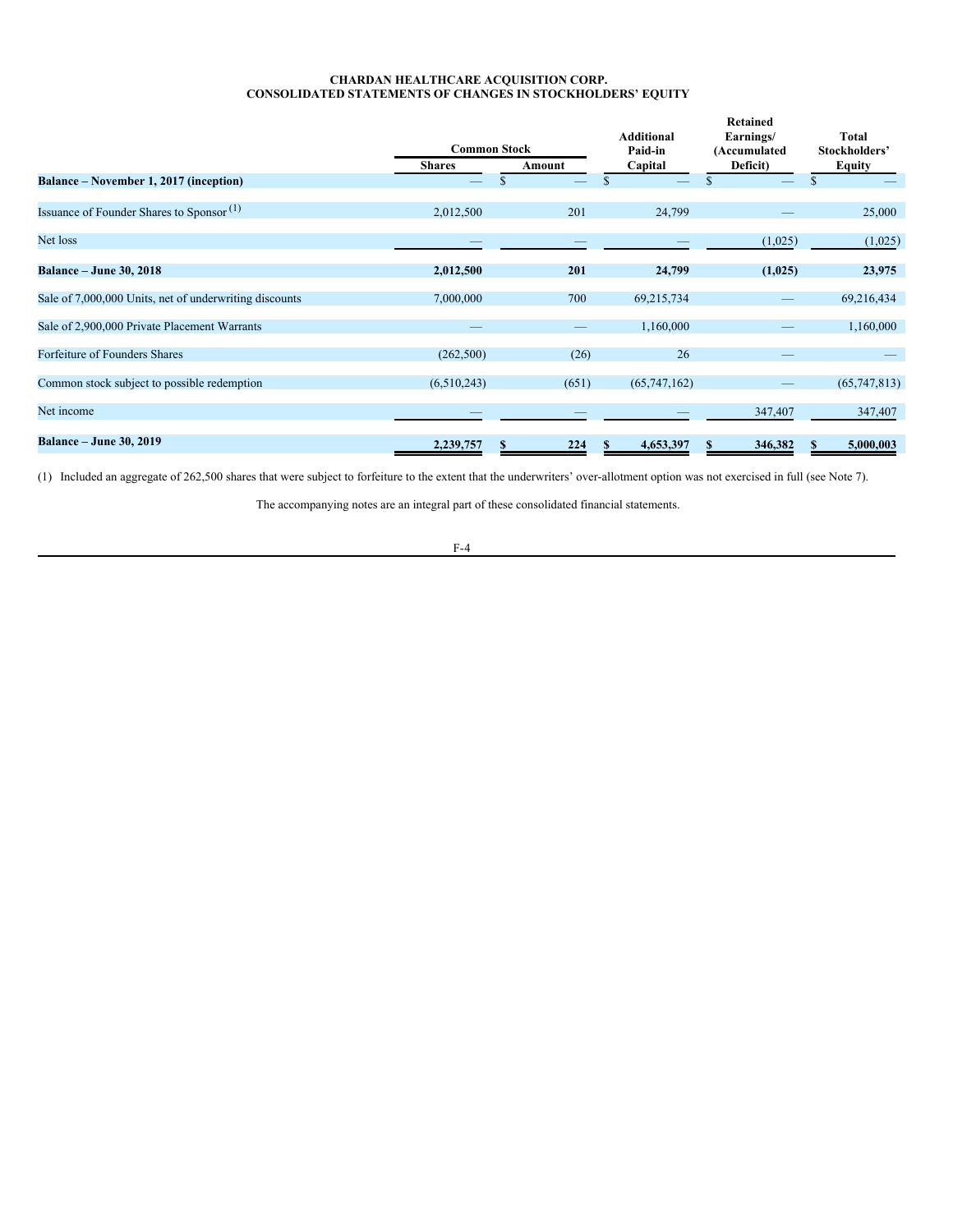## <span id="page-34-0"></span>**CHARDAN HEALTHCARE ACQUISITION CORP. CONSOLIDATED STATEMENTS OF CHANGES IN STOCKHOLDERS' EQUITY**

|                                                        | <b>Common Stock</b> |        |       | <b>Additional</b><br>Paid-in | <b>Retained</b><br>Earnings/<br>(Accumulated | Total<br>Stockholders' |
|--------------------------------------------------------|---------------------|--------|-------|------------------------------|----------------------------------------------|------------------------|
|                                                        | <b>Shares</b>       | Amount |       | Capital                      | Deficit)                                     | Equity                 |
| Balance – November 1, 2017 (inception)                 |                     |        |       |                              |                                              |                        |
| Issuance of Founder Shares to Sponsor <sup>(1)</sup>   | 2,012,500           |        | 201   | 24,799                       |                                              | 25,000                 |
| Net loss                                               |                     |        |       |                              | (1,025)                                      | (1,025)                |
| <b>Balance – June 30, 2018</b>                         | 2,012,500           |        | 201   | 24,799                       | (1,025)                                      | 23,975                 |
| Sale of 7,000,000 Units, net of underwriting discounts | 7,000,000           |        | 700   | 69,215,734                   |                                              | 69,216,434             |
| Sale of 2,900,000 Private Placement Warrants           |                     |        |       | 1,160,000                    |                                              | 1,160,000              |
| Forfeiture of Founders Shares                          | (262, 500)          |        | (26)  | 26                           |                                              |                        |
| Common stock subject to possible redemption            | (6,510,243)         |        | (651) | (65,747,162)                 |                                              | (65,747,813)           |
| Net income                                             |                     |        |       |                              | 347,407                                      | 347,407                |
| <b>Balance - June 30, 2019</b>                         | 2,239,757           |        | 224   | 4,653,397                    | 346,382                                      | 5,000,003              |

(1) Included an aggregate of 262,500 shares that were subject to forfeiture to the extent that the underwriters' over-allotment option was not exercised in full (see Note 7).

The accompanying notes are an integral part of these consolidated financial statements.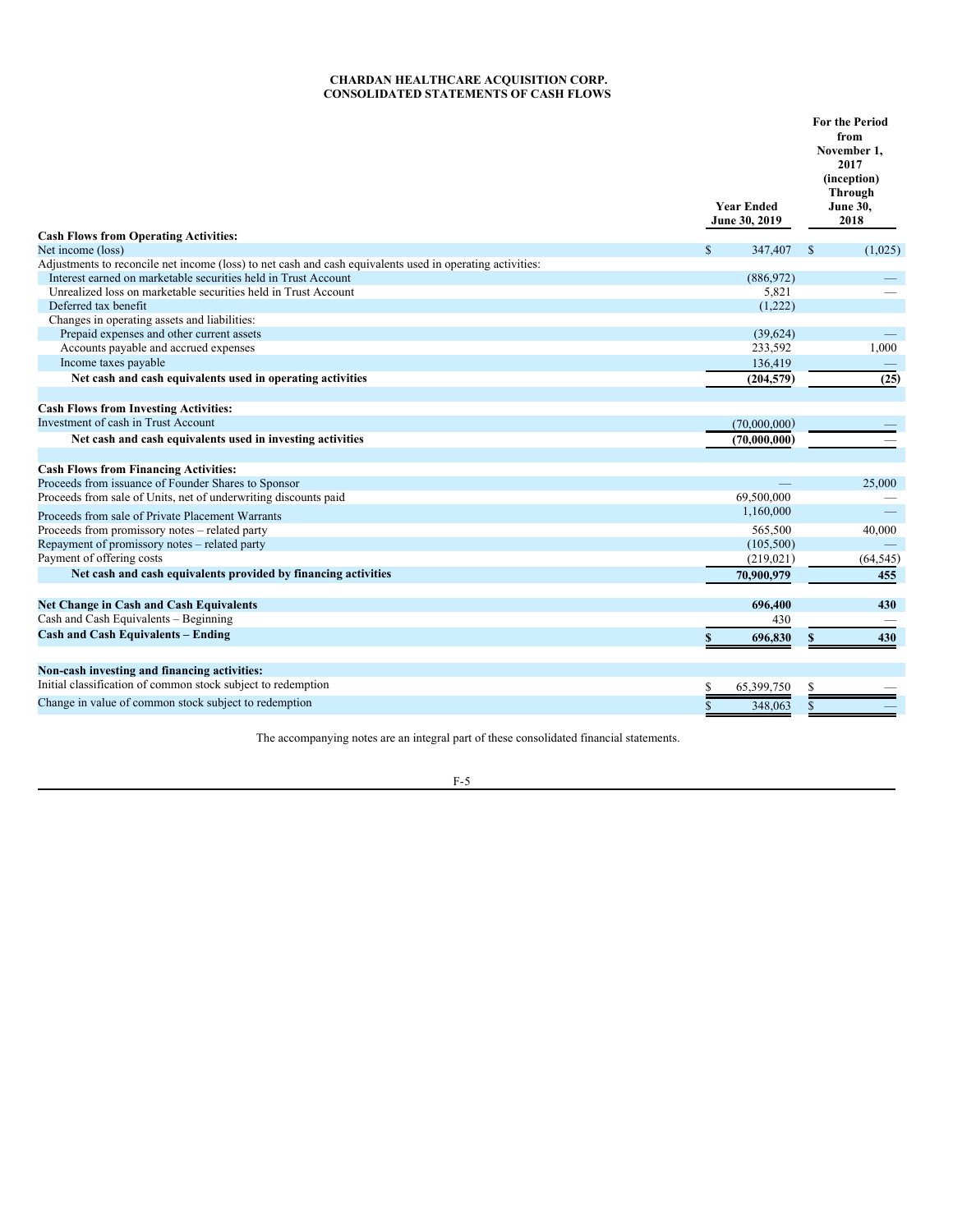## <span id="page-35-0"></span>**CHARDAN HEALTHCARE ACQUISITION CORP. CONSOLIDATED STATEMENTS OF CASH FLOWS**

| <b>Cash Flows from Operating Activities:</b>                                                              |              | <b>Year Ended</b><br>June 30, 2019 | <b>For the Period</b><br>from<br>November 1,<br>2017<br>(inception)<br><b>Through</b><br><b>June 30,</b><br>2018 |
|-----------------------------------------------------------------------------------------------------------|--------------|------------------------------------|------------------------------------------------------------------------------------------------------------------|
| Net income (loss)                                                                                         | $\mathbb{S}$ | 347,407                            | <sup>\$</sup><br>(1,025)                                                                                         |
| Adjustments to reconcile net income (loss) to net cash and cash equivalents used in operating activities: |              |                                    |                                                                                                                  |
| Interest earned on marketable securities held in Trust Account                                            |              | (886, 972)                         |                                                                                                                  |
| Unrealized loss on marketable securities held in Trust Account                                            |              | 5,821                              |                                                                                                                  |
| Deferred tax benefit                                                                                      |              | (1,222)                            |                                                                                                                  |
| Changes in operating assets and liabilities:                                                              |              |                                    |                                                                                                                  |
| Prepaid expenses and other current assets                                                                 |              | (39,624)                           |                                                                                                                  |
| Accounts payable and accrued expenses                                                                     |              | 233,592                            | 1,000                                                                                                            |
| Income taxes payable                                                                                      |              | 136,419                            |                                                                                                                  |
| Net cash and cash equivalents used in operating activities                                                |              | (204, 579)                         | (25)                                                                                                             |
| <b>Cash Flows from Investing Activities:</b>                                                              |              |                                    |                                                                                                                  |
| Investment of cash in Trust Account                                                                       |              | (70,000,000)                       |                                                                                                                  |
| Net cash and cash equivalents used in investing activities                                                |              | (70,000,000)                       |                                                                                                                  |
| <b>Cash Flows from Financing Activities:</b>                                                              |              |                                    |                                                                                                                  |
| Proceeds from issuance of Founder Shares to Sponsor                                                       |              |                                    | 25,000                                                                                                           |
| Proceeds from sale of Units, net of underwriting discounts paid                                           |              | 69,500,000                         |                                                                                                                  |
| Proceeds from sale of Private Placement Warrants                                                          |              | 1,160,000                          |                                                                                                                  |
| Proceeds from promissory notes - related party                                                            |              | 565,500                            | 40,000                                                                                                           |
| Repayment of promissory notes – related party                                                             |              | (105,500)                          |                                                                                                                  |
| Payment of offering costs                                                                                 |              | (219, 021)                         | (64, 545)                                                                                                        |
| Net cash and cash equivalents provided by financing activities                                            |              | 70,900,979                         | 455                                                                                                              |
| <b>Net Change in Cash and Cash Equivalents</b>                                                            |              | 696,400                            | 430                                                                                                              |
| Cash and Cash Equivalents - Beginning                                                                     |              | 430                                |                                                                                                                  |
| <b>Cash and Cash Equivalents - Ending</b>                                                                 | \$           | 696,830                            | 430                                                                                                              |
| Non-cash investing and financing activities:                                                              |              |                                    |                                                                                                                  |
| Initial classification of common stock subject to redemption                                              |              | 65,399,750                         |                                                                                                                  |
| Change in value of common stock subject to redemption                                                     | S.           | 348,063                            | S                                                                                                                |

The accompanying notes are an integral part of these consolidated financial statements.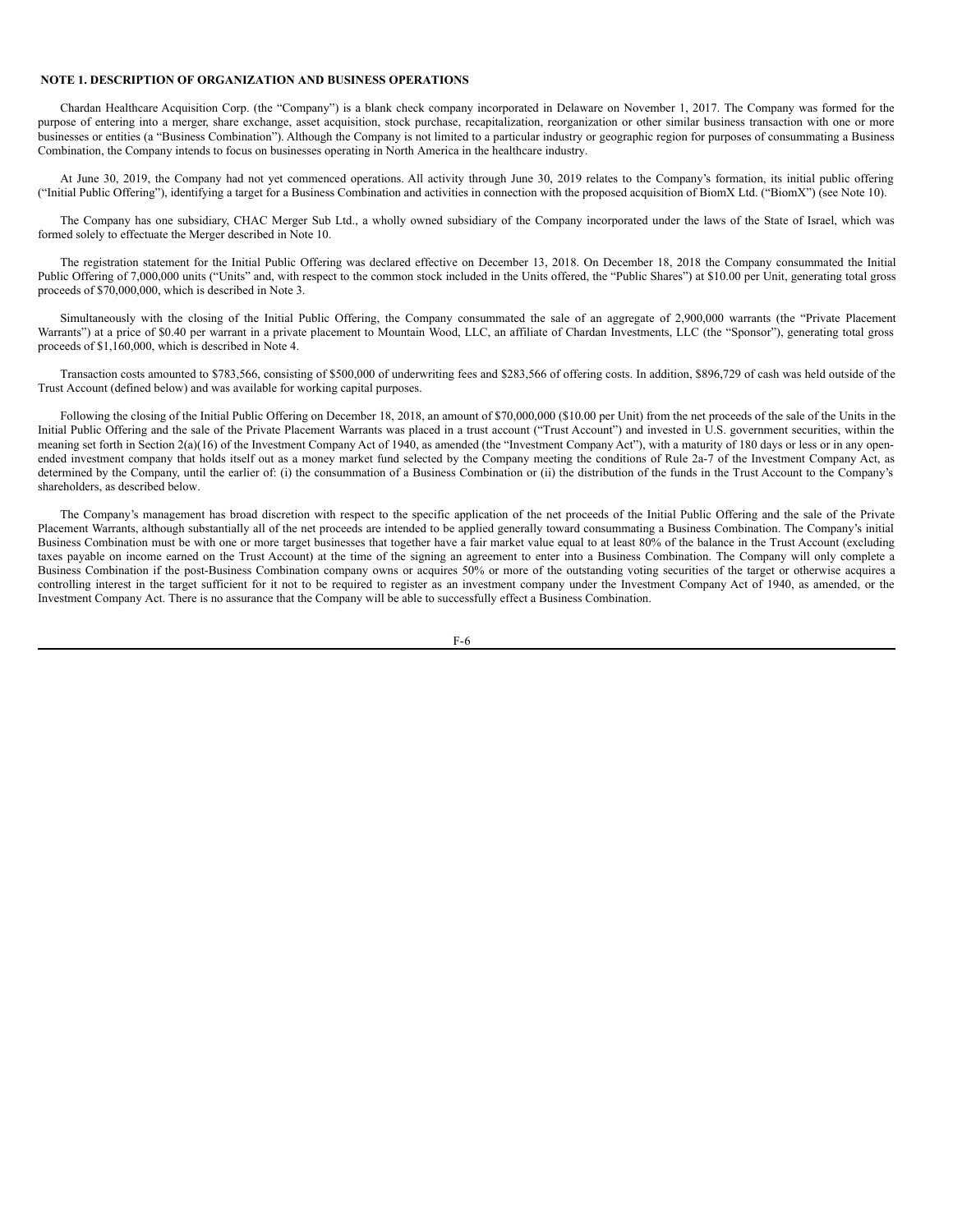### <span id="page-36-0"></span>**NOTE 1. DESCRIPTION OF ORGANIZATION AND BUSINESS OPERATIONS**

Chardan Healthcare Acquisition Corp. (the "Company") is a blank check company incorporated in Delaware on November 1, 2017. The Company was formed for the purpose of entering into a merger, share exchange, asset acquisition, stock purchase, recapitalization, reorganization or other similar business transaction with one or more businesses or entities (a "Business Combination"). Although the Company is not limited to a particular industry or geographic region for purposes of consummating a Business Combination, the Company intends to focus on businesses operating in North America in the healthcare industry.

At June 30, 2019, the Company had not yet commenced operations. All activity through June 30, 2019 relates to the Company's formation, its initial public offering ("Initial Public Offering"), identifying a target for a Business Combination and activities in connection with the proposed acquisition of BiomX Ltd. ("BiomX") (see Note 10).

The Company has one subsidiary, CHAC Merger Sub Ltd., a wholly owned subsidiary of the Company incorporated under the laws of the State of Israel, which was formed solely to effectuate the Merger described in Note 10.

The registration statement for the Initial Public Offering was declared effective on December 13, 2018. On December 18, 2018 the Company consummated the Initial Public Offering of 7,000,000 units ("Units" and, with respect to the common stock included in the Units offered, the "Public Shares") at \$10.00 per Unit, generating total gross proceeds of \$70,000,000, which is described in Note 3.

Simultaneously with the closing of the Initial Public Offering, the Company consummated the sale of an aggregate of 2,900,000 warrants (the "Private Placement Warrants") at a price of \$0.40 per warrant in a private placement to Mountain Wood, LLC, an affiliate of Chardan Investments, LLC (the "Sponsor"), generating total gross proceeds of \$1,160,000, which is described in Note 4.

Transaction costs amounted to \$783,566, consisting of \$500,000 of underwriting fees and \$283,566 of offering costs. In addition, \$896,729 of cash was held outside of the Trust Account (defined below) and was available for working capital purposes.

Following the closing of the Initial Public Offering on December 18, 2018, an amount of \$70,000,000 (\$10.00 per Unit) from the net proceeds of the sale of the Units in the Initial Public Offering and the sale of the Private Placement Warrants was placed in a trust account ("Trust Account") and invested in U.S. government securities, within the meaning set forth in Section 2(a)(16) of the Investment Company Act of 1940, as amended (the "Investment Company Act"), with a maturity of 180 days or less or in any openended investment company that holds itself out as a money market fund selected by the Company meeting the conditions of Rule 2a-7 of the Investment Company Act, as determined by the Company, until the earlier of: (i) the consummation of a Business Combination or (ii) the distribution of the funds in the Trust Account to the Company's shareholders, as described below.

The Company's management has broad discretion with respect to the specific application of the net proceeds of the Initial Public Offering and the sale of the Private Placement Warrants, although substantially all of the net proceeds are intended to be applied generally toward consummating a Business Combination. The Company's initial Business Combination must be with one or more target businesses that together have a fair market value equal to at least 80% of the balance in the Trust Account (excluding taxes payable on income earned on the Trust Account) at the time of the signing an agreement to enter into a Business Combination. The Company will only complete a Business Combination if the post-Business Combination company owns or acquires 50% or more of the outstanding voting securities of the target or otherwise acquires a controlling interest in the target sufficient for it not to be required to register as an investment company under the Investment Company Act of 1940, as amended, or the Investment Company Act. There is no assurance that the Company will be able to successfully effect a Business Combination.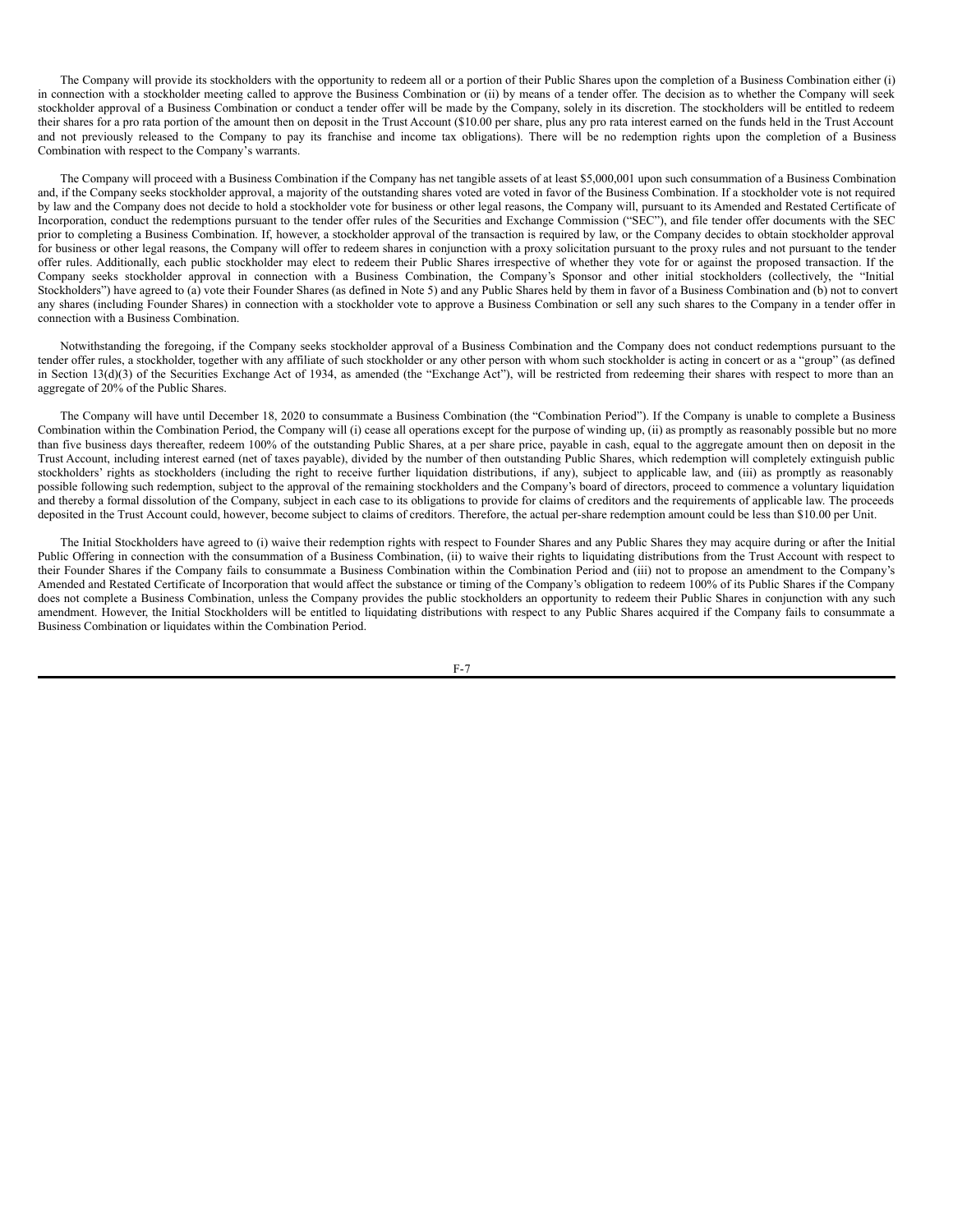The Company will provide its stockholders with the opportunity to redeem all or a portion of their Public Shares upon the completion of a Business Combination either (i) in connection with a stockholder meeting called to approve the Business Combination or (ii) by means of a tender offer. The decision as to whether the Company will seek stockholder approval of a Business Combination or conduct a tender offer will be made by the Company, solely in its discretion. The stockholders will be entitled to redeem their shares for a pro rata portion of the amount then on deposit in the Trust Account (\$10.00 per share, plus any pro rata interest earned on the funds held in the Trust Account and not previously released to the Company to pay its franchise and income tax obligations). There will be no redemption rights upon the completion of a Business Combination with respect to the Company's warrants.

The Company will proceed with a Business Combination if the Company has net tangible assets of at least \$5,000,001 upon such consummation of a Business Combination and, if the Company seeks stockholder approval, a majority of the outstanding shares voted are voted in favor of the Business Combination. If a stockholder vote is not required by law and the Company does not decide to hold a stockholder vote for business or other legal reasons, the Company will, pursuant to its Amended and Restated Certificate of Incorporation, conduct the redemptions pursuant to the tender offer rules of the Securities and Exchange Commission ("SEC"), and file tender offer documents with the SEC prior to completing a Business Combination. If, however, a stockholder approval of the transaction is required by law, or the Company decides to obtain stockholder approval for business or other legal reasons, the Company will offer to redeem shares in conjunction with a proxy solicitation pursuant to the proxy rules and not pursuant to the tender offer rules. Additionally, each public stockholder may elect to redeem their Public Shares irrespective of whether they vote for or against the proposed transaction. If the Company seeks stockholder approval in connection with a Business Combination, the Company's Sponsor and other initial stockholders (collectively, the "Initial Stockholders") have agreed to (a) vote their Founder Shares (as defined in Note 5) and any Public Shares held by them in favor of a Business Combination and (b) not to convert any shares (including Founder Shares) in connection with a stockholder vote to approve a Business Combination or sell any such shares to the Company in a tender offer in connection with a Business Combination.

Notwithstanding the foregoing, if the Company seeks stockholder approval of a Business Combination and the Company does not conduct redemptions pursuant to the tender offer rules, a stockholder, together with any affiliate of such stockholder or any other person with whom such stockholder is acting in concert or as a "group" (as defined in Section  $13(d)(3)$  of the Securities Exchange Act of 1934, as amended (the "Exchange Act"), will be restricted from redeeming their shares with respect to more than an aggregate of 20% of the Public Shares.

The Company will have until December 18, 2020 to consummate a Business Combination (the "Combination Period"). If the Company is unable to complete a Business Combination within the Combination Period, the Company will (i) cease all operations except for the purpose of winding up, (ii) as promptly as reasonably possible but no more than five business days thereafter, redeem 100% of the outstanding Public Shares, at a per share price, payable in cash, equal to the aggregate amount then on deposit in the Trust Account, including interest earned (net of taxes payable), divided by the number of then outstanding Public Shares, which redemption will completely extinguish public stockholders' rights as stockholders (including the right to receive further liquidation distributions, if any), subject to applicable law, and (iii) as promptly as reasonably possible following such redemption, subject to the approval of the remaining stockholders and the Company's board of directors, proceed to commence a voluntary liquidation and thereby a formal dissolution of the Company, subject in each case to its obligations to provide for claims of creditors and the requirements of applicable law. The proceeds deposited in the Trust Account could, however, become subject to claims of creditors. Therefore, the actual per-share redemption amount could be less than \$10.00 per Unit.

The Initial Stockholders have agreed to (i) waive their redemption rights with respect to Founder Shares and any Public Shares they may acquire during or after the Initial Public Offering in connection with the consummation of a Business Combination, (ii) to waive their rights to liquidating distributions from the Trust Account with respect to their Founder Shares if the Company fails to consummate a Business Combination within the Combination Period and (iii) not to propose an amendment to the Company's Amended and Restated Certificate of Incorporation that would affect the substance or timing of the Company's obligation to redeem 100% of its Public Shares if the Company does not complete a Business Combination, unless the Company provides the public stockholders an opportunity to redeem their Public Shares in conjunction with any such amendment. However, the Initial Stockholders will be entitled to liquidating distributions with respect to any Public Shares acquired if the Company fails to consummate a Business Combination or liquidates within the Combination Period.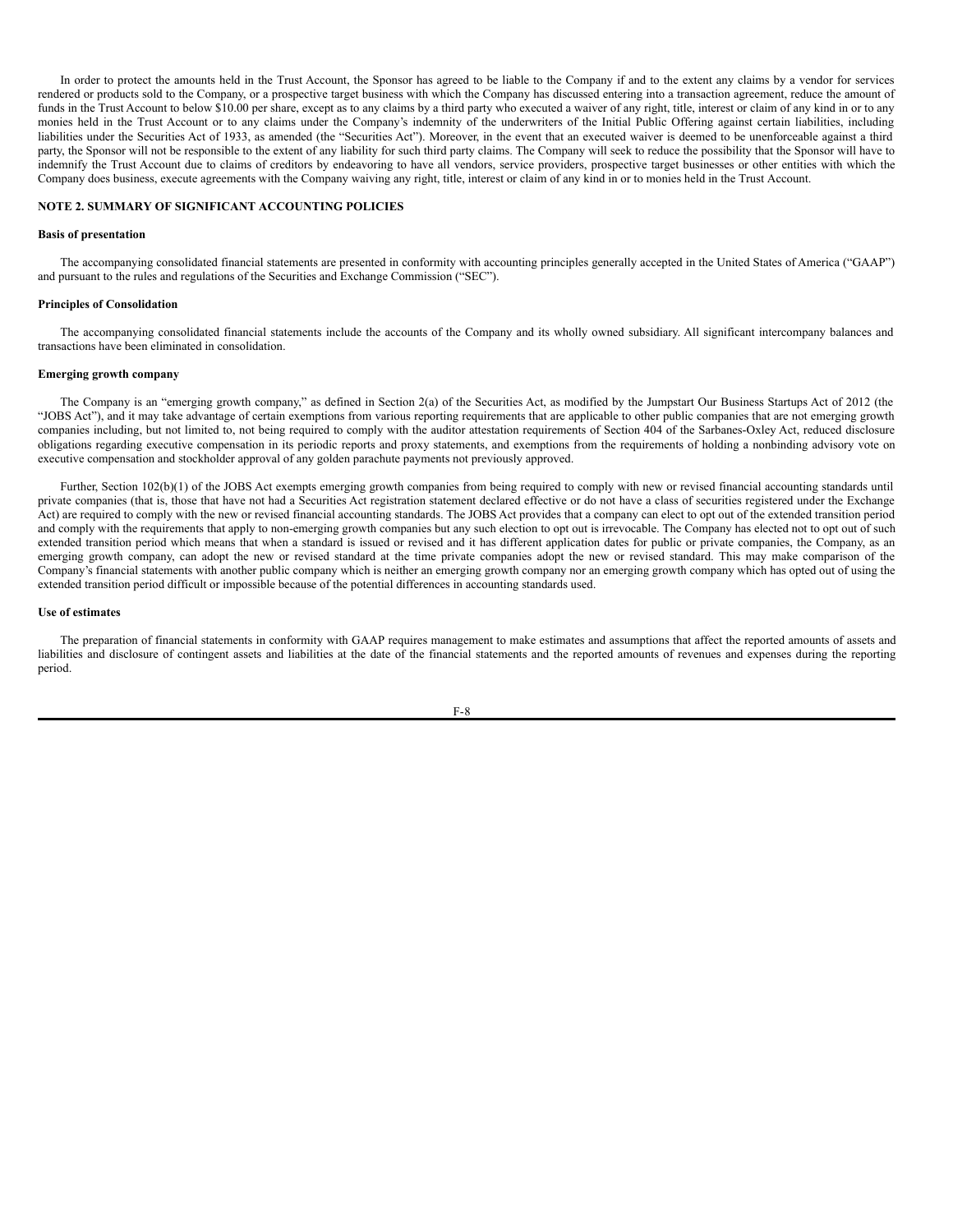In order to protect the amounts held in the Trust Account, the Sponsor has agreed to be liable to the Company if and to the extent any claims by a vendor for services rendered or products sold to the Company, or a prospective target business with which the Company has discussed entering into a transaction agreement, reduce the amount of funds in the Trust Account to below \$10.00 per share, except as to any claims by a third party who executed a waiver of any right, title, interest or claim of any kind in or to any monies held in the Trust Account or to any claims under the Company's indemnity of the underwriters of the Initial Public Offering against certain liabilities, including liabilities under the Securities Act of 1933, as amended (the "Securities Act"). Moreover, in the event that an executed waiver is deemed to be unenforceable against a third party, the Sponsor will not be responsible to the extent of any liability for such third party claims. The Company will seek to reduce the possibility that the Sponsor will have to indemnify the Trust Account due to claims of creditors by endeavoring to have all vendors, service providers, prospective target businesses or other entities with which the Company does business, execute agreements with the Company waiving any right, title, interest or claim of any kind in or to monies held in the Trust Account.

## **NOTE 2. SUMMARY OF SIGNIFICANT ACCOUNTING POLICIES**

#### **Basis of presentation**

The accompanying consolidated financial statements are presented in conformity with accounting principles generally accepted in the United States of America ("GAAP") and pursuant to the rules and regulations of the Securities and Exchange Commission ("SEC").

#### **Principles of Consolidation**

The accompanying consolidated financial statements include the accounts of the Company and its wholly owned subsidiary. All significant intercompany balances and transactions have been eliminated in consolidation.

## **Emerging growth company**

The Company is an "emerging growth company," as defined in Section 2(a) of the Securities Act, as modified by the Jumpstart Our Business Startups Act of 2012 (the "JOBS Act"), and it may take advantage of certain exemptions from various reporting requirements that are applicable to other public companies that are not emerging growth companies including, but not limited to, not being required to comply with the auditor attestation requirements of Section 404 of the Sarbanes-Oxley Act, reduced disclosure obligations regarding executive compensation in its periodic reports and proxy statements, and exemptions from the requirements of holding a nonbinding advisory vote on executive compensation and stockholder approval of any golden parachute payments not previously approved.

Further, Section 102(b)(1) of the JOBS Act exempts emerging growth companies from being required to comply with new or revised financial accounting standards until private companies (that is, those that have not had a Securities Act registration statement declared effective or do not have a class of securities registered under the Exchange Act) are required to comply with the new or revised financial accounting standards. The JOBS Act provides that a company can elect to opt out of the extended transition period and comply with the requirements that apply to non-emerging growth companies but any such election to opt out is irrevocable. The Company has elected not to opt out of such extended transition period which means that when a standard is issued or revised and it has different application dates for public or private companies, the Company, as an emerging growth company, can adopt the new or revised standard at the time private companies adopt the new or revised standard. This may make comparison of the Company's financial statements with another public company which is neither an emerging growth company nor an emerging growth company which has opted out of using the extended transition period difficult or impossible because of the potential differences in accounting standards used.

#### **Use of estimates**

The preparation of financial statements in conformity with GAAP requires management to make estimates and assumptions that affect the reported amounts of assets and liabilities and disclosure of contingent assets and liabilities at the date of the financial statements and the reported amounts of revenues and expenses during the reporting period.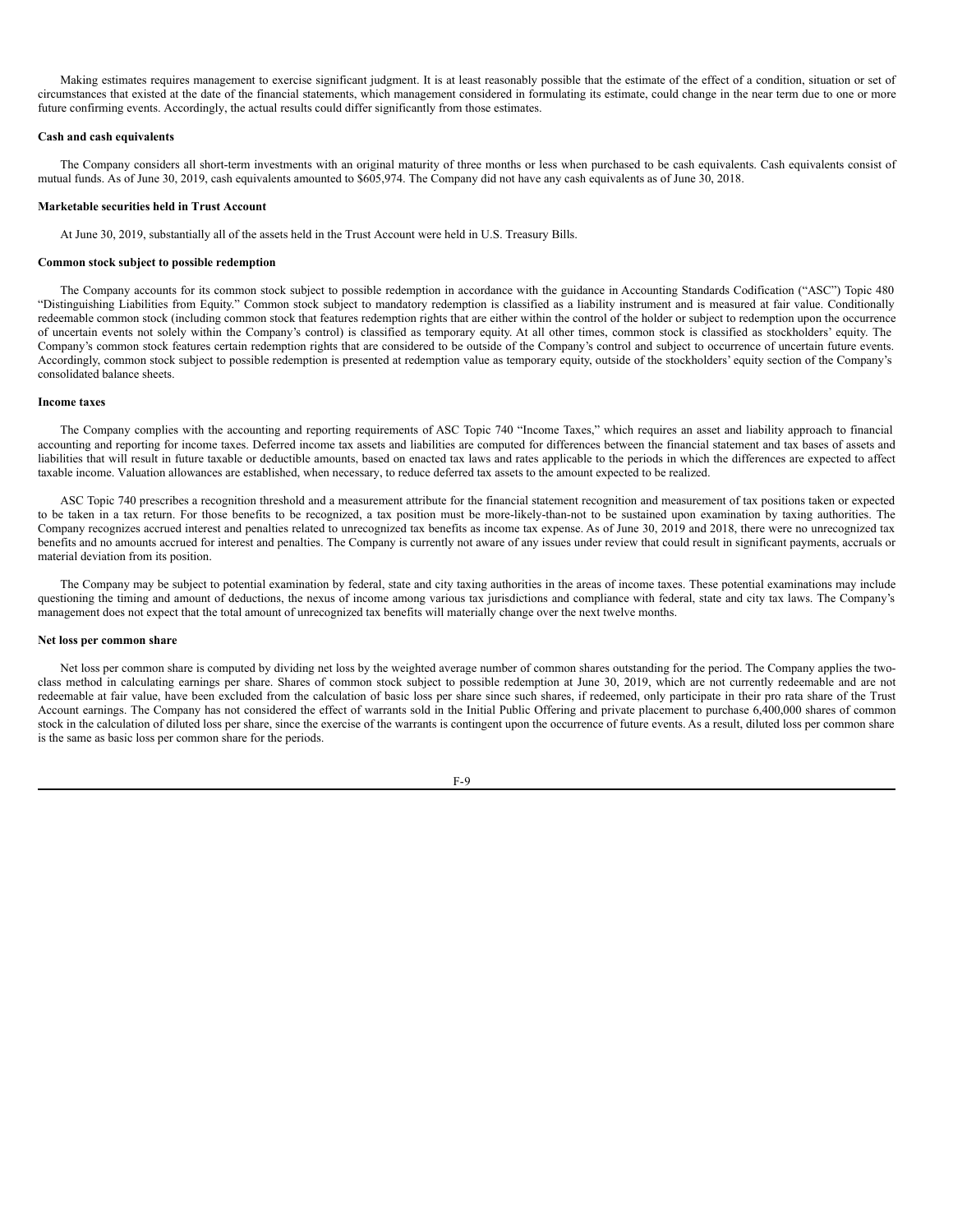Making estimates requires management to exercise significant judgment. It is at least reasonably possible that the estimate of the effect of a condition, situation or set of circumstances that existed at the date of the financial statements, which management considered in formulating its estimate, could change in the near term due to one or more future confirming events. Accordingly, the actual results could differ significantly from those estimates.

## **Cash and cash equivalents**

The Company considers all short-term investments with an original maturity of three months or less when purchased to be cash equivalents. Cash equivalents consist of mutual funds. As of June 30, 2019, cash equivalents amounted to \$605,974. The Company did not have any cash equivalents as of June 30, 2018.

## **Marketable securities held in Trust Account**

At June 30, 2019, substantially all of the assets held in the Trust Account were held in U.S. Treasury Bills.

#### **Common stock subject to possible redemption**

The Company accounts for its common stock subject to possible redemption in accordance with the guidance in Accounting Standards Codification ("ASC") Topic 480 "Distinguishing Liabilities from Equity." Common stock subject to mandatory redemption is classified as a liability instrument and is measured at fair value. Conditionally redeemable common stock (including common stock that features redemption rights that are either within the control of the holder or subject to redemption upon the occurrence of uncertain events not solely within the Company's control) is classified as temporary equity. At all other times, common stock is classified as stockholders' equity. The Company's common stock features certain redemption rights that are considered to be outside of the Company's control and subject to occurrence of uncertain future events. Accordingly, common stock subject to possible redemption is presented at redemption value as temporary equity, outside of the stockholders' equity section of the Company's consolidated balance sheets.

## **Income taxes**

The Company complies with the accounting and reporting requirements of ASC Topic 740 "Income Taxes," which requires an asset and liability approach to financial accounting and reporting for income taxes. Deferred income tax assets and liabilities are computed for differences between the financial statement and tax bases of assets and liabilities that will result in future taxable or deductible amounts, based on enacted tax laws and rates applicable to the periods in which the differences are expected to affect taxable income. Valuation allowances are established, when necessary, to reduce deferred tax assets to the amount expected to be realized.

ASC Topic 740 prescribes a recognition threshold and a measurement attribute for the financial statement recognition and measurement of tax positions taken or expected to be taken in a tax return. For those benefits to be recognized, a tax position must be more-likely-than-not to be sustained upon examination by taxing authorities. The Company recognizes accrued interest and penalties related to unrecognized tax benefits as income tax expense. As of June 30, 2019 and 2018, there were no unrecognized tax benefits and no amounts accrued for interest and penalties. The Company is currently not aware of any issues under review that could result in significant payments, accruals or material deviation from its position.

The Company may be subject to potential examination by federal, state and city taxing authorities in the areas of income taxes. These potential examinations may include questioning the timing and amount of deductions, the nexus of income among various tax jurisdictions and compliance with federal, state and city tax laws. The Company's management does not expect that the total amount of unrecognized tax benefits will materially change over the next twelve months.

#### **Net loss per common share**

Net loss per common share is computed by dividing net loss by the weighted average number of common shares outstanding for the period. The Company applies the twoclass method in calculating earnings per share. Shares of common stock subject to possible redemption at June 30, 2019, which are not currently redeemable and are not redeemable at fair value, have been excluded from the calculation of basic loss per share since such shares, if redeemed, only participate in their pro rata share of the Trust Account earnings. The Company has not considered the effect of warrants sold in the Initial Public Offering and private placement to purchase 6,400,000 shares of common stock in the calculation of diluted loss per share, since the exercise of the warrants is contingent upon the occurrence of future events. As a result, diluted loss per common share is the same as basic loss per common share for the periods.

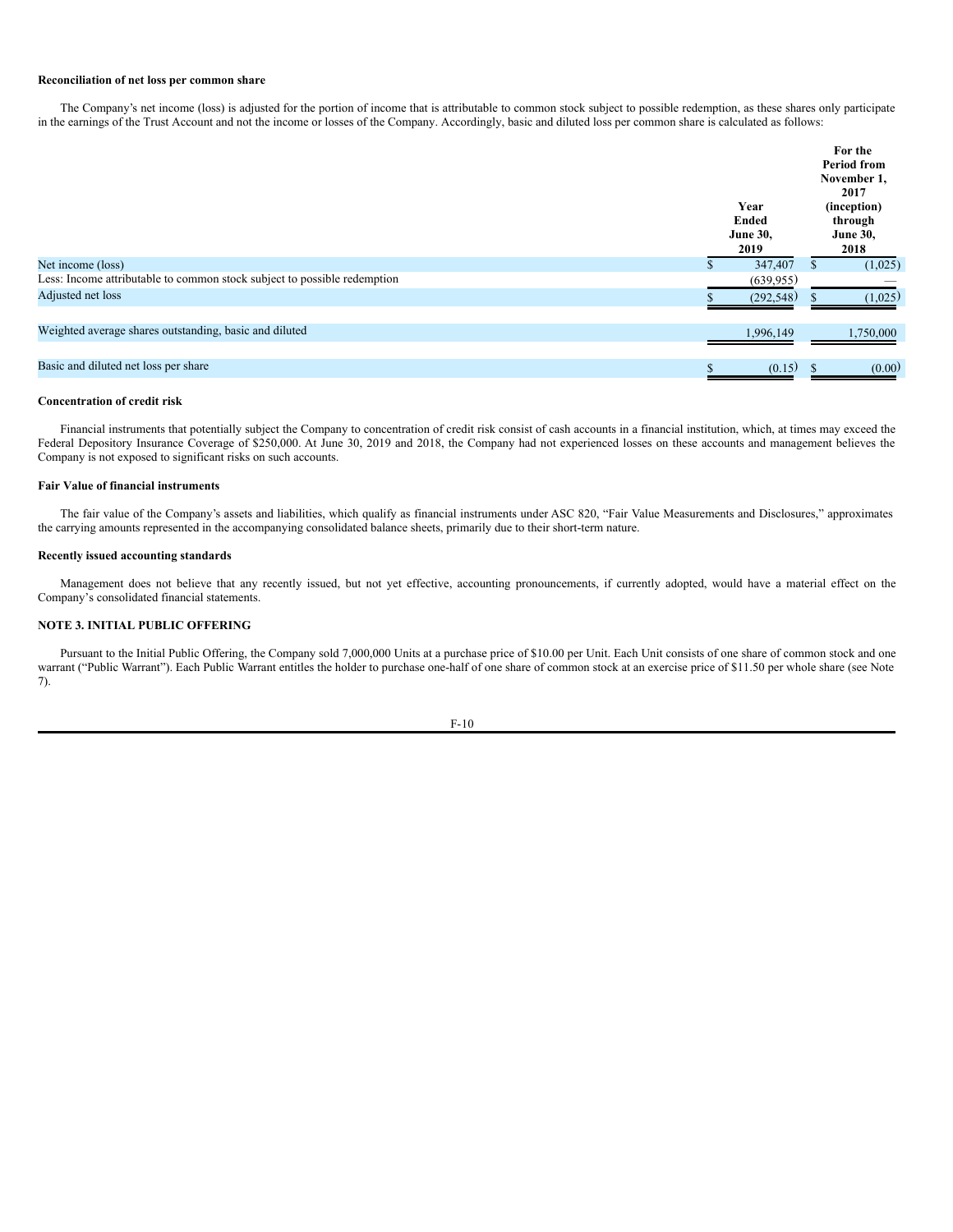#### **Reconciliation of net loss per common share**

The Company's net income (loss) is adjusted for the portion of income that is attributable to common stock subject to possible redemption, as these shares only participate in the earnings of the Trust Account and not the income or losses of the Company. Accordingly, basic and diluted loss per common share is calculated as follows:

|                                                                          | Year<br>Ended<br><b>June 30,</b><br>2019 |              | For the<br><b>Period from</b><br>November 1,<br>2017<br>(inception)<br>through<br><b>June 30,</b><br>2018 |
|--------------------------------------------------------------------------|------------------------------------------|--------------|-----------------------------------------------------------------------------------------------------------|
| Net income (loss)                                                        | 347,407                                  | Ж.           | (1,025)                                                                                                   |
| Less: Income attributable to common stock subject to possible redemption | (639, 955)                               |              |                                                                                                           |
| Adjusted net loss                                                        | (292, 548)                               |              | (1,025)                                                                                                   |
| Weighted average shares outstanding, basic and diluted                   | 1,996,149                                |              | 1,750,000                                                                                                 |
| Basic and diluted net loss per share                                     | \$<br>(0.15)                             | <sup>S</sup> | (0.00)                                                                                                    |

## **Concentration of credit risk**

Financial instruments that potentially subject the Company to concentration of credit risk consist of cash accounts in a financial institution, which, at times may exceed the Federal Depository Insurance Coverage of \$250,000. At June 30, 2019 and 2018, the Company had not experienced losses on these accounts and management believes the Company is not exposed to significant risks on such accounts.

# **Fair Value of financial instruments**

The fair value of the Company's assets and liabilities, which qualify as financial instruments under ASC 820, "Fair Value Measurements and Disclosures," approximates the carrying amounts represented in the accompanying consolidated balance sheets, primarily due to their short-term nature.

#### **Recently issued accounting standards**

Management does not believe that any recently issued, but not yet effective, accounting pronouncements, if currently adopted, would have a material effect on the Company's consolidated financial statements.

# **NOTE 3. INITIAL PUBLIC OFFERING**

Pursuant to the Initial Public Offering, the Company sold 7,000,000 Units at a purchase price of \$10.00 per Unit. Each Unit consists of one share of common stock and one warrant ("Public Warrant"). Each Public Warrant entitles the holder to purchase one-half of one share of common stock at an exercise price of \$11.50 per whole share (see Note 7).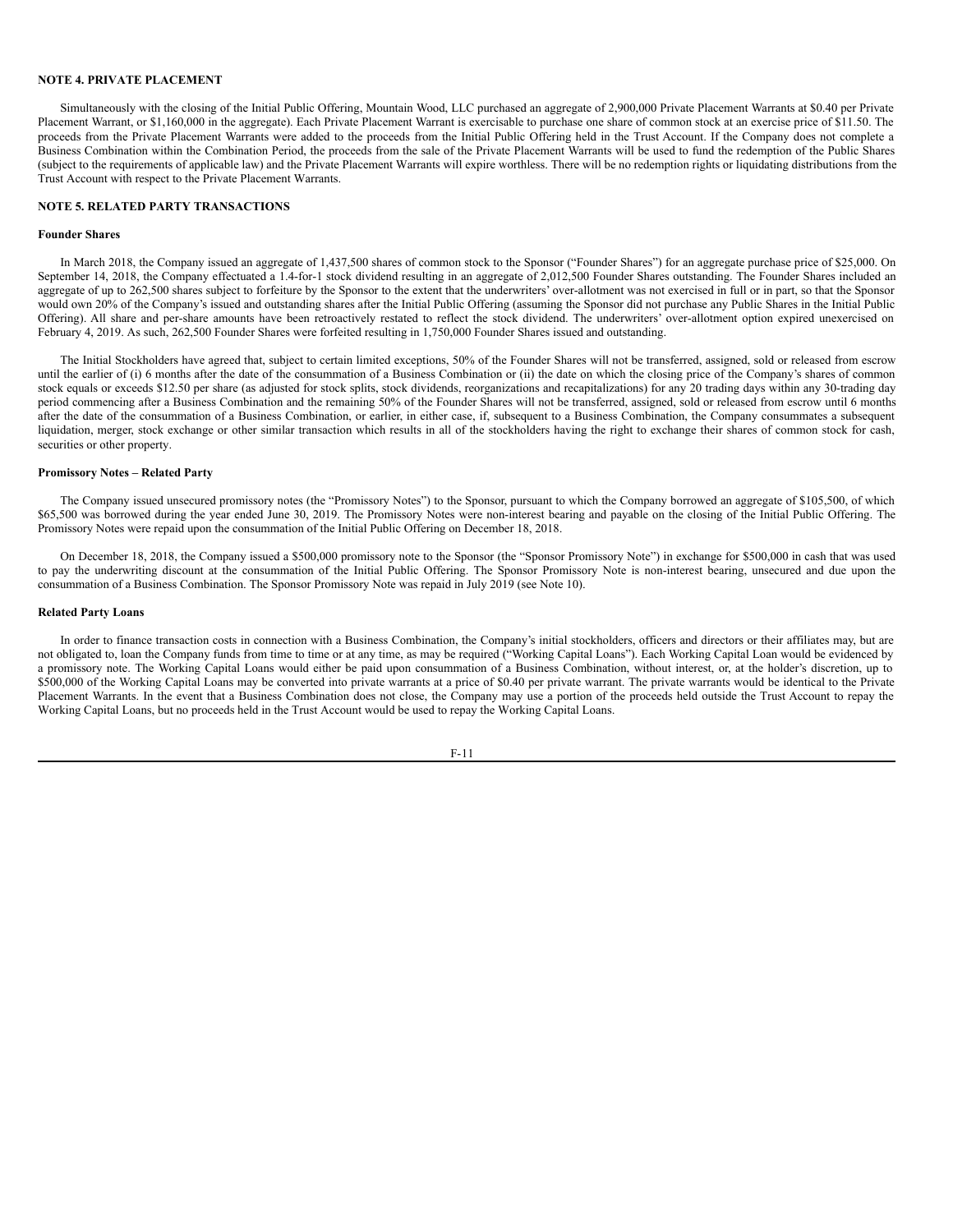# **NOTE 4. PRIVATE PLACEMENT**

Simultaneously with the closing of the Initial Public Offering, Mountain Wood, LLC purchased an aggregate of 2,900,000 Private Placement Warrants at \$0.40 per Private Placement Warrant, or \$1,160,000 in the aggregate). Each Private Placement Warrant is exercisable to purchase one share of common stock at an exercise price of \$11.50. The proceeds from the Private Placement Warrants were added to the proceeds from the Initial Public Offering held in the Trust Account. If the Company does not complete a Business Combination within the Combination Period, the proceeds from the sale of the Private Placement Warrants will be used to fund the redemption of the Public Shares (subject to the requirements of applicable law) and the Private Placement Warrants will expire worthless. There will be no redemption rights or liquidating distributions from the Trust Account with respect to the Private Placement Warrants.

## **NOTE 5. RELATED PARTY TRANSACTIONS**

#### **Founder Shares**

In March 2018, the Company issued an aggregate of 1,437,500 shares of common stock to the Sponsor ("Founder Shares") for an aggregate purchase price of \$25,000. On September 14, 2018, the Company effectuated a 1.4-for-1 stock dividend resulting in an aggregate of 2,012,500 Founder Shares outstanding. The Founder Shares included an aggregate of up to 262,500 shares subject to forfeiture by the Sponsor to the extent that the underwriters' over-allotment was not exercised in full or in part, so that the Sponsor would own 20% of the Company's issued and outstanding shares after the Initial Public Offering (assuming the Sponsor did not purchase any Public Shares in the Initial Public Offering). All share and per-share amounts have been retroactively restated to reflect the stock dividend. The underwriters' over-allotment option expired unexercised on February 4, 2019. As such, 262,500 Founder Shares were forfeited resulting in 1,750,000 Founder Shares issued and outstanding.

The Initial Stockholders have agreed that, subject to certain limited exceptions, 50% of the Founder Shares will not be transferred, assigned, sold or released from escrow until the earlier of (i) 6 months after the date of the consummation of a Business Combination or (ii) the date on which the closing price of the Company's shares of common stock equals or exceeds \$12.50 per share (as adjusted for stock splits, stock dividends, reorganizations and recapitalizations) for any 20 trading days within any 30-trading day period commencing after a Business Combination and the remaining 50% of the Founder Shares will not be transferred, assigned, sold or released from escrow until 6 months after the date of the consummation of a Business Combination, or earlier, in either case, if, subsequent to a Business Combination, the Company consummates a subsequent liquidation, merger, stock exchange or other similar transaction which results in all of the stockholders having the right to exchange their shares of common stock for cash, securities or other property.

# **Promissory Notes – Related Party**

The Company issued unsecured promissory notes (the "Promissory Notes") to the Sponsor, pursuant to which the Company borrowed an aggregate of \$105,500, of which \$65,500 was borrowed during the year ended June 30, 2019. The Promissory Notes were non-interest bearing and payable on the closing of the Initial Public Offering. The Promissory Notes were repaid upon the consummation of the Initial Public Offering on December 18, 2018.

On December 18, 2018, the Company issued a \$500,000 promissory note to the Sponsor (the "Sponsor Promissory Note") in exchange for \$500,000 in cash that was used to pay the underwriting discount at the consummation of the Initial Public Offering. The Sponsor Promissory Note is non-interest bearing, unsecured and due upon the consummation of a Business Combination. The Sponsor Promissory Note was repaid in July 2019 (see Note 10).

#### **Related Party Loans**

In order to finance transaction costs in connection with a Business Combination, the Company's initial stockholders, officers and directors or their affiliates may, but are not obligated to, loan the Company funds from time to time or at any time, as may be required ("Working Capital Loans"). Each Working Capital Loan would be evidenced by a promissory note. The Working Capital Loans would either be paid upon consummation of a Business Combination, without interest, or, at the holder's discretion, up to \$500,000 of the Working Capital Loans may be converted into private warrants at a price of \$0.40 per private warrant. The private warrants would be identical to the Private Placement Warrants. In the event that a Business Combination does not close, the Company may use a portion of the proceeds held outside the Trust Account to repay the Working Capital Loans, but no proceeds held in the Trust Account would be used to repay the Working Capital Loans.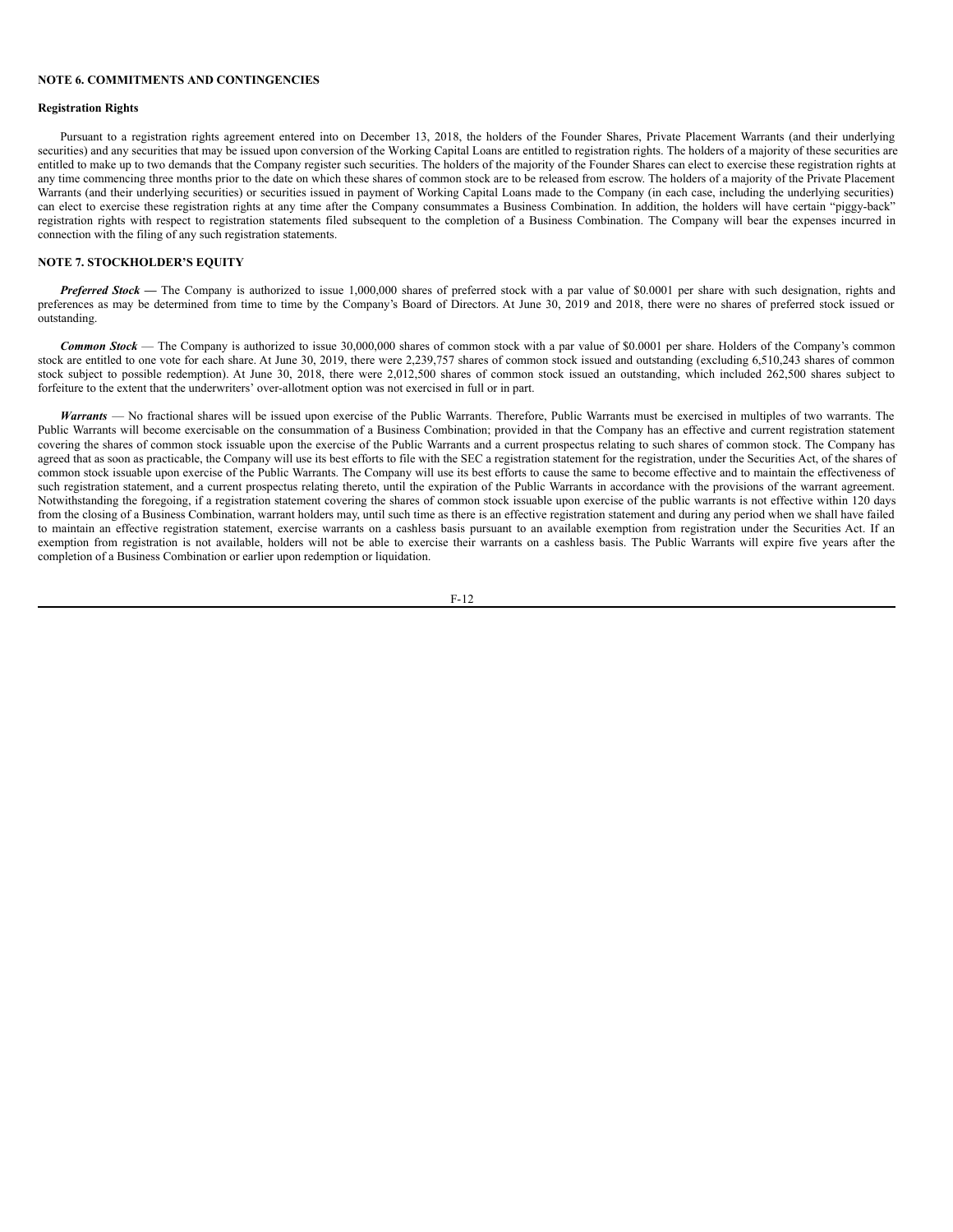## **NOTE 6. COMMITMENTS AND CONTINGENCIES**

#### **Registration Rights**

Pursuant to a registration rights agreement entered into on December 13, 2018, the holders of the Founder Shares, Private Placement Warrants (and their underlying securities) and any securities that may be issued upon conversion of the Working Capital Loans are entitled to registration rights. The holders of a majority of these securities are entitled to make up to two demands that the Company register such securities. The holders of the majority of the Founder Shares can elect to exercise these registration rights at any time commencing three months prior to the date on which these shares of common stock are to be released from escrow. The holders of a majority of the Private Placement Warrants (and their underlying securities) or securities issued in payment of Working Capital Loans made to the Company (in each case, including the underlying securities) can elect to exercise these registration rights at any time after the Company consummates a Business Combination. In addition, the holders will have certain "piggy-back" registration rights with respect to registration statements filed subsequent to the completion of a Business Combination. The Company will bear the expenses incurred in connection with the filing of any such registration statements.

## **NOTE 7. STOCKHOLDER'S EQUITY**

*Preferred Stock* — The Company is authorized to issue 1,000,000 shares of preferred stock with a par value of \$0.0001 per share with such designation, rights and preferences as may be determined from time to time by the Company's Board of Directors. At June 30, 2019 and 2018, there were no shares of preferred stock issued or outstanding.

*Common Stock* — The Company is authorized to issue 30,000,000 shares of common stock with a par value of \$0.0001 per share. Holders of the Company's common stock are entitled to one vote for each share. At June 30, 2019, there were 2,239,757 shares of common stock issued and outstanding (excluding 6,510,243 shares of common stock subject to possible redemption). At June 30, 2018, there were 2,012,500 shares of common stock issued an outstanding, which included 262,500 shares subject to forfeiture to the extent that the underwriters' over-allotment option was not exercised in full or in part.

*Warrants* — No fractional shares will be issued upon exercise of the Public Warrants. Therefore, Public Warrants must be exercised in multiples of two warrants. The Public Warrants will become exercisable on the consummation of a Business Combination; provided in that the Company has an effective and current registration statement covering the shares of common stock issuable upon the exercise of the Public Warrants and a current prospectus relating to such shares of common stock. The Company has agreed that as soon as practicable, the Company will use its best efforts to file with the SEC a registration statement for the registration, under the Securities Act, of the shares of common stock issuable upon exercise of the Public Warrants. The Company will use its best efforts to cause the same to become effective and to maintain the effectiveness of such registration statement, and a current prospectus relating thereto, until the expiration of the Public Warrants in accordance with the provisions of the warrant agreement. Notwithstanding the foregoing, if a registration statement covering the shares of common stock issuable upon exercise of the public warrants is not effective within 120 days from the closing of a Business Combination, warrant holders may, until such time as there is an effective registration statement and during any period when we shall have failed to maintain an effective registration statement, exercise warrants on a cashless basis pursuant to an available exemption from registration under the Securities Act. If an exemption from registration is not available, holders will not be able to exercise their warrants on a cashless basis. The Public Warrants will expire five years after the completion of a Business Combination or earlier upon redemption or liquidation.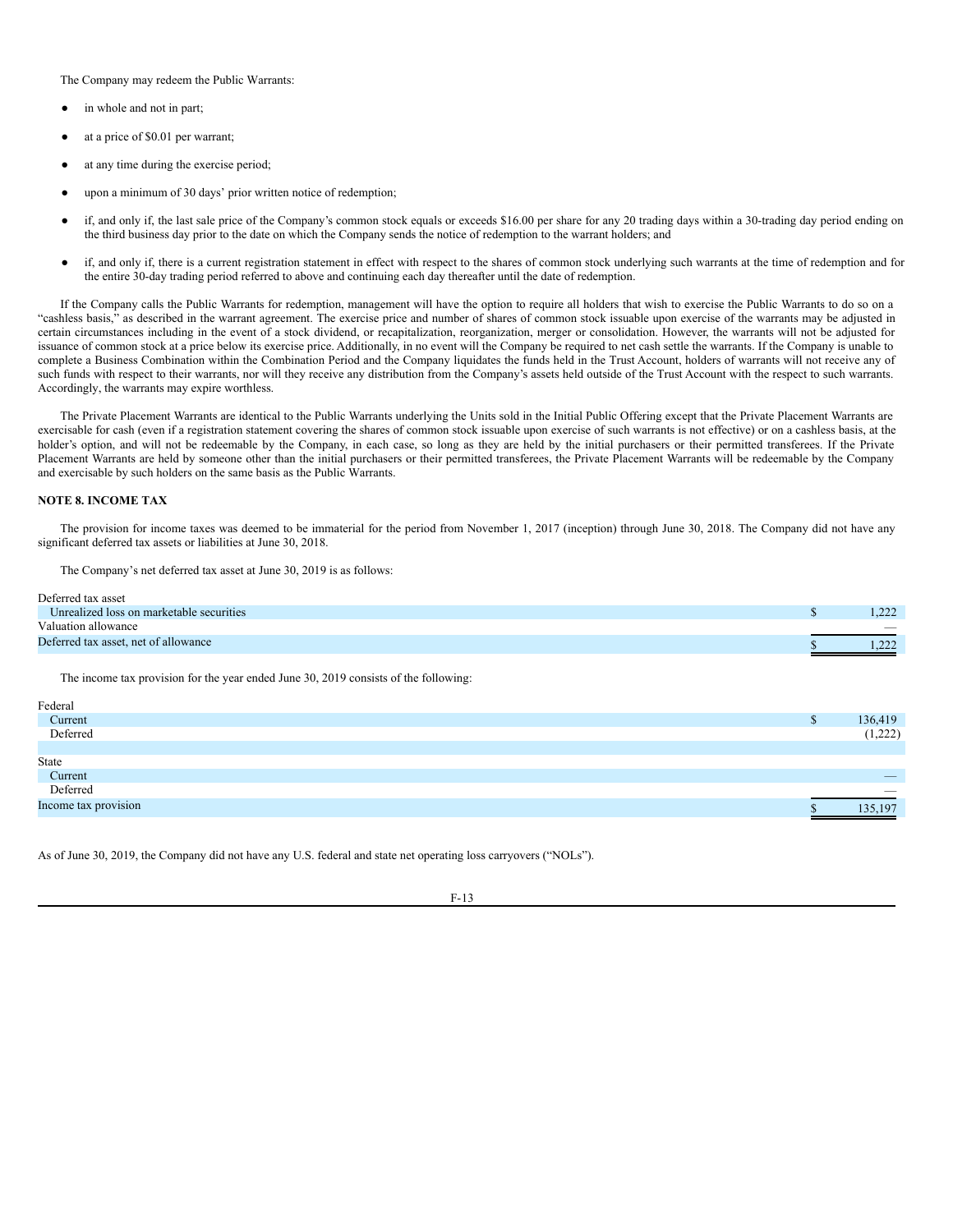The Company may redeem the Public Warrants:

- in whole and not in part;
- at a price of \$0.01 per warrant;
- at any time during the exercise period;
- upon a minimum of 30 days' prior written notice of redemption;
- if, and only if, the last sale price of the Company's common stock equals or exceeds \$16.00 per share for any 20 trading days within a 30-trading day period ending on the third business day prior to the date on which the Company sends the notice of redemption to the warrant holders; and
- if, and only if, there is a current registration statement in effect with respect to the shares of common stock underlying such warrants at the time of redemption and for the entire 30-day trading period referred to above and continuing each day thereafter until the date of redemption.

If the Company calls the Public Warrants for redemption, management will have the option to require all holders that wish to exercise the Public Warrants to do so on a "cashless basis," as described in the warrant agreement. The exercise price and number of shares of common stock issuable upon exercise of the warrants may be adjusted in certain circumstances including in the event of a stock dividend, or recapitalization, reorganization, merger or consolidation. However, the warrants will not be adjusted for issuance of common stock at a price below its exercise price. Additionally, in no event will the Company be required to net cash settle the warrants. If the Company is unable to complete a Business Combination within the Combination Period and the Company liquidates the funds held in the Trust Account, holders of warrants will not receive any of such funds with respect to their warrants, nor will they receive any distribution from the Company's assets held outside of the Trust Account with the respect to such warrants. Accordingly, the warrants may expire worthless.

The Private Placement Warrants are identical to the Public Warrants underlying the Units sold in the Initial Public Offering except that the Private Placement Warrants are exercisable for cash (even if a registration statement covering the shares of common stock issuable upon exercise of such warrants is not effective) or on a cashless basis, at the holder's option, and will not be redeemable by the Company, in each case, so long as they are held by the initial purchasers or their permitted transferees. If the Private Placement Warrants are held by someone other than the initial purchasers or their permitted transferees, the Private Placement Warrants will be redeemable by the Company and exercisable by such holders on the same basis as the Public Warrants.

## **NOTE 8. INCOME TAX**

The provision for income taxes was deemed to be immaterial for the period from November 1, 2017 (inception) through June 30, 2018. The Company did not have any significant deferred tax assets or liabilities at June 30, 2018.

The Company's net deferred tax asset at June 30, 2019 is as follows:

| Deferred tax asset                       |     |
|------------------------------------------|-----|
| Unrealized loss on marketable securities | າາາ |
| Valuation allowance                      |     |
| Deferred tax asset, net of allowance     | 222 |
|                                          |     |

The income tax provision for the year ended June 30, 2019 consists of the following:

| Federal              |                          |
|----------------------|--------------------------|
| Current<br>Deferred  | 136,419                  |
|                      | (1,222)                  |
|                      |                          |
| State                |                          |
| Current<br>Deferred  | $\overline{\phantom{a}}$ |
|                      | $\hspace{0.05cm}$        |
| Income tax provision | 135,197                  |
|                      |                          |

As of June 30, 2019, the Company did not have any U.S. federal and state net operating loss carryovers ("NOLs").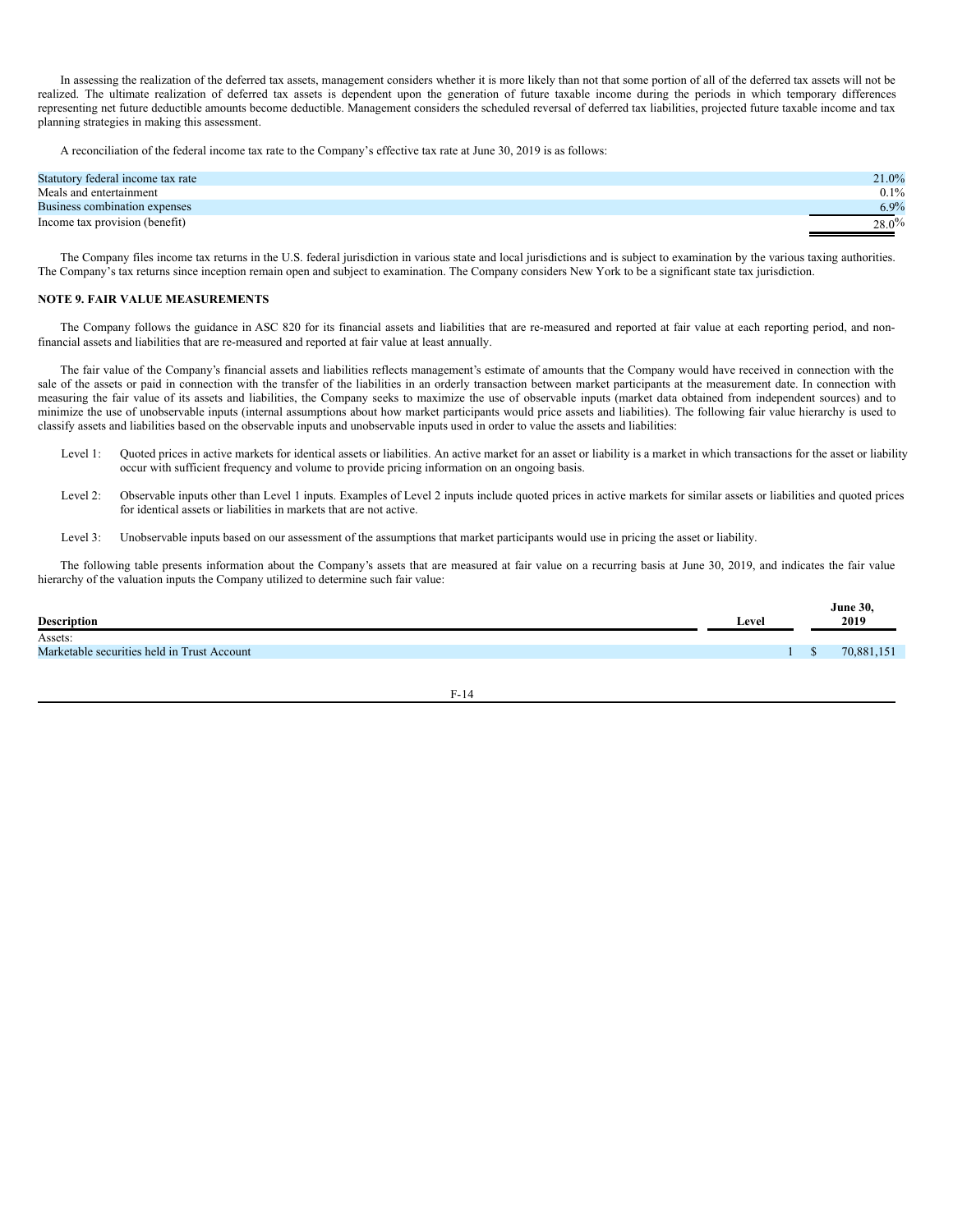In assessing the realization of the deferred tax assets, management considers whether it is more likely than not that some portion of all of the deferred tax assets will not be realized. The ultimate realization of deferred tax assets is dependent upon the generation of future taxable income during the periods in which temporary differences representing net future deductible amounts become deductible. Management considers the scheduled reversal of deferred tax liabilities, projected future taxable income and tax planning strategies in making this assessment.

A reconciliation of the federal income tax rate to the Company's effective tax rate at June 30, 2019 is as follows:

| Statutory federal income tax rate | 21.0%    |
|-----------------------------------|----------|
| Meals and entertainment           | $0.1\%$  |
| Business combination expenses     | 6.9%     |
| Income tax provision (benefit)    | $28.0\%$ |

The Company files income tax returns in the U.S. federal jurisdiction in various state and local jurisdictions and is subject to examination by the various taxing authorities. The Company's tax returns since inception remain open and subject to examination. The Company considers New York to be a significant state tax jurisdiction.

## **NOTE 9. FAIR VALUE MEASUREMENTS**

The Company follows the guidance in ASC 820 for its financial assets and liabilities that are re-measured and reported at fair value at each reporting period, and nonfinancial assets and liabilities that are re-measured and reported at fair value at least annually.

The fair value of the Company's financial assets and liabilities reflects management's estimate of amounts that the Company would have received in connection with the sale of the assets or paid in connection with the transfer of the liabilities in an orderly transaction between market participants at the measurement date. In connection with measuring the fair value of its assets and liabilities, the Company seeks to maximize the use of observable inputs (market data obtained from independent sources) and to minimize the use of unobservable inputs (internal assumptions about how market participants would price assets and liabilities). The following fair value hierarchy is used to classify assets and liabilities based on the observable inputs and unobservable inputs used in order to value the assets and liabilities:

- Level 1: Quoted prices in active markets for identical assets or liabilities. An active market for an asset or liability is a market in which transactions for the asset or liability occur with sufficient frequency and volume to provide pricing information on an ongoing basis.
- Level 2: Observable inputs other than Level 1 inputs. Examples of Level 2 inputs include quoted prices in active markets for similar assets or liabilities and quoted prices for identical assets or liabilities in markets that are not active.

Level 3: Unobservable inputs based on our assessment of the assumptions that market participants would use in pricing the asset or liability.

The following table presents information about the Company's assets that are measured at fair value on a recurring basis at June 30, 2019, and indicates the fair value hierarchy of the valuation inputs the Company utilized to determine such fair value:

| <b>Description</b>                          | Level | <b>June 30,</b><br>2019 |
|---------------------------------------------|-------|-------------------------|
| Assets:                                     |       |                         |
| Marketable securities held in Trust Account |       | 70,881,151              |
|                                             |       |                         |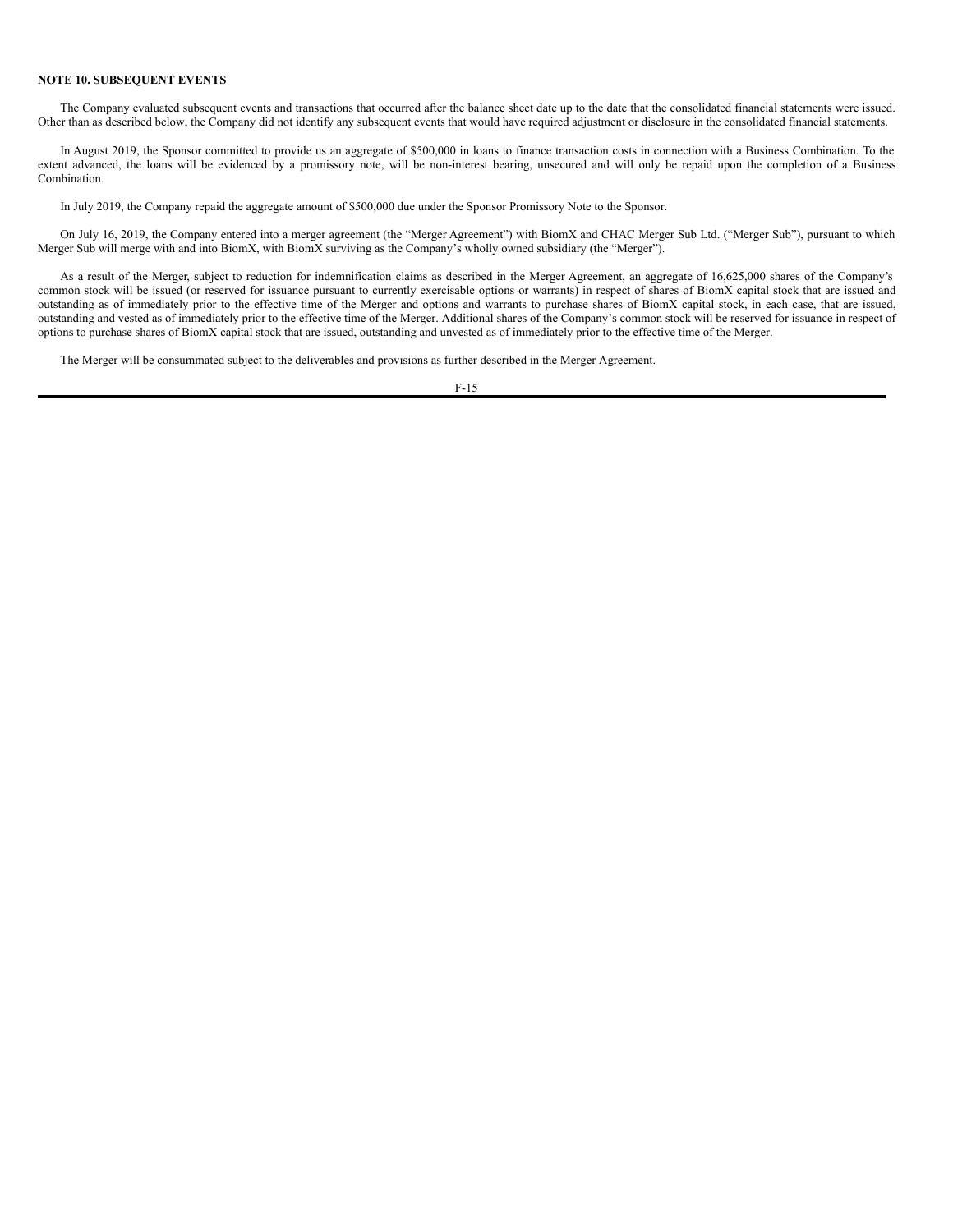# **NOTE 10. SUBSEQUENT EVENTS**

The Company evaluated subsequent events and transactions that occurred after the balance sheet date up to the date that the consolidated financial statements were issued. Other than as described below, the Company did not identify any subsequent events that would have required adjustment or disclosure in the consolidated financial statements.

In August 2019, the Sponsor committed to provide us an aggregate of \$500,000 in loans to finance transaction costs in connection with a Business Combination. To the extent advanced, the loans will be evidenced by a promissory note, will be non-interest bearing, unsecured and will only be repaid upon the completion of a Business Combination.

In July 2019, the Company repaid the aggregate amount of \$500,000 due under the Sponsor Promissory Note to the Sponsor.

On July 16, 2019, the Company entered into a merger agreement (the "Merger Agreement") with BiomX and CHAC Merger Sub Ltd. ("Merger Sub"), pursuant to which Merger Sub will merge with and into BiomX, with BiomX surviving as the Company's wholly owned subsidiary (the "Merger").

As a result of the Merger, subject to reduction for indemnification claims as described in the Merger Agreement, an aggregate of 16,625,000 shares of the Company's common stock will be issued (or reserved for issuance pursuant to currently exercisable options or warrants) in respect of shares of BiomX capital stock that are issued and outstanding as of immediately prior to the effective time of the Merger and options and warrants to purchase shares of BiomX capital stock, in each case, that are issued, outstanding and vested as of immediately prior to the effective time of the Merger. Additional shares of the Company's common stock will be reserved for issuance in respect of options to purchase shares of BiomX capital stock that are issued, outstanding and unvested as of immediately prior to the effective time of the Merger.

The Merger will be consummated subject to the deliverables and provisions as further described in the Merger Agreement.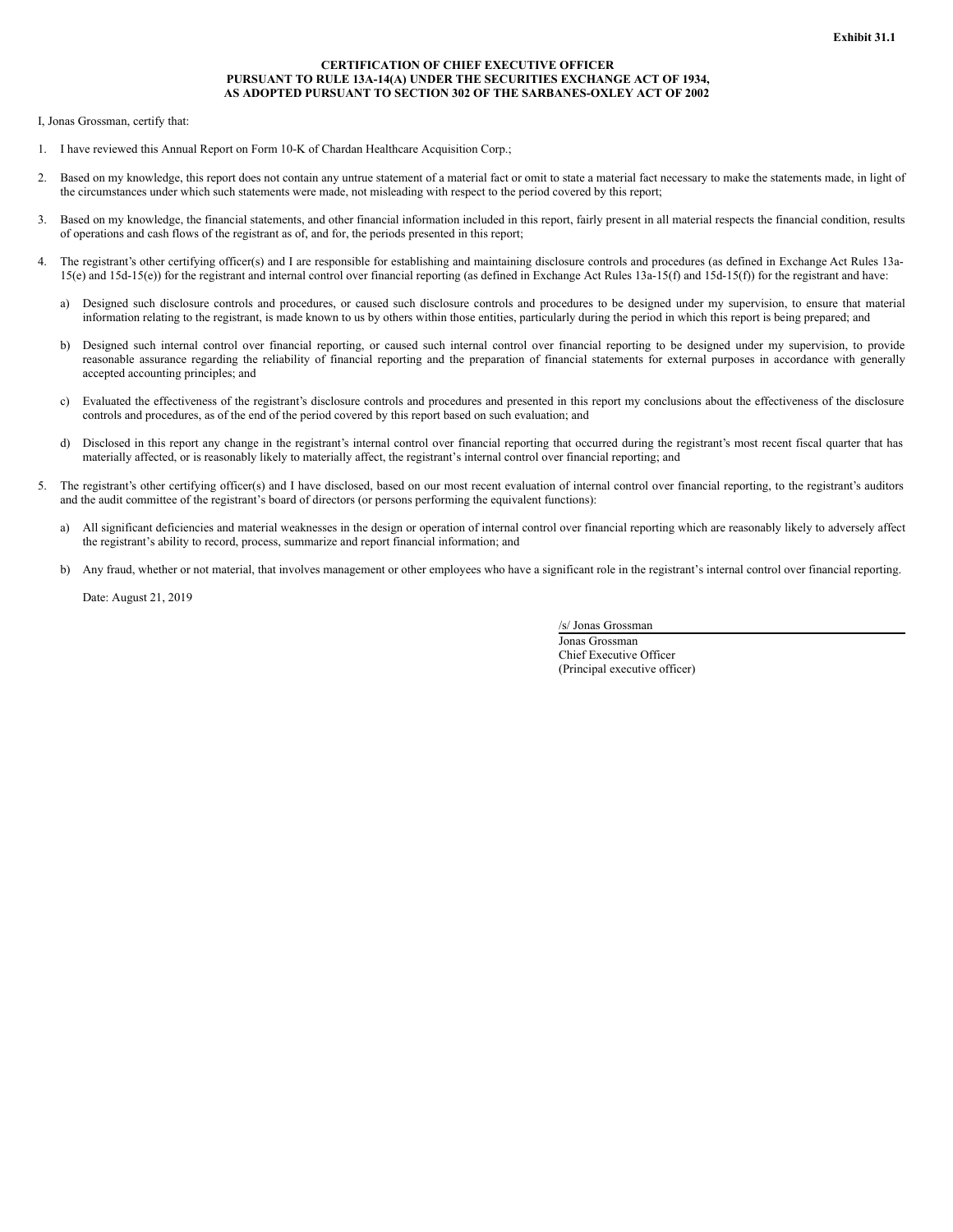## **CERTIFICATION OF CHIEF EXECUTIVE OFFICER PURSUANT TO RULE 13A-14(A) UNDER THE SECURITIES EXCHANGE ACT OF 1934, AS ADOPTED PURSUANT TO SECTION 302 OF THE SARBANES-OXLEY ACT OF 2002**

<span id="page-46-0"></span>I, Jonas Grossman, certify that:

- 1. I have reviewed this Annual Report on Form 10-K of Chardan Healthcare Acquisition Corp.;
- 2. Based on my knowledge, this report does not contain any untrue statement of a material fact or omit to state a material fact necessary to make the statements made, in light of the circumstances under which such statements were made, not misleading with respect to the period covered by this report;
- 3. Based on my knowledge, the financial statements, and other financial information included in this report, fairly present in all material respects the financial condition, results of operations and cash flows of the registrant as of, and for, the periods presented in this report;
- The registrant's other certifying officer(s) and I are responsible for establishing and maintaining disclosure controls and procedures (as defined in Exchange Act Rules 13a-15(e) and 15d-15(e)) for the registrant and internal control over financial reporting (as defined in Exchange Act Rules 13a-15(f) and 15d-15(f)) for the registrant and have:
	- a) Designed such disclosure controls and procedures, or caused such disclosure controls and procedures to be designed under my supervision, to ensure that material information relating to the registrant, is made known to us by others within those entities, particularly during the period in which this report is being prepared; and
	- b) Designed such internal control over financial reporting, or caused such internal control over financial reporting to be designed under my supervision, to provide reasonable assurance regarding the reliability of financial reporting and the preparation of financial statements for external purposes in accordance with generally accepted accounting principles; and
	- c) Evaluated the effectiveness of the registrant's disclosure controls and procedures and presented in this report my conclusions about the effectiveness of the disclosure controls and procedures, as of the end of the period covered by this report based on such evaluation; and
	- d) Disclosed in this report any change in the registrant's internal control over financial reporting that occurred during the registrant's most recent fiscal quarter that has materially affected, or is reasonably likely to materially affect, the registrant's internal control over financial reporting; and
- 5. The registrant's other certifying officer(s) and I have disclosed, based on our most recent evaluation of internal control over financial reporting, to the registrant's auditors and the audit committee of the registrant's board of directors (or persons performing the equivalent functions):
	- a) All significant deficiencies and material weaknesses in the design or operation of internal control over financial reporting which are reasonably likely to adversely affect the registrant's ability to record, process, summarize and report financial information; and
	- Any fraud, whether or not material, that involves management or other employees who have a significant role in the registrant's internal control over financial reporting.

Date: August 21, 2019

/s/ Jonas Grossman

Jonas Grossman Chief Executive Officer (Principal executive officer)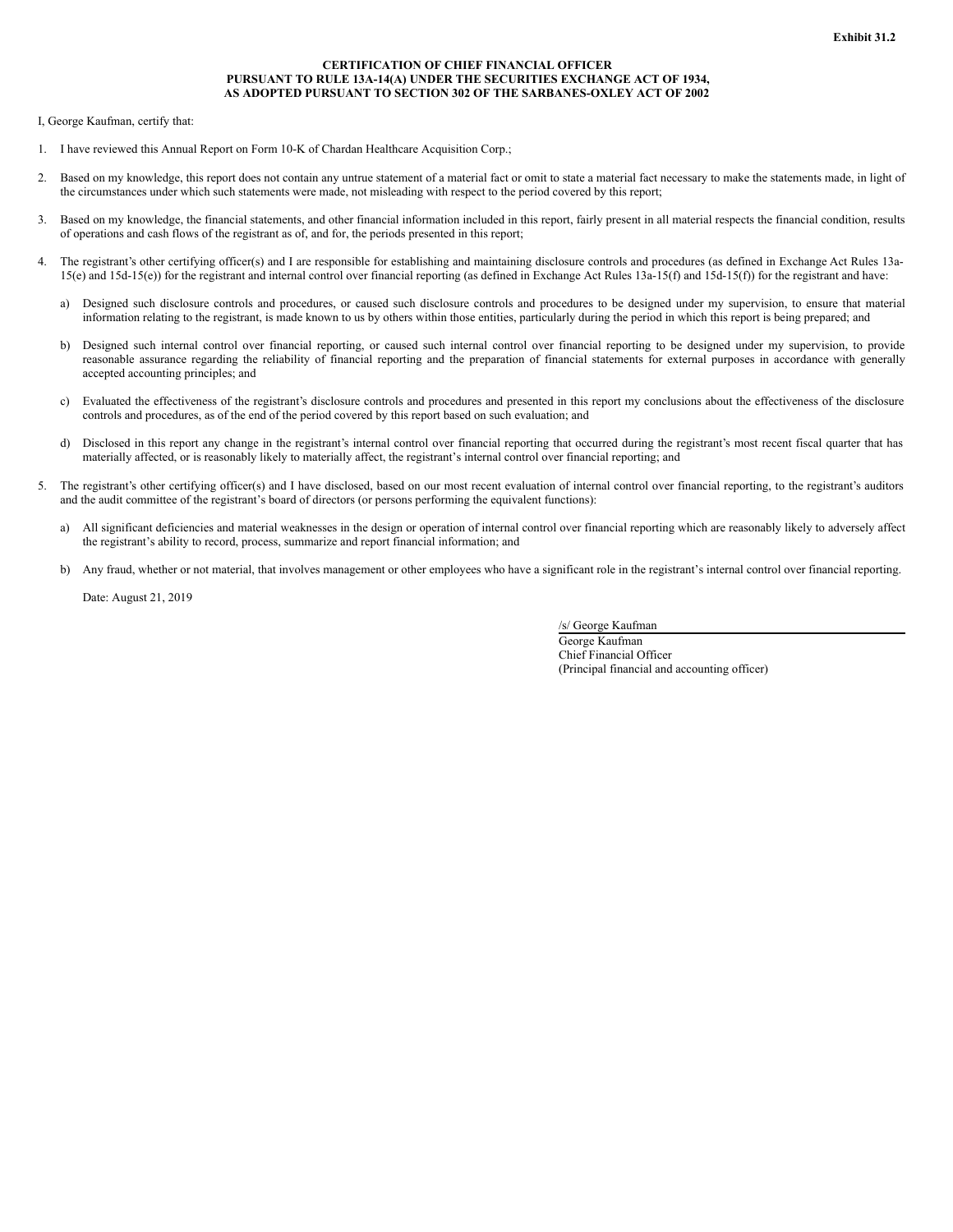## **CERTIFICATION OF CHIEF FINANCIAL OFFICER PURSUANT TO RULE 13A-14(A) UNDER THE SECURITIES EXCHANGE ACT OF 1934, AS ADOPTED PURSUANT TO SECTION 302 OF THE SARBANES-OXLEY ACT OF 2002**

<span id="page-47-0"></span>I, George Kaufman, certify that:

- 1. I have reviewed this Annual Report on Form 10-K of Chardan Healthcare Acquisition Corp.;
- 2. Based on my knowledge, this report does not contain any untrue statement of a material fact or omit to state a material fact necessary to make the statements made, in light of the circumstances under which such statements were made, not misleading with respect to the period covered by this report;
- 3. Based on my knowledge, the financial statements, and other financial information included in this report, fairly present in all material respects the financial condition, results of operations and cash flows of the registrant as of, and for, the periods presented in this report;
- The registrant's other certifying officer(s) and I are responsible for establishing and maintaining disclosure controls and procedures (as defined in Exchange Act Rules 13a-15(e) and 15d-15(e)) for the registrant and internal control over financial reporting (as defined in Exchange Act Rules 13a-15(f) and 15d-15(f)) for the registrant and have:
	- a) Designed such disclosure controls and procedures, or caused such disclosure controls and procedures to be designed under my supervision, to ensure that material information relating to the registrant, is made known to us by others within those entities, particularly during the period in which this report is being prepared; and
	- b) Designed such internal control over financial reporting, or caused such internal control over financial reporting to be designed under my supervision, to provide reasonable assurance regarding the reliability of financial reporting and the preparation of financial statements for external purposes in accordance with generally accepted accounting principles; and
	- c) Evaluated the effectiveness of the registrant's disclosure controls and procedures and presented in this report my conclusions about the effectiveness of the disclosure controls and procedures, as of the end of the period covered by this report based on such evaluation; and
	- d) Disclosed in this report any change in the registrant's internal control over financial reporting that occurred during the registrant's most recent fiscal quarter that has materially affected, or is reasonably likely to materially affect, the registrant's internal control over financial reporting; and
- 5. The registrant's other certifying officer(s) and I have disclosed, based on our most recent evaluation of internal control over financial reporting, to the registrant's auditors and the audit committee of the registrant's board of directors (or persons performing the equivalent functions):
	- a) All significant deficiencies and material weaknesses in the design or operation of internal control over financial reporting which are reasonably likely to adversely affect the registrant's ability to record, process, summarize and report financial information; and
	- Any fraud, whether or not material, that involves management or other employees who have a significant role in the registrant's internal control over financial reporting.

Date: August 21, 2019

/s/ George Kaufman

George Kaufman Chief Financial Officer (Principal financial and accounting officer)